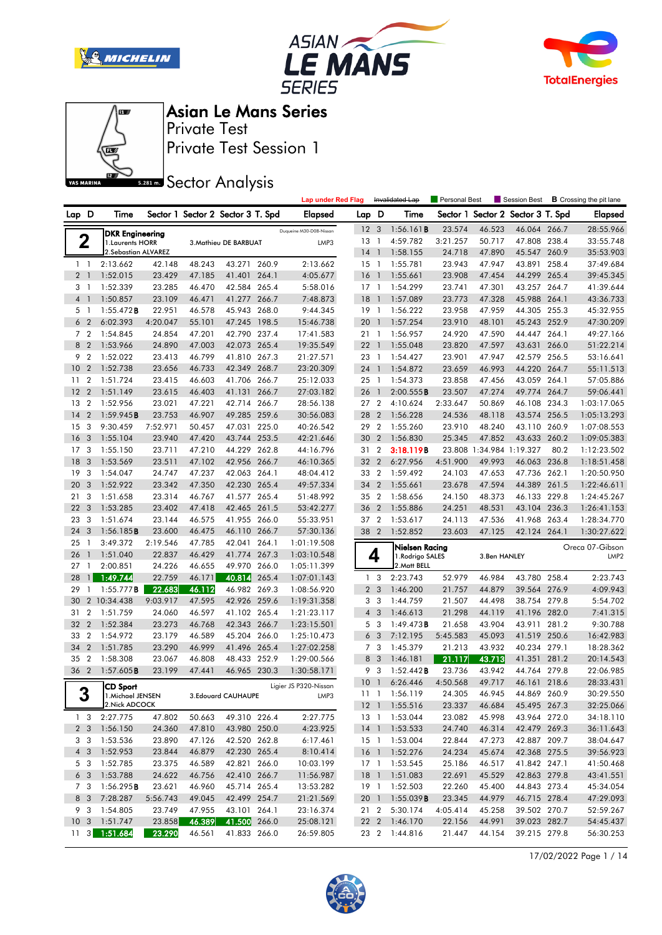







Private Test Session 1 Private Test

**SREAD** Sector Analysis

|                |                |                                            |          |        |                                   |       | <b>Lap under Red Flag</b> |                 |                               | Invalidated Lap        | Personal Best      |                          | Session Best                 |       | <b>B</b> Crossing the pit lane |
|----------------|----------------|--------------------------------------------|----------|--------|-----------------------------------|-------|---------------------------|-----------------|-------------------------------|------------------------|--------------------|--------------------------|------------------------------|-------|--------------------------------|
| Lap D          |                | Time                                       |          |        | Sector 1 Sector 2 Sector 3 T. Spd |       | <b>Elapsed</b>            | Lap D           |                               | Time                   | Sector 1           |                          | Sector 2 Sector 3 T. Spd     |       | <b>Elapsed</b>                 |
|                |                |                                            |          |        |                                   |       | Duqueine M30-D08-Nissan   | 12 <sup>3</sup> |                               | 1:56.161B              | 23.574             | 46.523                   | 46.064 266.7                 |       | 28:55.966                      |
| 2              |                | <b>DKR Engineering</b><br>1. Laurents HORR |          |        | 3. Mathieu DE BARBUAT             |       | LMP3                      | 13              | -1                            | 4:59.782               | 3:21.257           | 50.717                   | 47.808 238.4                 |       | 33:55.748                      |
|                |                | 2. Sebastian ALVAREZ                       |          |        |                                   |       |                           | 14              | $\overline{1}$                | 1:58.155               | 24.718             | 47.890                   | 45.547 260.9                 |       | 35:53.903                      |
| $1\quad$       |                | 2:13.662                                   | 42.148   | 48.243 | 43.271 260.9                      |       | 2:13.662                  | 15              | $\overline{1}$                | 1:55.781               | 23.943             | 47.947                   | 43.891                       | 258.4 | 37:49.684                      |
| 2 <sub>1</sub> |                | 1:52.015                                   | 23.429   | 47.185 | 41.401                            | 264.1 | 4:05.677                  | 16              | - 1                           | 1:55.661               | 23.908             | 47.454                   | 44.299                       | 265.4 | 39:45.345                      |
| 3 1            |                | 1:52.339                                   | 23.285   | 46.470 | 42.584 265.4                      |       | 5:58.016                  | $17-1$          |                               | 1:54.299               | 23.741             | 47.301                   | 43.257 264.7                 |       | 41:39.644                      |
| 4 1            |                | 1:50.857                                   | 23.109   | 46.471 | 41.277 266.7                      |       | 7:48.873                  | 18              | $\overline{1}$                | 1:57.089               | 23.773             | 47.328                   | 45.988 264.1                 |       | 43:36.733                      |
| 51             |                | $1:55.472$ <b>B</b>                        | 22.951   | 46.578 | 45.943 268.0                      |       | 9:44.345                  | 19              | $\overline{1}$                | 1:56.222               | 23.958             | 47.959                   | 44.305 255.3                 |       | 45:32.955                      |
| 6              | $\overline{2}$ | 6:02.393                                   | 4:20.047 | 55.101 | 47.245                            | 198.5 | 15:46.738                 | 20              | $\overline{1}$                | 1:57.254               | 23.910             | 48.101                   | 45.243 252.9                 |       | 47:30.209                      |
| 7 <sub>2</sub> |                | 1:54.845                                   | 24.854   | 47.201 | 42.790 237.4                      |       | 17:41.583                 | 21              | $\overline{1}$                | 1:56.957               | 24.920             | 47.590                   | 44.447 264.1                 |       | 49:27.166                      |
| 8              | $\overline{2}$ | 1:53.966                                   | 24.890   | 47.003 | 42.073 265.4                      |       | 19:35.549                 | 221             |                               | 1:55.048               | 23.820             | 47.597                   | 43.631                       | 266.0 | 51:22.214                      |
| 9 2            |                | 1:52.022                                   | 23.413   | 46.799 | 41.810 267.3                      |       | 21:27.571                 | 23 1            |                               | 1:54.427               | 23.901             | 47.947                   | 42.579 256.5                 |       | 53:16.641                      |
| 10             | $\overline{2}$ | 1:52.738                                   | 23.656   | 46.733 | 42.349                            | 268.7 | 23:20.309                 | 24 1            |                               | 1:54.872               | 23.659             | 46.993                   | 44.220                       | 264.7 | 55:11.513                      |
| 11             | $\overline{2}$ | 1:51.724                                   | 23.415   | 46.603 | 41.706 266.7                      |       | 25:12.033                 | 25 1            |                               | 1:54.373               | 23.858             | 47.456                   | 43.059 264.1                 |       | 57:05.886                      |
| 12             | $\overline{2}$ | 1:51.149                                   | 23.615   | 46.403 | 41.131                            | 266.7 | 27:03.182                 | 26              | $\overline{1}$                | 2:00.555B              | 23.507             | 47.274                   | 49.774 264.7                 |       | 59:06.441                      |
| 13             | $\overline{2}$ | 1:52.956                                   | 23.021   | 47.221 | 42.714 266.7                      |       | 28:56.138                 | 27 2            |                               | 4:10.624               | 2:33.647           | 50.869                   | 46.108 234.3                 |       | 1:03:17.065                    |
| 14             | $\overline{2}$ | 1:59.945B                                  | 23.753   | 46.907 | 49.285 259.6                      |       | 30:56.083                 | 28              | $\overline{2}$                | 1:56.228               | 24.536             | 48.118                   | 43.574                       | 256.5 | 1:05:13.293                    |
| 15             | 3              | 9:30.459                                   | 7:52.971 | 50.457 | 47.031 225.0                      |       | 40:26.542                 | 29              | $\overline{2}$                | 1:55.260               | 23.910             | 48.240                   | 43.110 260.9                 |       | 1:07:08.553                    |
| 16             | 3              | 1:55.104                                   | 23.940   | 47.420 | 43.744 253.5                      |       | 42:21.646                 | 30              | $\overline{2}$                | 1:56.830               | 25.345             | 47.852                   | 43.633 260.2                 |       | 1:09:05.383                    |
| 17             | 3              | 1:55.150                                   | 23.711   | 47.210 | 44.229 262.8                      |       | 44:16.796                 | 31 2            |                               | 3:18.119B              |                    | 23.808 1:34.984 1:19.327 |                              | 80.2  | 1:12:23.502                    |
| 18             | 3              | 1:53.569                                   | 23.511   | 47.102 | 42.956 266.7                      |       | 46:10.365                 | 32              | $\overline{2}$                | 6:27.956               | 4:51.900           | 49.993                   | 46.063 236.8                 |       | 1:18:51.458                    |
| 19             | -3             | 1:54.047                                   | 24.747   | 47.237 | 42.063 264.1                      |       | 48:04.412                 | 33 2            |                               | 1:59.492               | 24.103             | 47.653                   | 47.736 262.1                 |       | 1:20:50.950                    |
| 20             | 3              | 1:52.922                                   | 23.342   | 47.350 | 42.230 265.4                      |       | 49:57.334                 | 34 2            |                               | 1:55.661               | 23.678             | 47.594                   | 44.389 261.5                 |       | 1:22:46.611                    |
| 21             | 3              | 1:51.658                                   | 23.314   | 46.767 | 41.577 265.4                      |       | 51:48.992                 | 35 2            |                               | 1:58.656               | 24.150             | 48.373                   | 46.133 229.8                 |       | 1:24:45.267                    |
| 22             | 3              | 1:53.285                                   | 23.402   | 47.418 | 42.465 261.5                      |       | 53:42.277                 | 36 2            |                               | 1:55.886               | 24.251             | 48.531                   | 43.104 236.3                 |       | 1:26:41.153                    |
| 23             | -3             | 1:51.674                                   | 23.144   | 46.575 | 41.955 266.0                      |       | 55:33.951                 | 37 2            |                               | 1:53.617               | 24.113             | 47.536                   | 41.968 263.4                 |       | 1:28:34.770                    |
| 24             | 3              | 1:56.185B                                  | 23.600   | 46.475 | 46.110                            | 266.7 | 57:30.136                 | 38 2            |                               | 1:52.852               | 23.603             | 47.125                   | 42.124 264.1                 |       | 1:30:27.622                    |
| 25             | $\mathbf{1}$   | 3:49.372                                   | 2:19.546 | 47.785 | 42.041                            | 264.1 | 1:01:19.508               |                 |                               | Nielsen Racing         |                    |                          |                              |       | Oreca 07-Gibson                |
| 26             | $\mathbf{1}$   | 1:51.040                                   | 22.837   | 46.429 | 41.774                            | 267.3 | 1:03:10.548               |                 | 4                             | 1.Rodrigo SALES        |                    | 3.Ben HANLEY             |                              |       | LMP <sub>2</sub>               |
| 27             | - 1            | 2:00.851                                   | 24.226   | 46.655 | 49.970 266.0                      |       | 1:05:11.399               |                 |                               | 2. Matt BELL           |                    |                          |                              |       |                                |
| 28             | $\mathbf{1}$   | 1:49.744                                   | 22.759   | 46.171 | 40.814                            | 265.4 | 1:07:01.143               |                 | 1 <sub>3</sub>                | 2:23.743               | 52.979             | 46.984                   | 43.780 258.4                 |       | 2:23.743                       |
| 29             | $\mathbf{1}$   | 1:55.777B                                  | 22.683   | 46.112 | 46.982 269.3                      |       | 1:08:56.920               |                 | 2 <sub>3</sub>                | 1:46.200               | 21.757             | 44.879                   | 39.564                       | 276.9 | 4:09.943                       |
| 30             |                | 2 10:34.438                                | 9:03.917 | 47.595 | 42.926 259.6                      |       | 1:19:31.358               |                 | 3 <sub>3</sub>                | 1:44.759               | 21.507             | 44.498                   | 38.754 279.8                 |       | 5:54.702                       |
| 31             | $\overline{2}$ | 1:51.759                                   | 24.060   | 46.597 | 41.102 265.4                      |       | 1:21:23.117               | $\overline{4}$  | 3                             | 1:46.613               | 21.298             | 44.119                   | 41.196 282.0                 |       | 7:41.315                       |
| 32             | $\overline{2}$ | 1:52.384                                   | 23.273   | 46.768 | 42.343 266.7                      |       | 1:23:15.501               | 5               | $\overline{\mathbf{3}}$       | 1:49.473B              | 21.658             | 43.904                   | 43.911                       | 281.2 | 9:30.788                       |
| 33             | $\overline{2}$ | 1:54.972                                   | 23.179   | 46.589 | 45.204 266.0                      |       | 1:25:10.473               | 6               | 3                             | 7:12.195               | 5:45.583           | 45.093                   | 41.519                       | 250.6 | 16:42.983                      |
| 34             | $\overline{2}$ | 1:51.785                                   | 23.290   | 46.999 | 41.496 265.4                      |       | 1:27:02.258               |                 | 7 <sub>3</sub>                | 1:45.379               | 21.213             | 43.932                   | 40.234 279.1                 |       | 18:28.362                      |
| 35             | $\overline{2}$ | 1:58.308                                   | 23.067   | 46.808 | 48.433 252.9                      |       | 1:29:00.566               | 8<br>9          | -3<br>$\overline{\mathbf{3}}$ | 1:46.181               | 21.117             | 43.713                   | 41.351                       | 281.2 | 20:14.543                      |
| 36 2           |                | $1:57.605$ <b>B</b>                        | 23.199   | 47.441 | 46.965 230.3                      |       | 1:30:58.171               | 10 <sub>1</sub> |                               | 1:52.442B<br>6:26.446  | 23.736<br>4:50.568 | 43.942<br>49.717         | 44.764 279.8<br>46.161 218.6 |       | 22:06.985<br>28:33.431         |
| ゥ              |                | <b>CD Sport</b>                            |          |        |                                   |       | Ligier JS P320-Nissan     |                 |                               | 11 1 1:56.119          | 24.305             | 46.945                   | 44.869 260.9                 |       | 30:29.550                      |
| J              |                | 1. Michael JENSEN<br>2.Nick ADCOCK         |          |        | 3. Edouard CAUHAUPE               |       | LMP3                      |                 |                               | 12 1 1:55.516          | 23.337             | 46.684                   | 45.495 267.3                 |       | 32:25.066                      |
|                |                | $1 \quad 3 \quad 2:27.775$                 | 47.802   | 50.663 | 49.310 226.4                      |       | 2:27.775                  |                 |                               | 13 1 1:53.044          | 23.082             | 45.998                   | 43.964 272.0                 |       | 34:18.110                      |
|                |                | 2 3 1:56.150                               | 24.360   | 47.810 | 43.980 250.0                      |       | 4:23.925                  |                 |                               | 14 1 1:53.533          | 24.740             | 46.314                   | 42.479 269.3                 |       | 36:11.643                      |
|                |                | 3 3 1:53.536                               | 23.890   | 47.126 | 42.520 262.8                      |       | 6:17.461                  |                 |                               | 15 1 1:53.004          | 22.844             | 47.273                   | 42.887 209.7                 |       | 38:04.647                      |
|                |                | 4 3 1:52.953                               | 23.844   | 46.879 | 42.230 265.4                      |       | 8:10.414                  |                 |                               | 16 1 1:52.276          | 24.234             | 45.674                   | 42.368 275.5                 |       | 39:56.923                      |
|                |                | 5 3 1:52.785                               | 23.375   | 46.589 | 42.821 266.0                      |       | 10:03.199                 |                 |                               | 17 1 1:53.545          | 25.186             | 46.517                   | 41.842 247.1                 |       | 41:50.468                      |
|                |                | $6\quad 3\quad 1:53.788$                   | 24.622   | 46.756 | 42.410 266.7                      |       | 11:56.987                 |                 |                               | 18 1 1:51.083          | 22.691             | 45.529                   | 42.863 279.8                 |       | 43:41.551                      |
|                |                | 7 3 1:56.295 <b>B</b>                      | 23.621   | 46.960 | 45.714 265.4                      |       | 13:53.282                 |                 |                               | 19 1 1:52.503          | 22.260             | 45.400                   | 44.843 273.4                 |       | 45:34.054                      |
|                |                | 8 3 7:28.287                               | 5:56.743 | 49.045 | 42.499 254.7                      |       | 21:21.569                 |                 |                               | 20 1 1:55.039 <b>B</b> | 23.345             | 44.979                   | 46.715 278.4                 |       | 47:29.093                      |
|                |                | 9 3 1:54.805                               | 23.749   | 47.955 | 43.101 264.1                      |       | 23:16.374                 |                 |                               | 21 2 5:30.174          | 4:05.414           | 45.258                   | 39.502 270.7                 |       | 52:59.267                      |
|                |                | 10 3 1:51.747                              | 23.858   | 46.389 | 41.500 266.0                      |       | 25:08.121                 |                 |                               | 22 2 1:46.170          | 22.156             | 44.991                   | 39.023 282.7                 |       | 54:45.437                      |
|                |                | 11 3 1:51.684                              | 23.290   | 46.561 | 41.833 266.0                      |       | 26:59.805                 |                 |                               | 23 2 1:44.816          | 21.447             | 44.154                   | 39.215 279.8                 |       | 56:30.253                      |

17/02/2022 Page 1 / 14

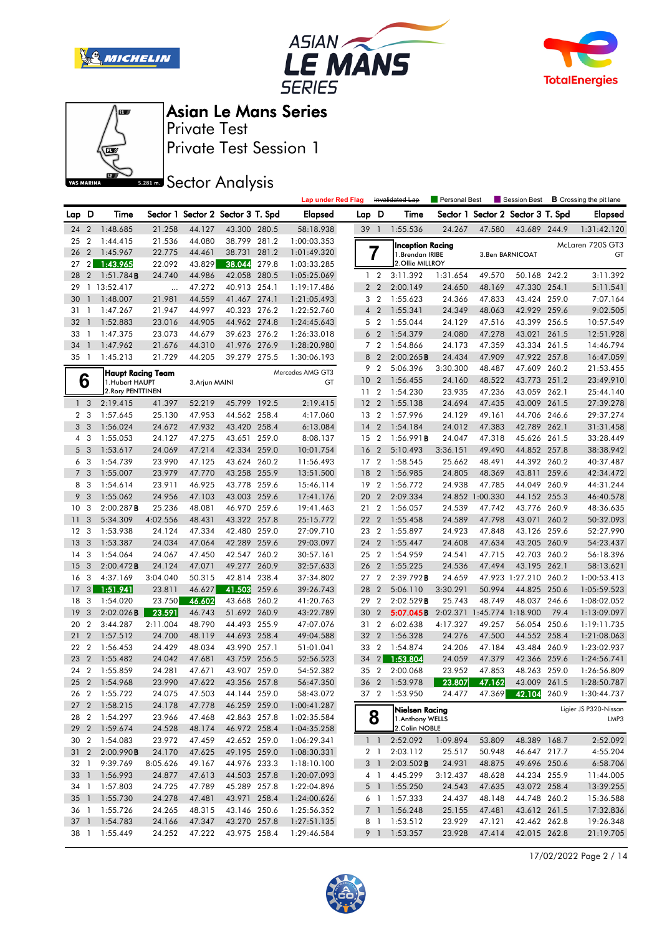







Private Test Session 1 Private Test

**SREAD** Sector Analysis

|              |                          |                      |                    |                  |                                   |       | <b>Lap under Red Flag</b>  |                 |                | Invalidated Lap                   | Personal Best      |                            | Session Best                      |       | <b>B</b> Crossing the pit lane |
|--------------|--------------------------|----------------------|--------------------|------------------|-----------------------------------|-------|----------------------------|-----------------|----------------|-----------------------------------|--------------------|----------------------------|-----------------------------------|-------|--------------------------------|
| Lap D        |                          | Time                 |                    |                  | Sector 1 Sector 2 Sector 3 T. Spd |       | <b>Elapsed</b>             | Lap D           |                | Time                              |                    |                            | Sector 1 Sector 2 Sector 3 T. Spd |       | <b>Elapsed</b>                 |
| 24           | $\overline{2}$           | 1:48.685             | 21.258             | 44.127           | 43.300 280.5                      |       | 58:18.938                  | 39 1            |                | 1:55.536                          | 24.267             | 47.580                     | 43.689 244.9                      |       | 1:31:42.120                    |
| 25           | $\boldsymbol{2}$         | 1:44.415             | 21.536             | 44.080           | 38.799                            | 281.2 | 1:00:03.353                |                 |                | <b>Inception Racing</b>           |                    |                            |                                   |       | McLaren 720S GT3               |
| 26           | $\overline{2}$           | 1:45.967             | 22.775             | 44.461           | 38.731                            | 281.2 | 1:01:49.320                |                 | 7              | 1. Brendan IRIBE                  |                    |                            | 3. Ben BARNICOAT                  |       | GT                             |
| 27           | 2 <sub>1</sub>           | 1:43.965             | 22.092             | 43.829           | 38.044                            | 279.8 | 1:03:33.285                |                 |                | 2.Ollie MILLROY                   |                    |                            |                                   |       |                                |
| 28           | $\overline{2}$           | 1:51.784B            | 24.740             | 44.986           | 42.058 280.5                      |       | 1:05:25.069                |                 | 1 <sub>2</sub> | 3:11.392                          | 1:31.654           | 49.570                     | 50.168 242.2                      |       | 3:11.392                       |
| 29           |                          | 1 13:52.417          |                    | 47.272           | 40.913 254.1                      |       | 1:19:17.486                |                 | 2 <sub>2</sub> | 2:00.149                          | 24.650             | 48.169                     | 47.330 254.1                      |       | 5:11.541                       |
| 30           | $\mathbf{1}$             | 1:48.007             | 21.981             | 44.559           | 41.467 274.1                      |       | 1:21:05.493                |                 | 3 <sub>2</sub> | 1:55.623                          | 24.366             | 47.833                     | 43.424 259.0                      |       | 7:07.164                       |
| 31           | $\mathbf{1}$             | 1:47.267             | 21.947             | 44.997           | 40.323 276.2                      |       | 1:22:52.760                |                 | 4 <sup>2</sup> | 1:55.341                          | 24.349             | 48.063                     | 42.929 259.6                      |       | 9:02.505                       |
| 32           | $\overline{1}$           | 1:52.883             | 23.016             | 44.905           | 44.962 274.8                      |       | 1:24:45.643                |                 | 5 <sub>2</sub> | 1:55.044                          | 24.129             | 47.516                     | 43.399                            | 256.5 | 10:57.549                      |
| 33           | $\mathbf{1}$             | 1:47.375             | 23.073             | 44.679           | 39.623 276.2                      |       | 1:26:33.018                | 6               | $\overline{2}$ | 1:54.379                          | 24.080             | 47.278                     | 43.021                            | 261.5 | 12:51.928                      |
| 34           | $\overline{1}$           | 1:47.962             | 21.676             | 44.310           | 41.976 276.9                      |       | 1:28:20.980                |                 | 7 <sub>2</sub> | 1:54.866                          | 24.173             | 47.359                     | 43.334 261.5                      |       | 14:46.794                      |
| $35-1$       |                          | 1:45.213             | 21.729             | 44.205           | 39.279 275.5                      |       | 1:30:06.193                |                 | 8 2            | 2:00.265B                         | 24.434             | 47.909                     | 47.922 257.8                      |       | 16:47.059                      |
|              |                          | Haupt Racing Team    |                    |                  |                                   |       | Mercedes AMG GT3           | 9               | $\overline{2}$ | 5:06.396                          | 3:30.300           | 48.487                     | 47.609                            | 260.2 | 21:53.455                      |
|              | 6                        | 1.Hubert HAUPT       |                    | 3. Arjun MAINI   |                                   |       | GT                         | 10 <sup>°</sup> | $\overline{2}$ | 1:56.455                          | 24.160             | 48.522                     | 43.773 251.2                      |       | 23:49.910                      |
|              |                          | 2. Rory PENTTINEN    |                    |                  |                                   |       |                            | 11              | $\overline{2}$ | 1:54.230                          | 23.935             | 47.236                     | 43.059 262.1                      |       | 25:44.140                      |
|              | 1 <sub>3</sub>           | 2:19.415             | 41.397             | 52.219           | 45.799 192.5                      |       | 2:19.415                   | 12 <sub>2</sub> |                | 1:55.138                          | 24.694             | 47.435                     | 43.009 261.5                      |       | 27:39.278                      |
|              | 2 <sub>3</sub>           | 1:57.645             | 25.130             | 47.953           | 44.562 258.4                      |       | 4:17.060                   | 13 2            |                | 1:57.996                          | 24.129             | 49.161                     | 44.706                            | 246.6 | 29:37.274                      |
|              | 3 <sub>3</sub>           | 1:56.024             | 24.672             | 47.932           | 43.420 258.4                      |       | 6:13.084                   | 14              | $\overline{2}$ | 1:54.184                          | 24.012             | 47.383                     | 42.789 262.1                      |       | 31:31.458                      |
|              | 4 3                      | 1:55.053             | 24.127             | 47.275           | 43.651 259.0                      |       | 8:08.137                   | 15 <sup>2</sup> |                | 1:56.991B                         | 24.047             | 47.318                     | 45.626 261.5                      |       | 33:28.449                      |
|              | 5 <sub>3</sub>           | 1:53.617             | 24.069             | 47.214           | 42.334 259.0                      |       | 10:01.754                  | 16              | $\overline{2}$ | 5:10.493                          | 3:36.151           | 49.490                     | 44.852 257.8                      |       | 38:38.942                      |
| 6            | 3                        | 1:54.739             | 23.990             | 47.125           | 43.624 260.2                      |       | 11:56.493                  | 17 <sup>2</sup> |                | 1:58.545                          | 25.662             | 48.491                     | 44.392 260.2                      |       | 40:37.487                      |
|              | 7 <sub>3</sub>           | 1:55.007             | 23.979             | 47.770           | 43.258 255.9                      |       | 13:51.500                  | 18              | $\overline{2}$ | 1:56.985                          | 24.805             | 48.369                     | 43.811                            | 259.6 | 42:34.472                      |
|              | 8 3                      | 1:54.614             | 23.911             | 46.925           | 43.778 259.6                      |       | 15:46.114                  | 19 <sup>2</sup> |                | 1:56.772                          | 24.938             | 47.785                     | 44.049 260.9                      |       | 44:31.244                      |
| 9            | 3                        | 1:55.062             | 24.956             | 47.103           | 43.003 259.6                      |       | 17:41.176                  | 20 2            |                | 2:09.334                          |                    | 24.852 1:00.330            | 44.152 255.3                      |       | 46:40.578                      |
| 10           | 3                        | 2:00.287B            | 25.236             | 48.081           | 46.970                            | 259.6 | 19:41.463                  | 21 2            |                | 1:56.057                          | 24.539             | 47.742                     | 43.776                            | 260.9 | 48:36.635                      |
| 11           | 3                        | 5:34.309             | 4:02.556           | 48.431           | 43.322 257.8                      |       | 25:15.772                  | 22              | $\overline{2}$ | 1:55.458                          | 24.589             | 47.798                     | 43.071                            | 260.2 | 50:32.093                      |
| 12           | 3                        | 1:53.938             | 24.124             | 47.334           | 42.480 259.0                      |       | 27:09.710                  | 23 2            |                | 1:55.897                          | 24.923             | 47.848                     | 43.126 259.6                      |       | 52:27.990                      |
| 13           | 3                        | 1:53.387             | 24.034             | 47.064           | 42.289 259.6                      |       | 29:03.097                  | 24              | $\overline{2}$ | 1:55.447                          | 24.608             | 47.634                     | 43.205 260.9                      |       | 54:23.437                      |
| 14           | 3                        | 1:54.064             | 24.067             | 47.450           | 42.547 260.2                      |       | 30:57.161                  | 25 2            |                | 1:54.959                          | 24.541             | 47.715                     | 42.703 260.2                      |       | 56:18.396                      |
| 15           | 3                        | 2:00.472B            | 24.124             | 47.071           | 49.277 260.9                      |       | 32:57.633                  | 26              | $\overline{2}$ | 1:55.225                          | 24.536             | 47.494                     | 43.195 262.1                      |       | 58:13.621                      |
| 16           | 3                        | 4:37.169             | 3:04.040           | 50.315           | 42.814                            | 238.4 | 37:34.802                  | 27 <sub>2</sub> |                | 2:39.792B                         | 24.659             |                            | 47.923 1:27.210 260.2             |       | 1:00:53.413                    |
| 17           | 3 <sup>1</sup>           | 1:51.941             | 23.811             | 46.627           | 41.503                            | 259.6 | 39:26.743                  | 28              | $\overline{2}$ | 5:06.110                          | 3:30.291           | 50.994                     | 44.825 250.6                      |       | 1:05:59.523                    |
| 18           | 3                        | 1:54.020             | 23.750             | 46.602           | 43.668                            | 260.2 | 41:20.763                  | 29              | $\overline{2}$ | 2:02.529B                         | 25.743             | 48.749                     | 48.037                            | 246.6 | 1:08:02.052                    |
| 19           | 3                        | 2:02.026B            | 23.591             | 46.743           | 51.692 260.9                      |       | 43:22.789                  | 30              | $\overline{2}$ | 5:07.045B                         |                    | 2:02.371 1:45.774 1:18.900 |                                   | 79.4  | 1:13:09.097                    |
| 20           | $\overline{2}$           | 3:44.287             | 2:11.004           | 48.790           | 44.493 255.9                      |       | 47:07.076                  | 31              | $\overline{2}$ | 6:02.638                          | 4:17.327           | 49.257                     | 56.054                            | 250.6 | 1:19:11.735                    |
| 21           | $\overline{2}$           | 1:57.512             | 24.700             | 48.119           | 44.693 258.4                      |       | 49:04.588                  | 32              | $\overline{2}$ | 1:56.328                          | 24.276             | 47.500                     | 44.552 258.4                      |       | 1:21:08.063                    |
| 22           | $\overline{2}$           | 1:56.453             | 24.429             | 48.034           | 43.990 257.1                      |       | 51:01.041                  | 33 2            |                | 1:54.874                          | 24.206             | 47.184                     | 43.484                            | 260.9 | 1:23:02.937                    |
| 23           | $\overline{2}$           | 1:55.482             | 24.042             | 47.681           | 43.759 256.5                      |       | 52:56.523                  | 34              | $\overline{2}$ | 1:53.804                          | 24.059             | 47.379                     | 42.366 259.6                      |       | 1:24:56.741                    |
| 24           | $\overline{2}$           | 1:55.859             | 24.281             | 47.671           | 43.907 259.0                      |       | 54:52.382                  | 35 2            |                | 2:00.068                          | 23.952             | 47.853                     | 48.263 259.0                      |       | 1:26:56.809                    |
| 25<br>26 2   | $\overline{2}$           | 1:54.968<br>1:55.722 | 23.990             | 47.622           | 43.356 257.8                      |       | 56:47.350                  | 36 2<br>37 2    |                | 1:53.978                          | 23.807             | 47.162                     | 43.009                            | 261.5 | 1:28:50.787                    |
|              |                          |                      | 24.075             | 47.503           | 44.144 259.0                      |       | 58:43.072                  |                 |                | 1:53.950                          | 24.477             |                            | 47.369 42.104 260.9               |       | 1:30:44.737                    |
| 27 2         |                          | 1:58.215             | 24.178<br>23.966   | 47.778           | 46.259 259.0                      |       | 1:00:41.287                |                 |                | Nielsen Racing                    |                    |                            |                                   |       | Ligier JS P320-Nissan          |
| 28           | $\overline{2}$           | 1:54.297<br>1:59.674 | 24.528             | 47.468           | 42.863 257.8<br>46.972 258.4      |       | 1:02:35.584                |                 | 8              | 1. Anthony WELLS<br>2.Colin NOBLE |                    |                            |                                   |       | LMP3                           |
| 29<br>30 2   | $\overline{2}$           |                      |                    | 48.174           |                                   |       | 1:04:35.258                |                 |                | 2:52.092                          | 1:09.894           | 53.809                     | 48.389 168.7                      |       | 2:52.092                       |
| 31 2         |                          | 1:54.083             | 23.972             | 47.459           | 42.652 259.0<br>49.195 259.0      |       | 1:06:29.341<br>1:08:30.331 |                 | $1\quad$       |                                   |                    |                            |                                   |       |                                |
|              |                          | 2:00.990B            | 24.170             | 47.625           | 44.976 233.3                      |       |                            |                 | 2 1            | 2:03.112                          | 25.517             | 50.948                     | 46.647 217.7                      |       | 4:55.204                       |
| 32 1         |                          | 9:39.769             | 8:05.626<br>24.877 | 49.167           |                                   |       | 1:18:10.100                |                 | 3 <sup>1</sup> | $2:03.502$ <b>B</b>               | 24.931             | 48.875                     | 49.696 250.6                      |       | 6:58.706                       |
| 33           | $\overline{\phantom{a}}$ | 1:56.993<br>1:57.803 |                    | 47.613           | 44.503 257.8<br>45.289 257.8      |       | 1:20:07.093                |                 | 4 1<br>5 1     | 4:45.299<br>1:55.250              | 3:12.437<br>24.543 | 48.628<br>47.635           | 44.234 255.9<br>43.072 258.4      |       | 11:44.005<br>13:39.255         |
| 34 1<br>35 1 |                          | 1:55.730             | 24.725<br>24.278   | 47.789<br>47.481 | 43.971 258.4                      |       | 1:22:04.896<br>1:24:00.626 |                 | 6 1            | 1:57.333                          | 24.437             | 48.148                     | 44.748 260.2                      |       | 15:36.588                      |
| 36 1         |                          | 1:55.726             | 24.265             | 48.315           | 43.146 250.6                      |       | 1:25:56.352                |                 | 7 <sup>1</sup> | 1:56.248                          | 25.155             | 47.481                     | 43.612 261.5                      |       | 17:32.836                      |
| 37           | $\bigcap$                | 1:54.783             | 24.166             | 47.347           | 43.270 257.8                      |       | 1:27:51.135                |                 | 8 1            | 1:53.512                          | 23.929             | 47.121                     | 42.462 262.8                      |       | 19:26.348                      |
| 38 1         |                          | 1:55.449             | 24.252             | 47.222           | 43.975 258.4                      |       | 1:29:46.584                |                 | 9 1            | 1:53.357                          | 23.928             | 47.414                     | 42.015 262.8                      |       | 21:19.705                      |
|              |                          |                      |                    |                  |                                   |       |                            |                 |                |                                   |                    |                            |                                   |       |                                |

17/02/2022 Page 2 / 14

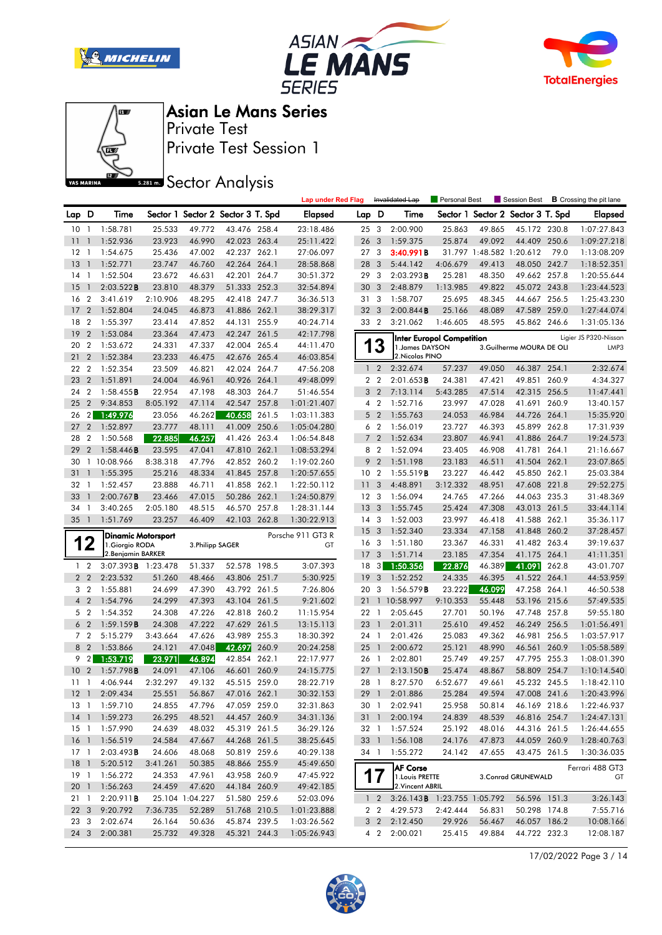







Private Test Session 1 Private Test

**SR281 mm** Sector Analysis

|                 |                |                                       |          |                  |                                   |       | <b>Lap under Red Flag</b> |                       |                         | Invalidated Lap                     | Personal Best                    |                  | Session Best                      |       | <b>B</b> Crossing the pit lane |
|-----------------|----------------|---------------------------------------|----------|------------------|-----------------------------------|-------|---------------------------|-----------------------|-------------------------|-------------------------------------|----------------------------------|------------------|-----------------------------------|-------|--------------------------------|
| Lap D           |                | Time                                  |          |                  | Sector 1 Sector 2 Sector 3 T. Spd |       | Elapsed                   | Lap D                 |                         | Time                                |                                  |                  | Sector 1 Sector 2 Sector 3 T. Spd |       | <b>Elapsed</b>                 |
| 10              | $\mathbf{1}$   | 1:58.781                              | 25.533   | 49.772           | 43.476 258.4                      |       | 23:18.486                 | 25 3                  |                         | 2:00.900                            | 25.863                           | 49.865           | 45.172 230.8                      |       | 1:07:27.843                    |
| 11              | $\overline{1}$ | 1:52.936                              | 23.923   | 46.990           | 42.023 263.4                      |       | 25:11.422                 | 26 <sub>3</sub>       |                         | 1:59.375                            | 25.874                           | 49.092           | 44.409 250.6                      |       | 1:09:27.218                    |
| 12              | $\overline{1}$ | 1:54.675                              | 25.436   | 47.002           | 42.237 262.1                      |       | 27:06.097                 | 27 <sub>3</sub>       |                         | 3:40.991B                           |                                  |                  | 31.797 1:48.582 1:20.612          | 79.0  | 1:13:08.209                    |
| 13              | $\overline{1}$ | 1:52.771                              | 23.747   | 46.760           | 42.264 264.1                      |       | 28:58.868                 | 28                    | $\mathbf{3}$            | 5:44.142                            | 4:06.679                         | 49.413           | 48.050 242.7                      |       | 1:18:52.351                    |
| 14              | $\overline{1}$ | 1:52.504                              | 23.672   | 46.631           | 42.201 264.7                      |       | 30:51.372                 | 29                    | -3                      | 2:03.293B                           | 25.281                           | 48.350           | 49.662 257.8                      |       | 1:20:55.644                    |
| 15              | $\overline{1}$ | 2:03.522B                             | 23.810   | 48.379           | 51.333 252.3                      |       | 32:54.894                 | 30                    | $\overline{3}$          | 2:48.879                            | 1:13.985                         | 49.822           | 45.072 243.8                      |       | 1:23:44.523                    |
| 16 <sub>2</sub> |                | 3:41.619                              | 2:10.906 | 48.295           | 42.418 247.7                      |       | 36:36.513                 | 31 3                  |                         | 1:58.707                            | 25.695                           | 48.345           | 44.667 256.5                      |       | 1:25:43.230                    |
| 17              | $\overline{2}$ | 1:52.804                              | 24.045   | 46.873           | 41.886 262.1                      |       | 38:29.317                 | 32 <sub>3</sub>       |                         | 2:00.844B                           | 25.166                           | 48.089           | 47.589 259.0                      |       | 1:27:44.074                    |
| 18              | $\overline{2}$ | 1:55.397                              | 23.414   | 47.852           | 44.131 255.9                      |       | 40:24.714                 | 33 2                  |                         | 3:21.062                            | 1:46.605                         | 48.595           | 45.862 246.6                      |       | 1:31:05.136                    |
| 19              | $\overline{2}$ | 1:53.084                              | 23.364   | 47.473           | 42.247 261.5                      |       | 42:17.798                 |                       |                         |                                     | <b>Inter Europol Competition</b> |                  |                                   |       | Ligier JS P320-Nissan          |
| 20 2            |                | 1:53.672                              | 24.331   | 47.337           | 42.004 265.4                      |       | 44:11.470                 |                       | 13                      | 1. James DAYSON                     |                                  |                  | 3.Guilherme MOURA DE OLI          |       | LMP3                           |
| 21              | $\overline{2}$ | 1:52.384                              | 23.233   | 46.475           | 42.676 265.4                      |       | 46:03.854                 |                       |                         | 2. Nicolas PINO                     |                                  |                  |                                   |       |                                |
| 22 2            |                | 1:52.354                              | 23.509   | 46.821           | 42.024                            | 264.7 | 47:56.208                 |                       | $1\quad2$               | 2:32.674                            | 57.237                           | 49.050           | 46.387 254.1                      |       | 2:32.674                       |
| 23 2            |                | 1:51.891                              | 24.004   | 46.961           | 40.926 264.1                      |       | 49:48.099                 |                       | 2 <sub>2</sub>          | 2:01.653B                           | 24.381                           | 47.421           | 49.851 260.9                      |       | 4:34.327                       |
| 24 2            |                | 1:58.455B                             | 22.954   | 47.198           | 48.303 264.7                      |       | 51:46.554                 | 3                     | $\overline{2}$          | 7:13.114                            | 5:43.285                         | 47.514           | 42.315 256.5                      |       | 11:47.441                      |
| 25              | $\overline{2}$ | 9:34.853                              | 8:05.192 | 47.114           | 42.547                            | 257.8 | 1:01:21.407               |                       | 4 2                     | 1:52.716                            | 23.997                           | 47.028           | 41.691                            | 260.9 | 13:40.157                      |
| 26              | $\overline{2}$ | 1:49.976                              | 23.056   | 46.262           | 40.658                            | 261.5 | 1:03:11.383               | 5                     | $\overline{2}$          | 1:55.763                            | 24.053                           | 46.984           | 44.726 264.1                      |       | 15:35.920                      |
| 27              | $\overline{2}$ | 1:52.897                              | 23.777   | 48.111           | 41.009 250.6                      |       | 1:05:04.280               |                       | 6 <sub>2</sub>          | 1:56.019                            | 23.727                           | 46.393           | 45.899 262.8                      |       | 17:31.939                      |
| 28              | $\overline{2}$ | 1:50.568                              | 22.885   | 46.257           | 41.426 263.4                      |       | 1:06:54.848               |                       | 7 <sub>2</sub>          | 1:52.634                            | 23.807                           | 46.941           | 41.886 264.7                      |       | 19:24.573                      |
| 29              | $\overline{2}$ | 1:58.446B                             | 23.595   | 47.041           | 47.810 262.1                      |       | 1:08:53.294               | 8                     | $\overline{2}$          | 1:52.094                            | 23.405                           | 46.908           | 41.781 264.1                      |       | 21:16.667                      |
| 30              |                | 1 10:08.966                           | 8:38.318 | 47.796           | 42.852 260.2                      |       | 1:19:02.260               | 9                     | $\overline{2}$          | 1:51.198                            | 23.183                           | 46.511           | 41.504 262.1                      |       | 23:07.865                      |
| 31              | $\mathbf{1}$   | 1:55.395                              | 25.216   | 48.334           | 41.845 257.8                      |       | 1:20:57.655               | 10 <sub>2</sub>       |                         | 1:55.519B                           | 23.227                           | 46.442           | 45.850 262.1                      |       | 25:03.384                      |
| 32 1            |                | 1:52.457                              | 23.888   | 46.711           | 41.858 262.1                      |       | 1:22:50.112               | 11                    | -3                      | 4:48.891                            | 3:12.332                         | 48.951           | 47.608 221.8                      |       | 29:52.275                      |
| 33              | $\mathbf{1}$   | $2:00.767$ <b>B</b>                   | 23.466   | 47.015           | 50.286 262.1                      |       | 1:24:50.879               | 12 <sup>3</sup>       |                         | 1:56.094                            | 24.765                           | 47.266           | 44.063 235.3                      |       | 31:48.369                      |
| 34              | -1             | 3:40.265                              | 2:05.180 | 48.515           | 46.570 257.8                      |       | 1:28:31.144               | 13                    | $\overline{\mathbf{3}}$ | 1:55.745                            | 25.424                           | 47.308           | 43.013 261.5                      |       | 33:44.114                      |
| 35              | $\overline{1}$ | 1:51.769                              | 23.257   | 46.409           | 42.103 262.8                      |       | 1:30:22.913               | 14 <sup>3</sup><br>15 | $\overline{\mathbf{3}}$ | 1:52.003<br>1:52.340                | 23.997<br>23.334                 | 46.418<br>47.158 | 41.588 262.1<br>41.848 260.2      |       | 35:36.117<br>37:28.457         |
|                 | 12             | <b>Dinamic Motorsport</b>             |          |                  |                                   |       | Porsche 911 GT3 R         | 16 3                  |                         | 1:51.180                            | 23.367                           | 46.331           | 41.482 263.4                      |       | 39:19.637                      |
|                 |                | 1. Giorgio RODA<br>2. Benjamin BARKER |          | 3. Philipp SAGER |                                   |       | GT                        | 17                    | $\overline{\mathbf{3}}$ | 1:51.714                            | 23.185                           | 47.354           | 41.175 264.1                      |       | 41:11.351                      |
|                 | $1\quad 2$     | 3:07.393 <b>B</b> 1:23.478            |          | 51.337           | 52.578 198.5                      |       | 3:07.393                  | 18 3                  |                         | 1:50.356                            | 22.876                           | 46.389           | 41.091                            | 262.8 | 43:01.707                      |
|                 | 2 <sub>2</sub> | 2:23.532                              | 51.260   | 48.466           | 43.806 251.7                      |       | 5:30.925                  | 19                    | $\overline{\mathbf{3}}$ | 1:52.252                            | 24.335                           | 46.395           | 41.522 264.1                      |       | 44:53.959                      |
| 3               | $\overline{2}$ | 1:55.881                              | 24.699   | 47.390           | 43.792 261.5                      |       | 7:26.806                  | 20                    | -3                      | $1:56.579$ <b>B</b>                 | 23.222                           | 46.099           | 47.258 264.1                      |       | 46:50.538                      |
| $\overline{4}$  | $\overline{2}$ | 1:54.796                              | 24.299   | 47.393           | 43.104 261.5                      |       | 9:21.602                  | 21                    |                         | 1 10:58.997                         | 9:10.353                         | 55.448           | 53.196 215.6                      |       | 57:49.535                      |
|                 | 5 <sub>2</sub> | 1:54.352                              | 24.308   | 47.226           | 42.818 260.2                      |       | 11:15.954                 | 22 1                  |                         | 2:05.645                            | 27.701                           | 50.196           | 47.748 257.8                      |       | 59:55.180                      |
|                 | 6 <sub>2</sub> | 1:59.159B                             | 24.308   | 47.222           | 47.629 261.5                      |       | 13:15.113                 | 23 1                  |                         | 2:01.311                            | 25.610                           | 49.452           | 46.249 256.5                      |       | 1:01:56.491                    |
| 7 <sub>2</sub>  |                | 5:15.279                              | 3:43.664 | 47.626           | 43.989 255.3                      |       | 18:30.392                 | 24 1                  |                         | 2:01.426                            | 25.083                           | 49.362           | 46.981                            | 256.5 | 1:03:57.917                    |
| 8 2             |                | 1:53.866                              | 24.121   | 47.048           | 42.697                            | 260.9 | 20:24.258                 | 25                    | $\overline{1}$          | 2:00.672                            | 25.121                           | 48.990           | 46.561 260.9                      |       | 1:05:58.589                    |
|                 | 92             | 1:53.719                              | 23.971   | 46.894           | 42.854 262.1                      |       | 22:17.977                 | 26 1                  |                         | 2:02.801                            | 25.749                           | 49.257           | 47.795 255.3                      |       | 1:08:01.390                    |
| 10 <sub>2</sub> |                | 1:57.798B                             | 24.091   | 47.106           | 46.601                            | 260.9 | 24:15.775                 | 271                   |                         | 2:13.150B                           | 25.474                           | 48.867           | 58.809 254.7                      |       | 1:10:14.540                    |
| 1111            |                | 4:06.944                              | 2:32.297 | 49.132           | 45.515 259.0                      |       | 28:22.719                 | 28 1                  |                         | 8:27.570                            | 6:52.677                         | 49.661           | 45.232 245.5                      |       | 1:18:42.110                    |
|                 |                | 12 1 2:09.434                         | 25.551   | 56.867           | 47.016 262.1                      |       | 30:32.153                 |                       | $29$ 1                  | 2:01.886                            | 25.284                           | 49.594           |                                   |       | 47.008 241.6 1:20:43.996       |
|                 |                | 13 1 1:59.710                         | 24.855   | 47.796           | 47.059 259.0                      |       | 32:31.863                 |                       |                         | 30 1 2:02.941                       | 25.958                           | 50.814           | 46.169 218.6                      |       | 1:22:46.937                    |
|                 |                | 14 1 1:59.273                         | 26.295   | 48.521           | 44.457 260.9                      |       | 34:31.136                 |                       | $31 \quad 1$            | 2:00.194                            | 24.839                           | 48.539           | 46.816 254.7                      |       | 1:24:47.131                    |
|                 |                | 15 1 1:57.990                         | 24.639   | 48.032           | 45.319 261.5                      |       | 36:29.126                 |                       |                         | 32 1 1:57.524                       | 25.192                           | 48.016           | 44.316 261.5                      |       | 1:26:44.655                    |
|                 |                | 16 1 1:56.519                         | 24.584   | 47.667           | 44.268 261.5                      |       | 38:25.645                 |                       |                         | 33 1 1:56.108                       | 24.176                           | 47.873           | 44.059 260.9                      |       | 1:28:40.763                    |
|                 |                | 17 1 2:03.493 <b>B</b>                | 24.606   | 48.068           | 50.819 259.6                      |       | 40:29.138                 |                       |                         | 34 1 1:55.272                       | 24.142                           | 47.655           | 43.475 261.5                      |       | 1:30:36.035                    |
| 18 <sup>1</sup> |                | 5:20.512                              | 3:41.261 | 50.385           | 48.866 255.9                      |       | 45:49.650                 |                       |                         | <b>AF Corse</b>                     |                                  |                  |                                   |       | Ferrari 488 GT3                |
| 19 1            |                | 1:56.272                              | 24.353   | 47.961           | 43.958 260.9                      |       | 47:45.922                 |                       | 17                      | 1. Louis PRETTE                     |                                  |                  | 3. Conrad GRUNEWALD               |       | GT                             |
| 201             |                | 1:56.263                              | 24.459   | 47.620           | 44.184 260.9                      |       | 49:42.185                 |                       |                         | 2. Vincent ABRIL                    |                                  |                  |                                   |       |                                |
| 211             |                | 2:20.911B                             |          | 25.104 1:04.227  | 51.580 259.6                      |       | 52:03.096                 |                       | $1\quad 2$              | 3:26.143 <b>B</b> 1:23.755 1:05.792 |                                  |                  | 56.596 151.3                      |       | 3:26.143                       |
| 22 <sub>3</sub> |                | 9:20.792                              | 7:36.735 | 52.289           | 51.768 210.5                      |       | 1:01:23.888               |                       |                         | 2 2 4:29.573                        | 2:42.444                         | 56.831           | 50.298 174.8                      |       | 7:55.716                       |
| 23 3            |                | 2:02.674                              | 26.164   | 50.636           | 45.874 239.5                      |       | 1:03:26.562               |                       |                         | 3 2 2:12.450                        | 29.926                           | 56.467           | 46.057 186.2                      |       | 10:08.166                      |
| 24 3            |                | 2:00.381                              | 25.732   | 49.328           | 45.321 244.3                      |       | 1:05:26.943               |                       |                         | 4 2 2:00.021                        | 25.415                           | 49.884           | 44.722 232.3                      |       | 12:08.187                      |

17/02/2022 Page 3 / 14

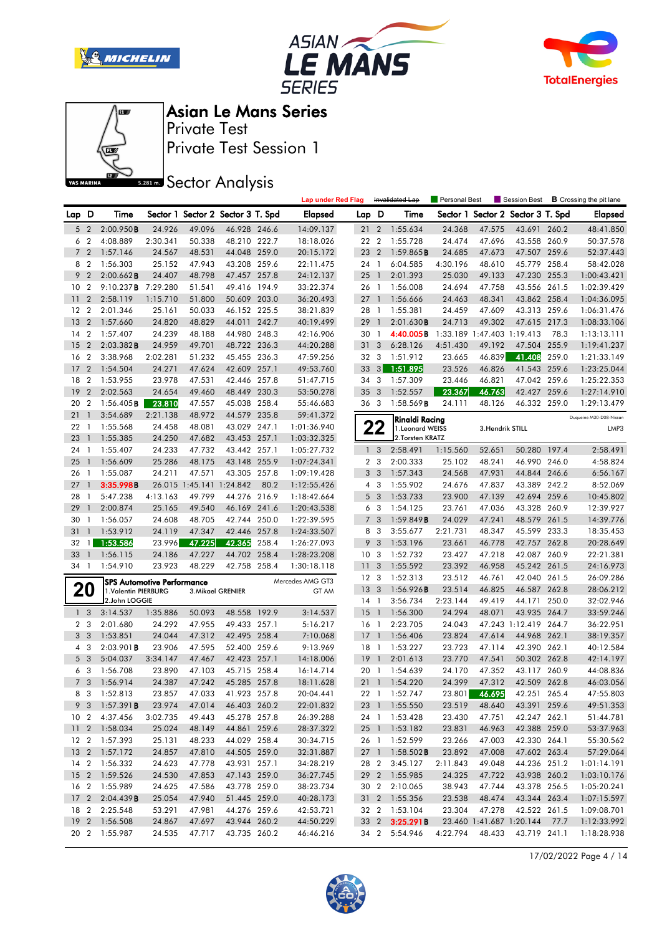







Private Test Session 1 Private Test

**SREAD** Sector Analysis

|                |                |                                      |                                   |                          |                                   |       | <b>Lap under Red Flag</b> |                       |                | Invalidated Lap       | <b>Personal Best</b> |                               | Session Best                 |       | <b>B</b> Crossing the pit lane |
|----------------|----------------|--------------------------------------|-----------------------------------|--------------------------|-----------------------------------|-------|---------------------------|-----------------------|----------------|-----------------------|----------------------|-------------------------------|------------------------------|-------|--------------------------------|
| Lap D          |                | Time                                 |                                   |                          | Sector 1 Sector 2 Sector 3 T. Spd |       | Elapsed                   | Lap D                 |                | Time                  | Sector 1             | Sector 2 Sector 3 T. Spd      |                              |       | <b>Elapsed</b>                 |
| 5              | $\overline{2}$ | 2:00.950B                            | 24.926                            | 49.096                   | 46.928 246.6                      |       | 14:09.137                 | 21                    | $\overline{2}$ | 1:55.634              | 24.368               | 47.575                        | 43.691 260.2                 |       | 48:41.850                      |
| 6              | $\overline{2}$ | 4:08.889                             | 2:30.341                          | 50.338                   | 48.210 222.7                      |       | 18:18.026                 | 22 2                  |                | 1:55.728              | 24.474               | 47.696                        | 43.558 260.9                 |       | 50:37.578                      |
|                | 7 <sub>2</sub> | 1:57.146                             | 24.567                            | 48.531                   | 44.048 259.0                      |       | 20:15.172                 | 23                    | $\overline{2}$ | 1:59.865B             | 24.685               | 47.673                        | 47.507 259.6                 |       | 52:37.443                      |
| 8              | $\overline{2}$ | 1:56.303                             | 25.152                            | 47.943                   | 43.208 259.6                      |       | 22:11.475                 | 24 1                  |                | 6:04.585              | 4:30.196             | 48.610                        | 45.779 258.4                 |       | 58:42.028                      |
| 9              | $\overline{2}$ | $2:00.662$ B                         | 24.407                            | 48.798                   | 47.457 257.8                      |       | 24:12.137                 | 25                    | $\overline{1}$ | 2:01.393              | 25.030               | 49.133                        | 47.230                       | 255.3 | 1:00:43.421                    |
| 10             | $\overline{2}$ | 9:10.237B                            | 7:29.280                          | 51.541                   | 49.416 194.9                      |       | 33:22.374                 | 26 1                  |                | 1:56.008              | 24.694               | 47.758                        | 43.556 261.5                 |       | 1:02:39.429                    |
| 11             | $\overline{2}$ | 2:58.119                             | 1:15.710                          | 51.800                   | 50.609 203.0                      |       | 36:20.493                 | $27-1$                |                | 1:56.666              | 24.463               | 48.341                        | 43.862 258.4                 |       | 1:04:36.095                    |
| $12 \,$        | $\overline{2}$ | 2:01.346                             | 25.161                            | 50.033                   | 46.152 225.5                      |       | 38:21.839                 | 28 1                  |                | 1:55.381              | 24.459               | 47.609                        | 43.313 259.6                 |       | 1:06:31.476                    |
| 13             | $\overline{2}$ | 1:57.660                             | 24.820                            | 48.829                   | 44.011 242.7                      |       | 40:19.499                 | 29                    | $\overline{1}$ | 2:01.630B             | 24.713               | 49.302                        | 47.615 217.3                 |       | 1:08:33.106                    |
| 14             | $\overline{2}$ | 1:57.407                             | 24.239                            | 48.188                   | 44.980 248.3                      |       | 42:16.906                 | 30                    | $\overline{1}$ | 4:40.005B             |                      | 1:33.189 1:47.403 1:19.413    |                              | 78.3  | 1:13:13.111                    |
| 15             | $\overline{2}$ | 2:03.382B                            | 24.959                            | 49.701                   | 48.722 236.3                      |       | 44:20.288                 | 31                    | 3              | 6:28.126              | 4:51.430             | 49.192                        | 47.504                       | 255.9 | 1:19:41.237                    |
| 16             | $\overline{2}$ | 3:38.968                             | 2:02.281                          | 51.232                   | 45.455 236.3                      |       | 47:59.256                 | 32 3                  |                | 1:51.912              | 23.665               | 46.839                        | 41.408                       | 259.0 | 1:21:33.149                    |
| 17             | $\overline{2}$ | 1:54.504                             | 24.271                            | 47.624                   | 42.609 257.1                      |       | 49:53.760                 | 33                    | 3              | 1:51.895              | 23.526               | 46.826                        | 41.543                       | 259.6 | 1:23:25.044                    |
| 18             | $\overline{2}$ | 1:53.955                             | 23.978                            | 47.531                   | 42.446 257.8                      |       | 51:47.715                 | 34                    | -3             | 1:57.309              | 23.446               | 46.821                        | 47.042 259.6                 |       | 1:25:22.353                    |
| 19             | $\overline{2}$ | 2:02.563                             | 24.654                            | 49.460                   | 48.449 230.3                      |       | 53:50.278                 | 35                    | 3              | 1:52.557              | 23.367               | 46.763                        | 42.427 259.6                 |       | 1:27:14.910                    |
| 20             | $\overline{2}$ | $1:56.405$ <b>B</b>                  | 23.810                            | 47.557                   | 45.038 258.4                      |       | 55:46.683                 | 36 3                  |                | $1:58.569$ <b>B</b>   | 24.111               | 48.126                        | 46.332 259.0                 |       | 1:29:13.479                    |
| 21             | $\overline{1}$ | 3:54.689                             | 2:21.138                          | 48.972                   | 44.579 235.8                      |       | 59:41.372                 |                       |                | Rinaldi Racina        |                      |                               |                              |       | Duqueine M30-D08-Nissan        |
| 22             | -1             | 1:55.568                             | 24.458                            | 48.081                   | 43.029 247.1                      |       | 1:01:36.940               |                       | 22             | 1. Leonard WEISS      |                      | 3. Hendrik STILL              |                              |       | LMP3                           |
| 23             | $\overline{1}$ | 1:55.385                             | 24.250                            | 47.682                   | 43.453 257.1                      |       | 1:03:32.325               |                       |                | 2.Torsten KRATZ       |                      |                               |                              |       |                                |
| 24             | $\overline{1}$ | 1:55.407                             | 24.233                            | 47.732                   | 43.442 257.1                      |       | 1:05:27.732               | $\mathbf{1}$          | 3              | 2:58.491              | 1:15.560             | 52.651                        | 50.280 197.4                 |       | 2:58.491                       |
| 25             | $\overline{1}$ | 1:56.609                             | 25.286                            | 48.175                   | 43.148 255.9                      |       | 1:07:24.341               |                       | 2 <sub>3</sub> | 2:00.333              | 25.102               | 48.241                        | 46.990 246.0                 |       | 4:58.824                       |
| 26             | -1             | 1:55.087                             | 24.211                            | 47.571                   | 43.305 257.8                      |       | 1:09:19.428               |                       | 3 <sub>3</sub> | 1:57.343              | 24.568               | 47.931                        | 44.844 246.6                 |       | 6:56.167                       |
| 27             | $\overline{1}$ | 3:35.998B                            |                                   | 26.015 1:45.141 1:24.842 |                                   | 80.2  | 1:12:55.426               |                       | 4 3            | 1:55.902              | 24.676               | 47.837                        | 43.389 242.2                 |       | 8:52.069                       |
| 28             | -1             | 5:47.238                             | 4:13.163                          | 49.799                   | 44.276 216.9                      |       | 1:18:42.664               |                       | 5 <sub>3</sub> | 1:53.733              | 23.900               | 47.139                        | 42.694 259.6                 |       | 10:45.802                      |
| 29             | $\mathbf{1}$   | 2:00.874                             | 25.165                            | 49.540                   | 46.169 241.6                      |       | 1:20:43.538               |                       | 6 3            | 1:54.125              | 23.761               | 47.036                        | 43.328                       | 260.9 | 12:39.927                      |
| 30             | -1             | 1:56.057                             | 24.608                            | 48.705                   | 42.744 250.0                      |       | 1:22:39.595               | 7 <sup>7</sup>        | 3              | 1:59.849B             | 24.029               | 47.241                        | 48.579 261.5                 |       | 14:39.776                      |
| 31             | $\mathbf{1}$   | 1:53.912                             | 24.119                            | 47.347                   | 42.446 257.8                      |       | 1:24:33.507               |                       | 8 3            | 3:55.677              | 2:21.731             | 48.347                        | 45.599 233.3                 |       | 18:35.453                      |
| 32             | $\mathbf{1}$   | 1:53.586                             | 23.996                            | 47.225                   | 42.365                            | 258.4 | 1:26:27.093               | 9                     | 3              | 1:53.196              | 23.661               | 46.778                        | 42.757 262.8                 |       | 20:28.649                      |
| 33             | $\overline{1}$ | 1:56.115                             | 24.186                            | 47.227                   | 44.702 258.4                      |       | 1:28:23.208               | 10 <sub>3</sub>       |                | 1:52.732              | 23.427               | 47.218                        | 42.087 260.9                 |       | 22:21.381                      |
| 34 1           |                | 1:54.910                             | 23.923                            | 48.229                   | 42.758 258.4                      |       | 1:30:18.118               | 11<br>12 <sup>3</sup> | 3              | 1:55.592              | 23.392               | 46.958                        | 45.242 261.5                 |       | 24:16.973                      |
|                |                |                                      | <b>SPS Automotive Performance</b> |                          |                                   |       | Mercedes AMG GT3          | 13 <sup>7</sup>       | 3              | 1:52.313<br>1:56.926B | 23.512<br>23.514     | 46.761<br>46.825              | 42.040 261.5<br>46.587 262.8 |       | 26:09.286<br>28:06.212         |
|                | 20             | 1.Valentin PIERBURG<br>2.John LOGGIE |                                   |                          | 3. Mikael GRENIER                 |       | GT AM                     | 14                    | $\overline{1}$ | 3:56.734              | 2:23.144             | 49.419                        | 44.171                       | 250.0 | 32:02.946                      |
| 1 <sub>3</sub> |                | 3:14.537                             | 1:35.886                          | 50.093                   | 48.558                            | 192.9 | 3:14.537                  | 15                    | $\overline{1}$ | 1:56.300              | 24.294               | 48.071                        | 43.935 264.7                 |       | 33:59.246                      |
| 2 <sub>3</sub> |                | 2:01.680                             | 24.292                            | 47.955                   | 49.433 257.1                      |       | 5:16.217                  | 16 <sub>1</sub>       |                | 2:23.705              | 24.043               |                               | 47.243 1:12.419 264.7        |       | 36:22.951                      |
| 3              | -3             | 1:53.851                             | 24.044                            | 47.312                   | 42.495 258.4                      |       | 7:10.068                  | $17-1$                |                | 1:56.406              | 23.824               | 47.614                        | 44.968                       | 262.1 | 38:19.357                      |
|                | 4 <sup>3</sup> | $2:03.901$ B                         | 23.906                            | 47.595                   | 52.400 259.6                      |       | 9:13.969                  | $18-1$                |                | 1:53.227              | 23.723               | 47.114                        | 42.390 262.1                 |       | 40:12.584                      |
|                | 5 <sub>3</sub> | 5:04.037                             | 3:34.147                          | 47.467                   | 42.423 257.1                      |       | 14:18.006                 | 19                    | $\overline{1}$ | 2:01.613              | 23.770               | 47.541                        | 50.302 262.8                 |       | 42:14.197                      |
| 6              | -3             | 1:56.708                             | 23.890                            | 47.103                   | 45.715 258.4                      |       | 16:14.714                 | 20 1                  |                | 1:54.639              | 24.170               | 47.352                        | 43.117 260.9                 |       | 44:08.836                      |
|                | 7 <sub>3</sub> | 1:56.914                             | 24.387                            | 47.242                   | 45.285 257.8                      |       | 18:11.628                 |                       |                | 21 1 1:54.220         | 24.399               | 47.312                        | 42.509 262.8                 |       | 46:03.056                      |
|                | 8 3            | 1:52.813                             | 23.857                            | 47.033                   | 41.923 257.8                      |       | 20:04.441                 |                       |                | 22 1 1:52.747         | 23.801               | 46.695                        | 42.251 265.4                 |       | 47:55.803                      |
|                |                | 9 3 1:57.391 <b>B</b>                | 23.974                            | 47.014                   | 46.403 260.2                      |       | 22:01.832                 |                       |                | 23 1 1:55.550         | 23.519               | 48.640                        | 43.391 259.6                 |       | 49:51.353                      |
|                |                | 10 2 4:37.456                        | 3:02.735                          | 49.443                   | 45.278 257.8                      |       | 26:39.288                 |                       |                | 24 1 1:53.428         | 23.430               | 47.751                        | 42.247 262.1                 |       | 51:44.781                      |
|                |                | 11 2 1:58.034                        | 25.024                            | 48.149                   | 44.861 259.6                      |       | 28:37.322                 |                       |                | 25 1 1:53.182         | 23.831               | 46.963                        | 42.388 259.0                 |       | 53:37.963                      |
|                |                | 12 2 1:57.393                        | 25.131                            | 48.233                   | 44.029 258.4                      |       | 30:34.715                 |                       |                | 26 1 1:52.599         | 23.266               | 47.003                        | 42.330 264.1                 |       | 55:30.562                      |
|                |                | 13 2 1:57.172                        | 24.857                            | 47.810                   | 44.505 259.0                      |       | 32:31.887                 |                       |                | 27 1 1:58.502B        | 23.892               | 47.008                        | 47.602 263.4                 |       | 57:29.064                      |
|                |                | 14 2 1:56.332                        | 24.623                            | 47.778                   | 43.931 257.1                      |       | 34:28.219                 |                       | 28 2           | 3:45.127              | 2:11.843             | 49.048                        | 44.236 251.2                 |       | 1:01:14.191                    |
|                |                | 15 2 1:59.526                        | 24.530                            | 47.853                   | 47.143 259.0                      |       | 36:27.745                 |                       |                | 29 2 1:55.985         | 24.325               | 47.722                        | 43.938 260.2                 |       | 1:03:10.176                    |
|                |                | 16 2 1:55.989                        | 24.625                            | 47.586                   | 43.778 259.0                      |       | 38:23.734                 |                       | 30 2           | 2:10.065              | 38.943               | 47.744                        | 43.378 256.5                 |       | 1:05:20.241                    |
|                |                | 17 2 2:04.439 <b>B</b>               | 25.054                            | 47.940                   | 51.445 259.0                      |       | 40:28.173                 |                       |                | 31 2 1:55.356         | 23.538               | 48.474                        | 43.344 263.4                 |       | 1:07:15.597                    |
|                |                | 18 2 2:25.548                        | 53.291                            | 47.981                   | 44.276 259.6                      |       | 42:53.721                 |                       |                | 32 2 1:53.104         | 23.304               | 47.278                        | 42.522 261.5                 |       | 1:09:08.701                    |
|                |                | 19 2 1:56.508                        | 24.867                            | 47.697                   | 43.944 260.2                      |       | 44:50.229                 |                       |                | 33 2 <b>3:25.291B</b> |                      | 23.460 1:41.687 1:20.144 77.7 |                              |       | 1:12:33.992                    |
|                |                | 20 2 1:55.987                        | 24.535                            | 47.717                   | 43.735 260.2                      |       | 46:46.216                 |                       |                | 34 2 5:54.946         | 4:22.794             | 48.433                        | 43.719 241.1                 |       | 1:18:28.938                    |

17/02/2022 Page 4 / 14

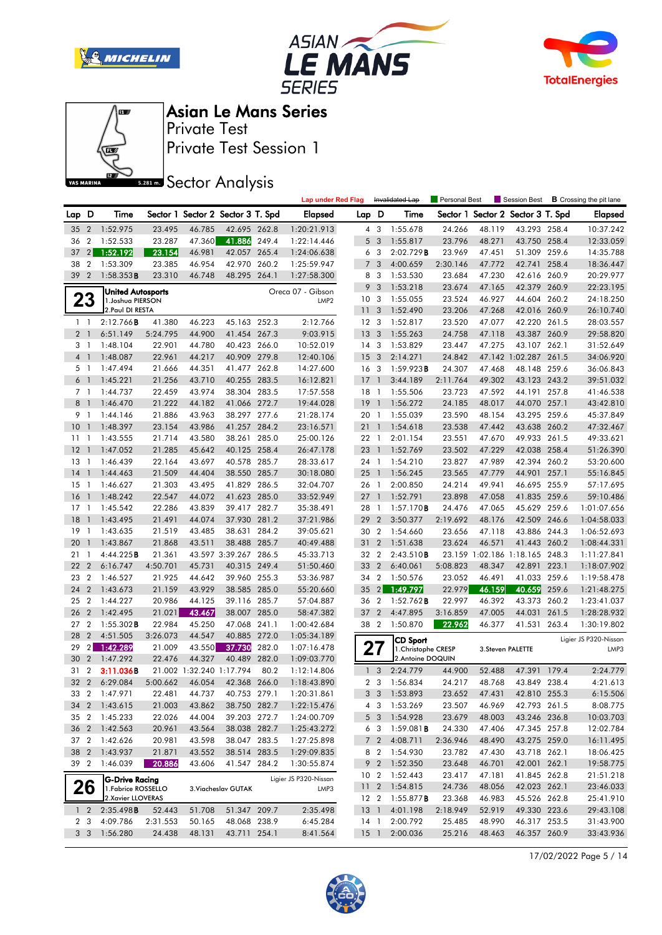







Private Test Session 1 Private Test

**SREAD** Sector Analysis

|                |                  |                       |          |                          |                                   |       | <b>Lap under Red Flag</b> |                 |                | Invalidated Lap        | Personal Best |        | Session Best                      |       | <b>B</b> Crossing the pit lane |
|----------------|------------------|-----------------------|----------|--------------------------|-----------------------------------|-------|---------------------------|-----------------|----------------|------------------------|---------------|--------|-----------------------------------|-------|--------------------------------|
| Lap D          |                  | Time                  |          |                          | Sector 1 Sector 2 Sector 3 T. Spd |       | <b>Elapsed</b>            | Lap D           |                | Time                   |               |        | Sector 1 Sector 2 Sector 3 T. Spd |       | Elapsed                        |
| 35             | $\overline{2}$   | 1:52.975              | 23.495   | 46.785                   | 42.695 262.8                      |       | 1:20:21.913               |                 | $4 \quad 3$    | 1:55.678               | 24.266        | 48.119 | 43.293 258.4                      |       | 10:37.242                      |
| 36             | $\overline{2}$   | 1:52.533              | 23.287   | 47.360                   | 41.886                            | 249.4 | 1:22:14.446               | 5               | $\mathbf{3}$   | 1:55.817               | 23.796        | 48.271 | 43.750 258.4                      |       | 12:33.059                      |
| 37             | 2 <sup>1</sup>   | 1:52.192              | 23.154   | 46.981                   | 42.057 265.4                      |       | 1:24:06.638               |                 | 6 <sub>3</sub> | 2:02.729B              | 23.969        | 47.451 | 51.309 259.6                      |       | 14:35.788                      |
| 38             | $\boldsymbol{2}$ | 1:53.309              | 23.385   | 46.954                   | 42.970 260.2                      |       | 1:25:59.947               | 7               | 3              | 4:00.659               | 2:30.146      | 47.772 | 42.741 258.4                      |       | 18:36.447                      |
| 39             | $\overline{2}$   | $1:58.353$ B          | 23.310   | 46.748                   | 48.295                            | 264.1 | 1:27:58.300               | 8               | -3             | 1:53.530               | 23.684        | 47.230 | 42.616 260.9                      |       | 20:29.977                      |
|                |                  | United Autosports     |          |                          |                                   |       | Oreca 07 - Gibson         | 9               | 3              | 1:53.218               | 23.674        | 47.165 | 42.379 260.9                      |       | 22:23.195                      |
|                | 23               | 1. Joshua PIERSON     |          |                          |                                   |       | LMP <sub>2</sub>          | 10 <sup>3</sup> |                | 1:55.055               | 23.524        | 46.927 | 44.604 260.2                      |       | 24:18.250                      |
|                |                  | 2. Paul DI RESTA      |          |                          |                                   |       |                           | 11              | 3              | 1:52.490               | 23.206        | 47.268 | 42.016 260.9                      |       | 26:10.740                      |
|                | $1\quad$         | 2:12.766B             | 41.380   | 46.223                   | 45.163 252.3                      |       | 2:12.766                  | 12 <sup>3</sup> |                | 1:52.817               | 23.520        | 47.077 | 42.220 261.5                      |       | 28:03.557                      |
| $\overline{2}$ | $\overline{1}$   | 6:51.149              | 5:24.795 | 44.900                   | 41.454 267.3                      |       | 9:03.915                  | 13              | $\overline{3}$ | 1:55.263               | 24.758        | 47.118 | 43.387 260.9                      |       | 29:58.820                      |
|                | 3 1              | 1:48.104              | 22.901   | 44.780                   | 40.423 266.0                      |       | 10:52.019                 | 14 <sup>3</sup> |                | 1:53.829               | 23.447        | 47.275 | 43.107 262.1                      |       | 31:52.649                      |
|                | 4 <sub>1</sub>   | 1:48.087              | 22.961   | 44.217                   | 40.909 279.8                      |       | 12:40.106                 | 15              | $\overline{3}$ | 2:14.271               | 24.842        |        | 47.142 1:02.287 261.5             |       | 34:06.920                      |
|                | 5 <sub>1</sub>   | 1:47.494              | 21.666   | 44.351                   | 41.477 262.8                      |       | 14:27.600                 | 16 <sub>3</sub> |                | 1:59.923B              | 24.307        | 47.468 | 48.148 259.6                      |       | 36:06.843                      |
| 6              | $\overline{1}$   | 1:45.221              | 21.256   | 43.710                   | 40.255 283.5                      |       | 16:12.821                 | 17              | $\mathbf{1}$   | 3:44.189               | 2:11.764      | 49.302 | 43.123 243.2                      |       | 39:51.032                      |
|                | 7 <sub>1</sub>   | 1:44.737              | 22.459   | 43.974                   | 38.304 283.5                      |       | 17:57.558                 | 18 1            |                | 1:55.506               | 23.723        | 47.592 | 44.191 257.8                      |       | 41:46.538                      |
| 8              | $\overline{1}$   | 1:46.470              | 21.222   | 44.182                   | 41.066 272.7                      |       | 19:44.028                 | 19              | $\overline{1}$ | 1:56.272               | 24.185        | 48.017 | 44.070 257.1                      |       | 43:42.810                      |
| 9              | $\overline{1}$   | 1:44.146              | 21.886   | 43.963                   | 38.297 277.6                      |       | 21:28.174                 | 20              | $\overline{1}$ | 1:55.039               | 23.590        | 48.154 | 43.295 259.6                      |       | 45:37.849                      |
| 10             | $\mathbf{1}$     | 1:48.397              | 23.154   | 43.986                   | 41.257 284.2                      |       | 23:16.571                 | 21              | $\mathbf{1}$   | 1:54.618               | 23.538        | 47.442 | 43.638 260.2                      |       | 47:32.467                      |
| 11             | - 1              | 1:43.555              | 21.714   | 43.580                   | 38.261 285.0                      |       | 25:00.126                 | 22 1            |                | 2:01.154               | 23.551        | 47.670 | 49.933 261.5                      |       | 49:33.621                      |
| 12             | $\mathbf{1}$     | 1:47.052              | 21.285   | 45.642                   | 40.125 258.4                      |       | 26:47.178                 | 23              | $\overline{1}$ | 1:52.769               | 23.502        | 47.229 | 42.038 258.4                      |       | 51:26.390                      |
| 13             | $\mathbf{1}$     | 1:46.439              | 22.164   | 43.697                   | 40.578                            | 285.7 | 28:33.617                 | 24 1            |                | 1:54.210               | 23.827        | 47.989 | 42.394 260.2                      |       | 53:20.600                      |
| 14             | $\mathbf{1}$     | 1:44.463              | 21.509   | 44.404                   | 38.550 285.7                      |       | 30:18.080                 | 25              |                | 1:56.245               | 23.565        | 47.779 | 44.901 257.1                      |       | 55:16.845                      |
| 15             | -1               | 1:46.627              | 21.303   | 43.495                   | 41.829 286.5                      |       | 32:04.707                 | 26 1            |                | 2:00.850               | 24.214        | 49.941 | 46.695 255.9                      |       | 57:17.695                      |
| 16             | $\mathbf{1}$     | 1:48.242              | 22.547   | 44.072                   | 41.623 285.0                      |       | 33:52.949                 | 27              | $\overline{1}$ | 1:52.791               | 23.898        | 47.058 | 41.835 259.6                      |       | 59:10.486                      |
| 17             | $\overline{1}$   | 1:45.542              | 22.286   | 43.839                   | 39.417 282.7                      |       | 35:38.491                 | 28              | $\overline{1}$ | 1:57.170B              | 24.476        | 47.065 | 45.629 259.6                      |       | 1:01:07.656                    |
| 18             |                  | 1:43.495              | 21.491   | 44.074                   | 37.930 281.2                      |       | 37:21.986                 | 29              | 2              | 3:50.377               | 2:19.692      | 48.176 | 42.509 246.6                      |       | 1:04:58.033                    |
| 19             | $\mathbf{1}$     | 1:43.635              | 21.519   | 43.485                   | 38.631                            | 284.2 | 39:05.621                 | 30 2            |                | 1:54.660               | 23.656        | 47.118 | 43.886 244.3                      |       | 1:06:52.693                    |
| 20             | $\mathbf{1}$     | 1:43.867              | 21.868   | 43.511                   | 38.488 285.7                      |       | 40:49.488                 | 31              | $\overline{2}$ | 1:51.638               | 23.624        | 46.571 | 41.443 260.2                      |       | 1:08:44.331                    |
| 21             | $\mathbf{1}$     | 4:44.225B             | 21.361   |                          | 43.597 3:39.267 286.5             |       | 45:33.713                 | 32              | 2              | 2:43.510B              |               |        | 23.159 1:02.186 1:18.165 248.3    |       | 1:11:27.841                    |
| 22             | $\overline{2}$   | 6:16.747              | 4:50.701 | 45.731                   | 40.315 249.4                      |       | 51:50.460                 | 33              | $\overline{2}$ | 6:40.061               | 5:08.823      | 48.347 | 42.891 223.1                      |       | 1:18:07.902                    |
| 23             | $\overline{2}$   | 1:46.527              | 21.925   | 44.642                   | 39.960 255.3                      |       | 53:36.987                 | 34 2            |                | 1:50.576               | 23.052        | 46.491 | 41.033 259.6                      |       | 1:19:58.478                    |
| 24             | $\overline{2}$   | 1:43.673              | 21.159   | 43.929                   | 38.585 285.0                      |       | 55:20.660                 | 35              | $\overline{2}$ | 1:49.797               | 22.979        | 46.159 | 40.659                            | 259.6 | 1:21:48.275                    |
| 25             | $\overline{2}$   | 1:44.227              | 20.986   | 44.125                   | 39.116 285.7                      |       | 57:04.887                 | 36              | $\overline{2}$ | 1:52.762B              | 22.997        | 46.392 | 43.373 260.2                      |       | 1:23:41.037                    |
| 26             | $\overline{2}$   | 1:42.495              | 21.021   | 43.467                   | 38.007 285.0                      |       | 58:47.382                 | 37              | $\overline{2}$ | 4:47.895               | 3:16.859      | 47.005 | 44.031                            | 261.5 | 1:28:28.932                    |
| 27             | $\overline{2}$   | $1:55.302$ <b>B</b>   | 22.984   | 45.250                   | 47.068 241.1                      |       | 1:00:42.684               | 38 2            |                | 1:50.870               | 22.962        | 46.377 | 41.531 263.4                      |       | 1:30:19.802                    |
| 28             | $\overline{2}$   | 4:51.505              | 3:26.073 | 44.547                   | 40.885                            | 272.0 | 1:05:34.189               |                 |                | <b>CD Sport</b>        |               |        |                                   |       | Ligier JS P320-Nissan          |
| 29             | 2 <sub>1</sub>   | 1:42.289              | 21.009   | 43.550                   | 37.730                            | 282.0 | 1:07:16.478               |                 | 27             | 1. Christophe CRESP    |               |        | 3. Steven PALETTE                 |       | LMP3                           |
| 30             | $\overline{2}$   | 1:47.292              | 22.476   | 44.327                   | 40.489                            | 282.0 | 1:09:03.770               |                 |                | 2.Antoine DOQUIN       |               |        |                                   |       |                                |
| 31             | $\overline{2}$   | 3:11.036B             |          | 21.002 1:32.240 1:17.794 |                                   | 80.2  | 1:12:14.806               | $\mathbf{1}$    | 3              | 2:24.779               | 44.900        | 52.488 | 47.391 179.4                      |       | 2:24.779                       |
| 32             | $\overline{2}$   | 6:29.084              | 5:00.662 | 46.054                   | 42.368 266.0                      |       | 1:18:43.890               |                 | 2 <sub>3</sub> | 1:56.834               | 24.217        | 48.768 | 43.849 238.4                      |       | 4:21.613                       |
|                | 33 2             | 1:47.971              | 22.481   | 44.737                   | 40.753 279.1                      |       | 1:20:31.861               |                 | 3 <sup>3</sup> | 1:53.893               | 23.652        | 47.431 | 42.810 255.3                      |       | 6:15.506                       |
|                |                  | 34 2 1:43.615         | 21.003   | 43.862                   | 38.750 282.7                      |       | 1:22:15.476               |                 |                | 4 3 1:53.269           | 23.507        | 46.969 | 42.793 261.5                      |       | 8:08.775                       |
|                |                  | 35 2 1:45.233         | 22.026   | 44.004                   | 39.203 272.7                      |       | 1:24:00.709               |                 |                | 5 3 1:54.928           | 23.679        | 48.003 | 43.246 236.8                      |       | 10:03.703                      |
|                |                  | 36 2 1:42.563         | 20.961   | 43.564                   | 38.038 282.7                      |       | 1:25:43.272               |                 | 6 3            | 1:59.081B              | 24.330        | 47.406 | 47.345 257.8                      |       | 12:02.784                      |
|                |                  | 37 2 1:42.626         | 20.981   | 43.598                   | 38.047 283.5                      |       | 1:27:25.898               |                 | 7 <sub>2</sub> | 4:08.711               | 2:36.946      | 48.490 | 43.275 259.0                      |       | 16:11.495                      |
|                |                  | 38 2 1:43.937         | 21.871   | 43.552                   | 38.514 283.5                      |       | 1:29:09.835               |                 | 8 2            | 1:54.930               | 23.782        | 47.430 | 43.718 262.1                      |       | 18:06.425                      |
|                | 39 2             | 1:46.039              | 20.886   | 43.606                   | 41.547 284.2                      |       | 1:30:55.874               |                 | 9 2            | 1:52.350               | 23.648        | 46.701 | 42.001 262.1                      |       | 19:58.775                      |
|                |                  | <b>G-Drive Racing</b> |          |                          |                                   |       | Ligier JS P320-Nissan     | 10 <sub>2</sub> |                | 1:52.443               | 23.417        | 47.181 | 41.845 262.8                      |       | 21:51.218                      |
|                | 26               | 1. Fabrice ROSSELLO   |          |                          | 3. Viacheslav GUTAK               |       | LMP3                      | 11 <sub>2</sub> |                | 1:54.815               | 24.736        | 48.056 | 42.023 262.1                      |       | 23:46.033                      |
|                |                  | 2.Xavier LLOVERAS     |          |                          |                                   |       |                           |                 |                | 12 2 1:55.877 <b>B</b> | 23.368        | 46.983 | 45.526 262.8                      |       | 25:41.910                      |
|                | $1\quad2$        | 2:35.498B             | 52.443   | 51.708                   | 51.347 209.7                      |       | 2:35.498                  |                 |                | 13 1 4:01.198          | 2:18.949      | 52.919 | 49.330 223.6                      |       | 29:43.108                      |
|                | 2 3              | 4:09.786              | 2:31.553 | 50.165                   | 48.068 238.9                      |       | 6:45.284                  | 14 1            |                | 2:00.792               | 25.485        | 48.990 | 46.317 253.5                      |       | 31:43.900                      |
|                | 3 <sub>3</sub>   | 1:56.280              | 24.438   | 48.131                   | 43.711 254.1                      |       | 8:41.564                  | $15-1$          |                | 2:00.036               | 25.216        | 48.463 | 46.357 260.9                      |       | 33:43.936                      |

17/02/2022 Page 5 / 14

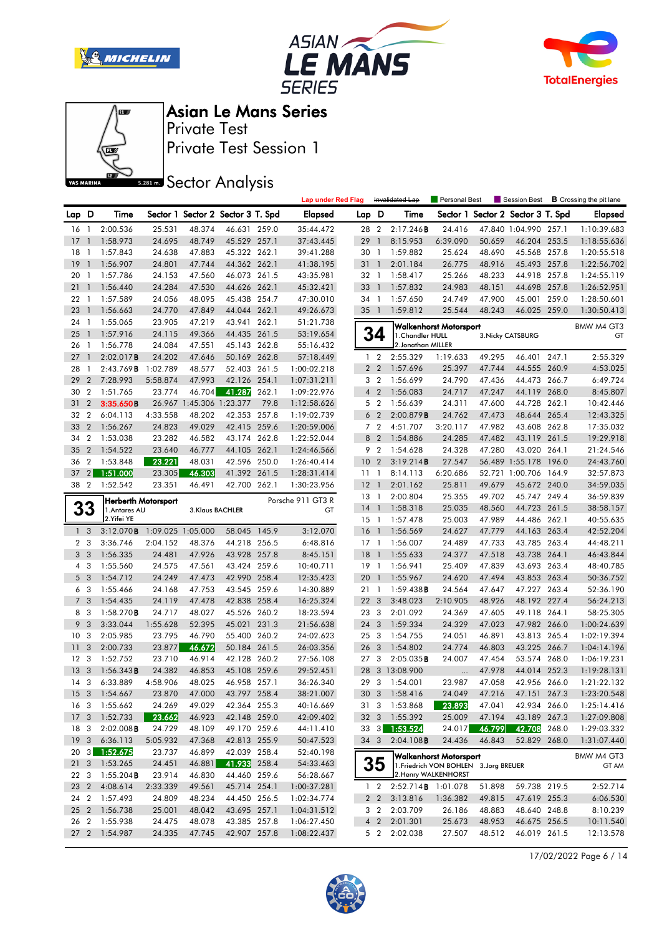







Private Test Session 1 Private Test

**SREAD** Sector Analysis

|                 |                 |                                             |                   |        |                                   |       | <b>Lap under Red Flag</b> |                 |                | Invalidated Lap            | Personal Best                          |        | Session Best             | <b>B</b> Crossing the pit lane |
|-----------------|-----------------|---------------------------------------------|-------------------|--------|-----------------------------------|-------|---------------------------|-----------------|----------------|----------------------------|----------------------------------------|--------|--------------------------|--------------------------------|
| Lap D           |                 | Time                                        |                   |        | Sector 1 Sector 2 Sector 3 T. Spd |       | <b>Elapsed</b>            | Lap D           |                | Time                       | Sector 1                               |        | Sector 2 Sector 3 T. Spd | <b>Elapsed</b>                 |
| 16              | $\mathbf{1}$    | 2:00.536                                    | 25.531            | 48.374 | 46.631 259.0                      |       | 35:44.472                 | 28 2            |                | 2:17.246B                  | 24.416                                 |        | 47.840 1:04.990 257.1    | 1:10:39.683                    |
| 17              | $\mathbf{1}$    | 1:58.973                                    | 24.695            | 48.749 | 45.529 257.1                      |       | 37:43.445                 | 29              | $\overline{1}$ | 8:15.953                   | 6:39.090                               | 50.659 | 46.204 253.5             | 1:18:55.636                    |
| 18              | -1              | 1:57.843                                    | 24.638            | 47.883 | 45.322 262.1                      |       | 39:41.288                 | 30 1            |                | 1:59.882                   | 25.624                                 | 48.690 | 45.568 257.8             | 1:20:55.518                    |
| 19              | $\overline{1}$  | 1:56.907                                    | 24.801            | 47.744 | 44.362 262.1                      |       | 41:38.195                 | 31 1            |                | 2:01.184                   | 26.775                                 | 48.916 | 45.493 257.8             | 1:22:56.702                    |
| 20              | $\overline{1}$  | 1:57.786                                    | 24.153            | 47.560 | 46.073 261.5                      |       | 43:35.981                 | 32 1            |                | 1:58.417                   | 25.266                                 | 48.233 | 44.918 257.8             | 1:24:55.119                    |
| 21              | $\mathbf{1}$    | 1:56.440                                    | 24.284            | 47.530 | 44.626 262.1                      |       | 45:32.421                 | 33              | $\overline{1}$ | 1:57.832                   | 24.983                                 | 48.151 | 44.698 257.8             | 1:26:52.951                    |
| $22 \quad 1$    |                 | 1:57.589                                    | 24.056            | 48.095 | 45.438 254.7                      |       | 47:30.010                 | 34 1            |                | 1:57.650                   | 24.749                                 | 47.900 | 45.001 259.0             | 1:28:50.601                    |
| 23              | $\overline{1}$  | 1:56.663                                    | 24.770            | 47.849 | 44.044 262.1                      |       | 49:26.673                 | 351             |                | 1:59.812                   | 25.544                                 | 48.243 | 46.025 259.0             | 1:30:50.413                    |
| 24              | $\overline{1}$  | 1:55.065                                    | 23.905            | 47.219 | 43.941                            | 262.1 | 51:21.738                 |                 |                |                            | <b>Walkenhorst Motorsport</b>          |        |                          | BMW M4 GT3                     |
| 25              | $\overline{1}$  | 1:57.916                                    | 24.115            | 49.366 | 44.435 261.5                      |       | 53:19.654                 |                 | 34             | 1. Chandler HULL           |                                        |        | 3. Nicky CATSBURG        | GT                             |
| 26              | $\overline{1}$  | 1:56.778                                    | 24.084            | 47.551 | 45.143 262.8                      |       | 55:16.432                 |                 |                | 2. Jonathan MILLER         |                                        |        |                          |                                |
| 27              | $\mathbf{1}$    | 2:02.017B                                   | 24.202            | 47.646 | 50.169 262.8                      |       | 57:18.449                 | $\mathbf{1}$    | $\overline{2}$ | 2:55.329                   | 1:19.633                               | 49.295 | 46.401 247.1             | 2:55.329                       |
| 28              | $\mathbf{1}$    | 2:43.769B                                   | 1:02.789          | 48.577 | 52.403 261.5                      |       | 1:00:02.218               |                 | 2 <sub>2</sub> | 1:57.696                   | 25.397                                 | 47.744 | 44.555 260.9             | 4:53.025                       |
| 29              | $\overline{2}$  | 7:28.993                                    | 5:58.874          | 47.993 | 42.126 254.1                      |       | 1:07:31.211               |                 | 3 <sub>2</sub> | 1:56.699                   | 24.790                                 | 47.436 | 44.473 266.7             | 6:49.724                       |
| 30              | $\overline{2}$  | 1:51.765                                    | 23.774            | 46.704 | 41.287                            | 262.1 | 1:09:22.976               |                 | 4 <sup>2</sup> | 1:56.083                   | 24.717                                 | 47.247 | 44.119 268.0             | 8:45.807                       |
| 31              | $\overline{2}$  | 3:35.650B                                   |                   |        | 26.967 1:45.306 1:23.377          | 79.8  | 1:12:58.626               |                 | 5 <sub>2</sub> | 1:56.639                   | 24.311                                 | 47.600 | 44.728 262.1             | 10:42.446                      |
| 32              | $\overline{2}$  | 6:04.113                                    | 4:33.558          | 48.202 | 42.353 257.8                      |       | 1:19:02.739               | 6               | $\overline{2}$ | 2:00.879B                  | 24.762                                 | 47.473 | 48.644 265.4             | 12:43.325                      |
| 33              | $\overline{2}$  | 1:56.267                                    | 24.823            | 49.029 | 42.415 259.6                      |       | 1:20:59.006               |                 | 7 <sub>2</sub> | 4:51.707                   | 3:20.117                               | 47.982 | 43.608 262.8             | 17:35.032                      |
| 34              | $\overline{2}$  | 1:53.038                                    | 23.282            | 46.582 | 43.174 262.8                      |       | 1:22:52.044               |                 | 8 2            | 1:54.886                   | 24.285                                 | 47.482 | 43.119 261.5             | 19:29.918                      |
| 35              | $\overline{2}$  | 1:54.522                                    | 23.640            | 46.777 | 44.105 262.1                      |       | 1:24:46.566               |                 | 9 2            | 1:54.628                   | 24.328                                 | 47.280 | 43.020 264.1             | 21:24.546                      |
| 36              | $\overline{2}$  | 1:53.848                                    | 23.221            | 48.031 | 42.596                            | 250.0 | 1:26:40.414               | 10 <sub>2</sub> |                | 3:19.214B                  | 27.547                                 |        | 56.489 1:55.178 196.0    | 24:43.760                      |
| 37              | 2               | 1:51.000                                    | 23.305            | 46.303 | 41.392 261.5                      |       | 1:28:31.414               | 11 <sub>1</sub> |                | 8:14.113                   | 6:20.686                               |        | 52.721 1:00.706 164.9    | 32:57.873                      |
| 38 2            |                 | 1:52.542                                    | 23.351            | 46.491 | 42.700 262.1                      |       | 1:30:23.956               | $12-1$          |                | 2:01.162                   | 25.811                                 | 49.679 | 45.672 240.0             | 34:59.035                      |
|                 |                 |                                             |                   |        |                                   |       | Porsche 911 GT3 R         | $13-1$          |                | 2:00.804                   | 25.355                                 | 49.702 | 45.747 249.4             | 36:59.839                      |
|                 | 33              | <b>Herberth Motorsport</b><br>1. Antares AU |                   |        | 3.Klaus BACHLER                   |       | GT                        | $14-1$          |                | 1:58.318                   | 25.035                                 | 48.560 | 44.723 261.5             | 38:58.157                      |
|                 |                 | 2.Yifei YE                                  |                   |        |                                   |       |                           | $15-1$          |                | 1:57.478                   | 25.003                                 | 47.989 | 44.486 262.1             | 40:55.635                      |
| $\mathbf{1}$    | 3               | 3:12.070B                                   | 1:09.025 1:05.000 |        | 58.045 145.9                      |       | 3:12.070                  | $16-1$          |                | 1:56.569                   | 24.627                                 | 47.779 | 44.163 263.4             | 42:52.204                      |
|                 | 2 <sub>3</sub>  | 3:36.746                                    | 2:04.152          | 48.376 | 44.218 256.5                      |       | 6:48.816                  | $17-1$          |                | 1:56.007                   | 24.489                                 | 47.733 | 43.785 263.4             | 44:48.211                      |
|                 | 3 <sub>3</sub>  | 1:56.335                                    | 24.481            | 47.926 | 43.928 257.8                      |       | 8:45.151                  | 18              | -1             | 1:55.633                   | 24.377                                 | 47.518 | 43.738 264.1             | 46:43.844                      |
|                 | 4 3             | 1:55.560                                    | 24.575            | 47.561 | 43.424 259.6                      |       | 10:40.711                 | $19-1$          |                | 1:56.941                   | 25.409                                 | 47.839 | 43.693 263.4             | 48:40.785                      |
|                 | 5 <sub>3</sub>  | 1:54.712                                    | 24.249            | 47.473 | 42.990 258.4                      |       | 12:35.423                 | 201             |                | 1:55.967                   | 24.620                                 | 47.494 | 43.853 263.4             | 50:36.752                      |
|                 | 6 <sub>3</sub>  | 1:55.466                                    | 24.168            | 47.753 | 43.545 259.6                      |       | 14:30.889                 | 211             |                | 1:59.438B                  | 24.564                                 | 47.647 | 47.227 263.4             | 52:36.190                      |
|                 | 7 <sub>3</sub>  | 1:54.435                                    | 24.119            | 47.478 | 42.838 258.4                      |       | 16:25.324                 | 22 <sub>3</sub> |                | 3:48.023                   | 2:10.905                               | 48.926 | 48.192 227.4             | 56:24.213                      |
|                 | 8 3             | 1:58.270B                                   | 24.717            | 48.027 | 45.526 260.2                      |       | 18:23.594                 | 23 3            |                | 2:01.092                   | 24.369                                 | 47.605 | 49.118 264.1             | 58:25.305                      |
| 9               | 3               | 3:33.044                                    | 1:55.628          | 52.395 | 45.021                            | 231.3 | 21:56.638                 | 24 3            |                | 1:59.334                   | 24.329                                 | 47.023 | 47.982 266.0             | 1:00:24.639                    |
| 10              | 3               | 2:05.985                                    | 23.795            | 46.790 | 55.400 260.2                      |       | 24:02.623                 | 25 <sub>3</sub> |                | 1:54.755                   | 24.051                                 | 46.891 | 43.813 265.4             | 1:02:19.394                    |
| 11              | 3               | 2:00.733                                    | 23.877            | 46.672 | 50.184 261.5                      |       | 26:03.356                 | 26              | 3              | 1:54.802                   | 24.774                                 | 46.803 | 43.225 266.7             | 1:04:14.196                    |
| 12 <sup>3</sup> |                 | 1:52.752                                    | 23.710            | 46.914 | 42.128 260.2                      |       | 27:56.108                 | 27              | 3              | 2:05.035B                  | 24.007                                 | 47.454 | 53.574 268.0             | 1:06:19.231                    |
| 13              | 3               | 1:56.343B                                   | 24.382            | 46.853 | 45.108 259.6                      |       | 29:52.451                 | 28              |                | 3 13:08.900                |                                        | 47.978 | 44.014 252.3             | 1:19:28.131                    |
| 14 <sup>3</sup> |                 | 6:33.889                                    | 4:58.906          | 48.025 | 46.958 257.1                      |       | 36:26.340                 | 29              | $\mathbf{3}$   | 1:54.001                   | 23.987                                 | 47.058 | 42.956 266.0             | 1:21:22.132                    |
|                 |                 | 15 3 1:54.667                               | 23.870            | 47.000 | 43.797 258.4                      |       | 38:21.007                 |                 |                | 30 3 1:58.416              | 24.049                                 |        | 47.216 47.151 267.3      | 1:23:20.548                    |
|                 |                 | 16 3 1:55.662                               | 24.269            | 49.029 | 42.364 255.3                      |       | 40:16.669                 |                 |                | 31 3 1:53.868              | 23.893                                 | 47.041 | 42.934 266.0             | 1:25:14.416                    |
|                 |                 | 17 3 1:52.733                               | 23.662            | 46.923 | 42.148 259.0                      |       | 42:09.402                 |                 |                | 32 3 1:55.392              | 25.009                                 | 47.194 | 43.189 267.3             | 1:27:09.808                    |
| 18 3            |                 | 2:02.008B                                   | 24.729            | 48.109 | 49.170 259.6                      |       | 44:11.410                 |                 |                | 33 3 1:53.524              | 24.017                                 | 46.799 | 42.708 268.0             | 1:29:03.332                    |
|                 | 19 <sup>3</sup> | 6:36.113                                    | 5:05.932          | 47.368 | 42.813 255.9                      |       | 50:47.523                 | 34 3            |                | 2:04.108B                  | 24.436                                 | 46.843 | 52.829 268.0             | 1:31:07.440                    |
|                 |                 | 20 3 1:52.675                               | 23.737            | 46.899 | 42.039 258.4                      |       | 52:40.198                 |                 |                |                            | <b>Walkenhorst Motorsport</b>          |        |                          | BMW M4 GT3                     |
| 21 3            |                 | 1:53.265                                    | 24.451            | 46.881 | 41.933 258.4                      |       | 54:33.463                 |                 | 35             |                            | 1. Friedrich VON BOHLEN 3. Jorg BREUER |        |                          | GT AM                          |
| 22 3            |                 | $1:55.204$ <b>B</b>                         | 23.914            | 46.830 | 44.460 259.6                      |       | 56:28.667                 |                 |                |                            | 2. Henry WALKENHORST                   |        |                          |                                |
| 23 2            |                 | 4:08.614                                    | 2:33.339          | 49.561 | 45.714 254.1                      |       | 1:00:37.281               |                 | $1\quad 2$     | 2:52.714 <b>B</b> 1:01.078 |                                        | 51.898 | 59.738 219.5             | 2:52.714                       |
|                 |                 | 24 2 1:57.493                               | 24.809            | 48.234 | 44.450 256.5                      |       | 1:02:34.774               |                 | 2 <sub>2</sub> | 3:13.816                   | 1:36.382                               | 49.815 | 47.619 255.3             | 6:06.530                       |
|                 |                 | 25 2 1:56.738                               | 25.001            | 48.042 | 43.695 257.1                      |       | 1:04:31.512               |                 | 3 2            | 2:03.709                   | 26.186                                 | 48.883 | 48.640 248.8             | 8:10.239                       |
| 26 2            |                 | 1:55.938                                    | 24.475            | 48.078 | 43.385 257.8                      |       | 1:06:27.450               |                 | 4 <sup>2</sup> | 2:01.301                   | 25.673                                 | 48.953 | 46.675 256.5             | 10:11.540                      |
|                 |                 | 27 2 1:54.987                               | 24.335            | 47.745 | 42.907 257.8                      |       | 1:08:22.437               |                 | 5 <sub>2</sub> | 2:02.038                   | 27.507                                 | 48.512 | 46.019 261.5             | 12:13.578                      |
|                 |                 |                                             |                   |        |                                   |       |                           |                 |                |                            |                                        |        |                          |                                |

17/02/2022 Page 6 / 14

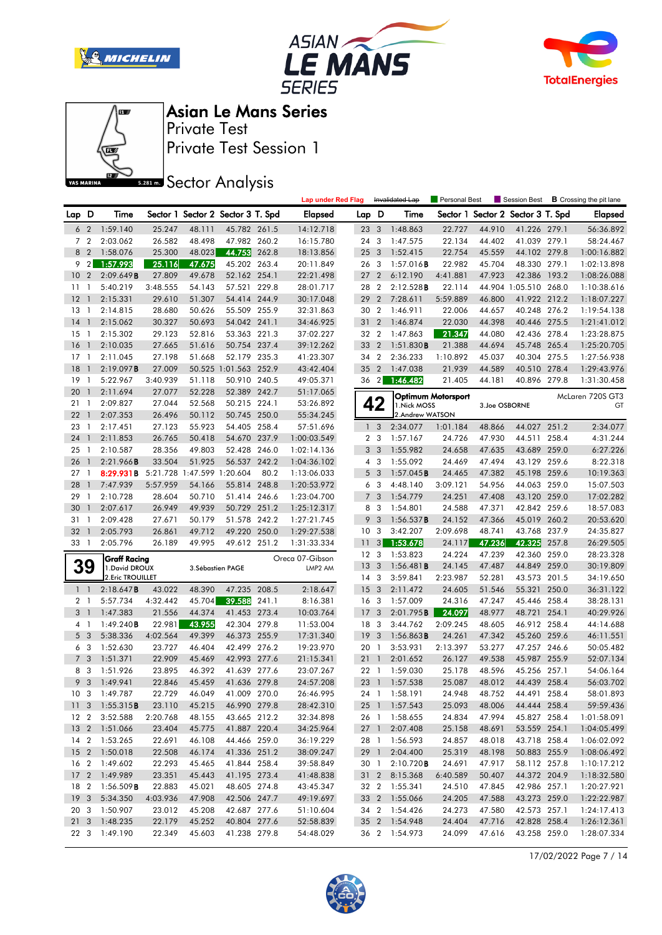







Private Test Session 1 Private Test

**SREAD** Sector Analysis

|                |                              |                                      |                    |                  |                                   |       | <b>Lap under Red Flag</b>  |                  |                | Invalidated Lap                | Personal Best             |                  | Session Best                 |       | <b>B</b> Crossing the pit lane |
|----------------|------------------------------|--------------------------------------|--------------------|------------------|-----------------------------------|-------|----------------------------|------------------|----------------|--------------------------------|---------------------------|------------------|------------------------------|-------|--------------------------------|
| Lap D          |                              | Time                                 |                    |                  | Sector 1 Sector 2 Sector 3 T. Spd |       | Elapsed                    | Lap D            |                | Time                           | Sector 1                  |                  | Sector 2 Sector 3 T. Spd     |       | <b>Elapsed</b>                 |
| 6              | $\overline{2}$               | 1:59.140                             | 25.247             | 48.111           | 45.782 261.5                      |       | 14:12.718                  | 23               | 3              | 1:48.863                       | 22.727                    | 44.910           | 41.226 279.1                 |       | 56:36.892                      |
|                | 7 <sub>2</sub>               | 2:03.062                             | 26.582             | 48.498           | 47.982 260.2                      |       | 16:15.780                  | 24 3             |                | 1:47.575                       | 22.134                    | 44.402           | 41.039 279.1                 |       | 58:24.467                      |
| 8 2            |                              | 1:58.076                             | 25.300             | 48.023           | 44.753                            | 262.8 | 18:13.856                  | 25               | 3              | 1:52.415                       | 22.754                    | 45.559           | 44.102 279.8                 |       | 1:00:16.882                    |
| 9              | $\overline{2}$               | 1:57.993                             | 25.116             | 47.675           | 45.202 263.4                      |       | 20:11.849                  | 26 3             |                | 1:57.016B                      | 22.982                    | 45.704           | 48.330 279.1                 |       | 1:02:13.898                    |
| 10             | $\overline{2}$               | 2:09.649B                            | 27.809             | 49.678           | 52.162 254.1                      |       | 22:21.498                  | 27               | $\overline{2}$ | 6:12.190                       | 4:41.881                  | 47.923           | 42.386                       | 193.2 | 1:08:26.088                    |
| 11             | $\mathbf{1}$                 | 5:40.219                             | 3:48.555           | 54.143           | 57.521 229.8                      |       | 28:01.717                  | 28 2             |                | 2:12.528B                      | 22.114                    |                  | 44.904 1:05.510 268.0        |       | 1:10:38.616                    |
| 12             | -1                           | 2:15.331                             | 29.610             | 51.307           | 54.414 244.9                      |       | 30:17.048                  | 29               | $\overline{2}$ | 7:28.611                       | 5:59.889                  | 46.800           | 41.922 212.2                 |       | 1:18:07.227                    |
| 13             | $\mathbf{1}$                 | 2:14.815                             | 28.680             | 50.626           | 55.509 255.9                      |       | 32:31.863                  | 30 2             |                | 1:46.911                       | 22.006                    | 44.657           | 40.248 276.2                 |       | 1:19:54.138                    |
| 14             | $\overline{1}$               | 2:15.062                             | 30.327             | 50.693           | 54.042 241.1                      |       | 34:46.925                  | 31               | $\overline{2}$ | 1:46.874                       | 22.030                    | 44.398           | 40.446 275.5                 |       | 1:21:41.012                    |
| 15             | $\mathbf{1}$                 | 2:15.302                             | 29.123             | 52.816           | 53.363 221.3                      |       | 37:02.227                  | 32 2             |                | 1:47.863                       | 21.347                    | 44.080           | 42.436 278.4                 |       | 1:23:28.875                    |
| 16             | $\mathbf{1}$                 | 2:10.035                             | 27.665             | 51.616           | 50.754 237.4                      |       | 39:12.262                  | 33               | $\overline{2}$ | 1:51.830B                      | 21.388                    | 44.694           | 45.748 265.4                 |       | 1:25:20.705                    |
| 17             | $\mathbf{1}$                 | 2:11.045                             | 27.198             | 51.668           | 52.179 235.3                      |       | 41:23.307                  | 34 2             |                | 2:36.233                       | 1:10.892                  | 45.037           | 40.304 275.5                 |       | 1:27:56.938                    |
| 18             | $\mathbf{1}$                 | 2:19.097B                            | 27.009             |                  | 50.525 1:01.563 252.9             |       | 43:42.404                  | 35 2             |                | 1:47.038                       | 21.939                    | 44.589           | 40.510                       | 278.4 | 1:29:43.976                    |
| 19             | $\mathbf{1}$                 | 5:22.967                             | 3:40.939           | 51.118           | 50.910 240.5                      |       | 49:05.371                  | $36 \quad 2$     |                | 1:46.482                       | 21.405                    | 44.181           | 40.896 279.8                 |       | 1:31:30.458                    |
| 20             | $\mathbf{1}$                 | 2:11.694                             | 27.077             | 52.228           | 52.389 242.7                      |       | 51:17.065                  |                  |                |                                | <b>Optimum Motorsport</b> |                  |                              |       | McLaren 720S GT3               |
| 21             | -1                           | 2:09.827                             | 27.044             | 52.568           | 50.215 224.1                      |       | 53:26.892                  |                  | 42             | 1. Nick MOSS                   |                           | 3.Joe OSBORNE    |                              |       | GT                             |
| 22             | $\overline{1}$               | 2:07.353                             | 26.496             | 50.112           | 50.745 250.0                      |       | 55:34.245                  |                  |                | 2.Andrew WATSON                |                           |                  |                              |       |                                |
| 23             | -1                           | 2:17.451                             | 27.123             | 55.923           | 54.405 258.4                      |       | 57:51.696                  |                  | 1 <sub>3</sub> | 2:34.077                       | 1:01.184                  | 48.866           | 44.027 251.2                 |       | 2:34.077                       |
| 24             | $\overline{1}$               | 2:11.853                             | 26.765             | 50.418           | 54.670 237.9                      |       | 1:00:03.549                |                  | 2 <sub>3</sub> | 1:57.167                       | 24.726                    | 47.930           | 44.511 258.4                 |       | 4:31.244                       |
| 25             | $\overline{1}$               | 2:10.587                             | 28.356             | 49.803           | 52.428 246.0                      |       | 1:02:14.136                |                  | 3 <sub>3</sub> | 1:55.982                       | 24.658                    | 47.635           | 43.689 259.0                 |       | 6:27.226                       |
| 26             | $\mathbf{1}$                 | 2:21.966B                            | 33.504             | 51.925           | 56.537 242.2                      |       | 1:04:36.102                |                  | 4 3            | 1:55.092                       | 24.469                    | 47.494           | 43.129                       | 259.6 | 8:22.318                       |
| 27             | $\mathbf{1}$                 | 8:29.931B 5:21.728 1:47.599 1:20.604 |                    |                  |                                   | 80.2  | 1:13:06.033                |                  | 5 <sub>3</sub> | 1:57.045B                      | 24.465                    | 47.382           | 45.198 259.6                 |       | 10:19.363                      |
| 28             | $\mathbf{1}$<br>$\mathbf{1}$ | 7:47.939                             | 5:57.959           | 54.166           | 55.814 248.8                      |       | 1:20:53.972                |                  | 6 3<br>3       | 4:48.140<br>1:54.779           | 3:09.121                  | 54.956           | 44.063 259.0                 |       | 15:07.503                      |
| 29<br>30       | $\mathbf{1}$                 | 2:10.728<br>2:07.617                 | 28.604<br>26.949   | 50.710<br>49.939 | 51.414 246.6<br>50.729 251.2      |       | 1:23:04.700<br>1:25:12.317 | 7                | 8 3            | 1:54.801                       | 24.251<br>24.588          | 47.408<br>47.371 | 43.120 259.0<br>42.842 259.6 |       | 17:02.282<br>18:57.083         |
| 31             | $\mathbf{1}$                 | 2:09.428                             | 27.671             | 50.179           | 51.578 242.2                      |       | 1:27:21.745                | 9                | 3              | 1:56.537B                      | 24.152                    | 47.366           | 45.019 260.2                 |       | 20:53.620                      |
| 32             | $\overline{1}$               | 2:05.793                             | 26.861             | 49.712           | 49.220 250.0                      |       | 1:29:27.538                | 10 <sub>3</sub>  |                | 3:42.207                       | 2:09.698                  | 48.741           | 43.768 237.9                 |       | 24:35.827                      |
| 33 1           |                              | 2:05.796                             | 26.189             | 49.995           | 49.612 251.2                      |       | 1:31:33.334                | 11               | 3              | 1:53.678                       | 24.117                    | 47.236           | 42.325                       | 257.8 | 26:29.505                      |
|                |                              |                                      |                    |                  |                                   |       |                            | 12 <sup>3</sup>  |                | 1:53.823                       | 24.224                    | 47.239           | 42.360                       | 259.0 | 28:23.328                      |
|                | 39                           | Graff Racing<br>1. David DROUX       |                    |                  | 3. Sébastien PAGE                 |       | Oreca 07-Gibson<br>LMP2 AM | 13               | 3              | 1:56.481B                      | 24.145                    | 47.487           | 44.849 259.0                 |       | 30:19.809                      |
|                |                              | 2. Eric TROUILLET                    |                    |                  |                                   |       |                            | 14 <sup>3</sup>  |                | 3:59.841                       | 2:23.987                  | 52.281           | 43.573 201.5                 |       | 34:19.650                      |
| 1 <sup>1</sup> |                              | 2:18.647B                            | 43.022             | 48.390           | 47.235                            | 208.5 | 2:18.647                   | 15 <sup>15</sup> | 3              | 2:11.472                       | 24.605                    | 51.546           | 55.321                       | 250.0 | 36:31.122                      |
| 2 <sub>1</sub> |                              | 5:57.734                             | 4:32.442           | 45.704           | 39.588                            | 241.1 | 8:16.381                   | 16 <sub>3</sub>  |                | 1:57.009                       | 24.316                    | 47.247           | 45.446                       | 258.4 | 38:28.131                      |
| 3 <sub>1</sub> |                              | 1:47.383                             | 21.556             | 44.374           | 41.453 273.4                      |       | 10:03.764                  | 17               | 3              | 2:01.795B                      | 24.097                    | 48.977           | 48.721 254.1                 |       | 40:29.926                      |
| 4 1            |                              | 1:49.240B                            | 22.981             | 43.955           | 42.304 279.8                      |       | 11:53.004                  | 18 3             |                | 3:44.762                       | 2:09.245                  | 48.605           | 46.912 258.4                 |       | 44:14.688                      |
|                | 5 <sub>3</sub>               | 5:38.336                             | 4:02.564           | 49.399           | 46.373 255.9                      |       | 17:31.340                  | 19               | 3              | 1:56.863B                      | 24.261                    | 47.342           | 45.260 259.6                 |       | 46:11.551                      |
|                | 6 3                          | 1:52.630                             | 23.727             | 46.404           | 42.499 276.2                      |       | 19:23.970                  | 20 1             |                | 3:53.931                       | 2:13.397                  | 53.277           | 47.257 246.6                 |       | 50:05.482                      |
|                | 7 <sub>3</sub>               | 1:51.371                             | 22.909             | 45.469           | 42.993 277.6                      |       | 21:15.341                  | 211              |                | 2:01.652                       | 26.127                    | 49.538           | 45.987 255.9                 |       | 52:07.134                      |
| 8              | 3                            | 1:51.926                             | 23.895             | 46.392           | 41.639 277.6                      |       | 23:07.267                  | 22 1             |                | 1:59.030                       | 25.178                    | 48.596           | 45.256 257.1                 |       | 54:06.164                      |
|                | 9 <sup>3</sup>               | 1:49.941                             | 22.846             | 45.459           | 41.636 279.8                      |       | 24:57.208                  |                  | 23 1           | 1:57.538                       | 25.087                    | 48.012           | 44.439 258.4                 |       | 56:03.702                      |
|                |                              | 10 3 1:49.787                        | 22.729             | 46.049           | 41.009 270.0                      |       | 26:46.995                  |                  |                | 24 1 1:58.191                  | 24.948                    | 48.752           | 44.491 258.4                 |       | 58:01.893                      |
|                |                              | 11 3 1:55.315 <b>B</b>               | 23.110             | 45.215           | 46.990 279.8                      |       | 28:42.310                  |                  |                | 25 1 1:57.543                  | 25.093                    | 48.006           | 44.444 258.4                 |       | 59:59.436                      |
|                |                              | 12 2 3:52.588                        | 2:20.768           | 48.155           | 43.665 212.2                      |       | 32:34.898                  |                  |                | 26 1 1:58.655                  | 24.834                    | 47.994           | 45.827 258.4                 |       | 1:01:58.091                    |
|                |                              | 13 2 1:51.066                        | 23.404             | 45.775           | 41.887 220.4                      |       | 34:25.964                  |                  |                | 27 1 2:07.408                  | 25.158                    | 48.691           | 53.559 254.1                 |       | 1:04:05.499                    |
|                |                              | 14 2 1:53.265                        | 22.691             | 46.108           | 44.466 259.0                      |       | 36:19.229                  |                  |                | 28 1 1:56.593                  | 24.857                    | 48.018           | 43.718 258.4                 |       | 1:06:02.092                    |
|                |                              | 15 2 1:50.018                        | 22.508             | 46.174           | 41.336 251.2                      |       | 38:09.247                  |                  | 29 1           | 2:04.400                       | 25.319                    | 48.198           | 50.883 255.9                 |       | 1:08:06.492                    |
|                |                              | 16 2 1:49.602                        | 22.293             | 45.465           | 41.844 258.4                      |       | 39:58.849                  |                  | 30 1           | 2:10.720B                      | 24.691                    | 47.917           | 58.112 257.8                 |       | 1:10:17.212                    |
|                |                              | 17 2 1:49.989                        | 23.351             | 45.443           | 41.195 273.4                      |       | 41:48.838                  |                  |                | 31 2 8:15.368                  | 6:40.589                  | 50.407           | 44.372 204.9                 |       | 1:18:32.580                    |
| 18 2           |                              | 1:56.509 <b>B</b>                    | 22.883             | 45.021           | 48.605 274.8                      |       | 43:45.347                  |                  |                | 32 2 1:55.341                  | 24.510                    | 47.845           | 42.986 257.1                 |       | 1:20:27.921                    |
| 20 3           |                              | 19 3 5:34.350<br>1:50.907            | 4:03.936<br>23.012 | 47.908<br>45.208 | 42.506 247.7<br>42.687 277.6      |       | 49:19.697                  |                  |                | 33 2 1:55.066<br>34 2 1:54.426 | 24.205<br>24.273          | 47.588<br>47.580 | 43.273 259.0<br>42.573 257.1 |       | 1:22:22.987                    |
|                |                              | 21 3 1:48.235                        | 22.179             | 45.252           | 40.804 277.6                      |       | 51:10.604<br>52:58.839     |                  |                | 35 2 1:54.948                  | 24.404                    | 47.716           | 42.828 258.4                 |       | 1:24:17.413<br>1:26:12.361     |
|                |                              | 22 3 1:49.190                        | 22.349             | 45.603           | 41.238 279.8                      |       | 54:48.029                  |                  |                | 36 2 1:54.973                  | 24.099                    | 47.616           | 43.258 259.0                 |       | 1:28:07.334                    |
|                |                              |                                      |                    |                  |                                   |       |                            |                  |                |                                |                           |                  |                              |       |                                |

17/02/2022 Page 7 / 14

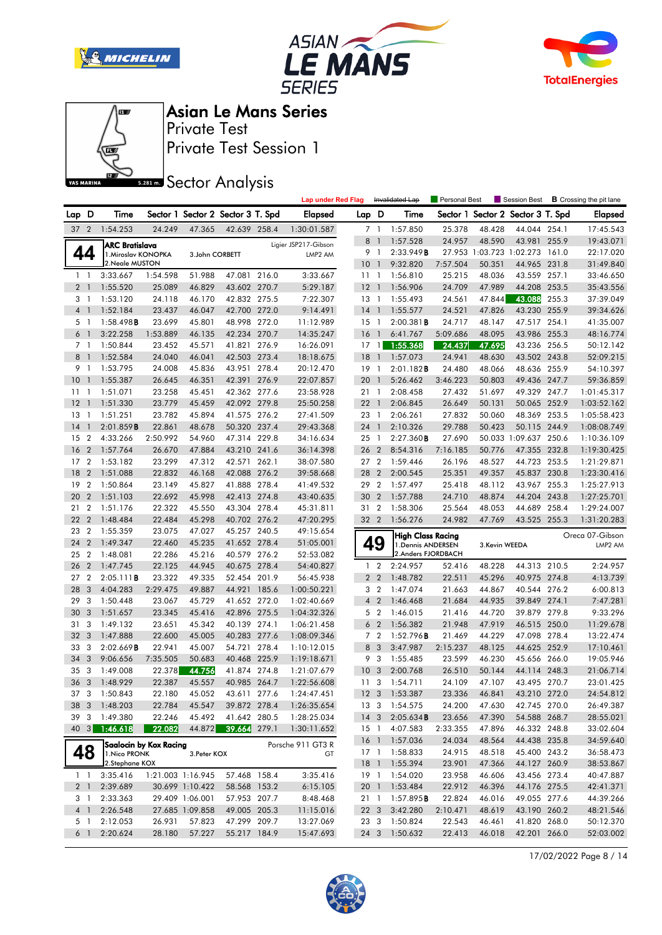







Private Test Session 1 Private Test

**SREAD** Sector Analysis

|                |                          |                     |                        |                                   |                     |       | <b>Lap under Red Flag</b> |                 |                         | Invalidated Lap          | Personal Best |                                | Session Best             |       | <b>B</b> Crossing the pit lane |
|----------------|--------------------------|---------------------|------------------------|-----------------------------------|---------------------|-------|---------------------------|-----------------|-------------------------|--------------------------|---------------|--------------------------------|--------------------------|-------|--------------------------------|
| Lap D          |                          | Time                |                        | Sector 1 Sector 2 Sector 3 T. Spd |                     |       | <b>Elapsed</b>            | Lap D           |                         | Time                     | Sector 1      |                                | Sector 2 Sector 3 T. Spd |       | <b>Elapsed</b>                 |
| 37 2           |                          | 1:54.253            | 24.249                 | 47.365                            | 42.639 258.4        |       | 1:30:01.587               |                 | 7 1                     | 1:57.850                 | 25.378        | 48.428                         | 44.044 254.1             |       | 17:45.543                      |
|                |                          | ARC Bratislava      |                        |                                   |                     |       | Ligier JSP217-Gibson      |                 | 8 <sup>1</sup>          | 1:57.528                 | 24.957        | 48.590                         | 43.981                   | 255.9 | 19:43.071                      |
|                | 44                       | 1. Miroslav KONOPKA |                        | 3.John CORBETT                    |                     |       | LMP2 AM                   |                 | 9 1                     | 2:33.949B                |               | 27.953 1:03.723 1:02.273 161.0 |                          |       | 22:17.020                      |
|                |                          | 2. Neale MUSTON     |                        |                                   |                     |       |                           | 10 <sub>1</sub> |                         | 9:32.820                 | 7:57.504      | 50.351                         | 44.965 231.8             |       | 31:49.840                      |
|                | $1\quad$                 | 3:33.667            | 1:54.598               | 51.988                            | 47.081 216.0        |       | 3:33.667                  | 111             |                         | 1:56.810                 | 25.215        | 48.036                         | 43.559 257.1             |       | 33:46.650                      |
| 2 <sub>1</sub> |                          | 1:55.520            | 25.089                 | 46.829                            | 43.602 270.7        |       | 5:29.187                  | $12-1$          |                         | 1:56.906                 | 24.709        | 47.989                         | 44.208 253.5             |       | 35:43.556                      |
|                | 3 1                      | 1:53.120            | 24.118                 | 46.170                            | 42.832 275.5        |       | 7:22.307                  | $13-1$          |                         | 1:55.493                 | 24.561        | 47.844                         | 43.088                   | 255.3 | 37:39.049                      |
| 4 <sup>1</sup> |                          | 1:52.184            | 23.437                 | 46.047                            | 42.700 272.0        |       | 9:14.491                  | $14-1$          |                         | 1:55.577                 | 24.521        | 47.826                         | 43.230 255.9             |       | 39:34.626                      |
| 5 <sub>1</sub> |                          | 1:58.498B           | 23.699                 | 45.801                            | 48.998 272.0        |       | 11:12.989                 | $15-1$          |                         | 2:00.381B                | 24.717        | 48.147                         | 47.517 254.1             |       | 41:35.007                      |
| 6              | $\overline{\phantom{a}}$ | 3:22.258            | 1:53.889               | 46.135                            | 42.234 270.7        |       | 14:35.247                 | 16              | $\overline{1}$          | 6:41.767                 | 5:09.686      | 48.095                         | 43.986 255.3             |       | 48:16.774                      |
| 7 <sub>1</sub> |                          | 1:50.844            | 23.452                 | 45.571                            | 41.821 276.9        |       | 16:26.091                 | $17-1$          |                         | 1:55.368                 | 24.437        | 47.695                         | 43.236 256.5             |       | 50:12.142                      |
| 8 <sup>1</sup> |                          | 1:52.584            | 24.040                 | 46.041                            | 42.503 273.4        |       | 18:18.675                 | $18-1$          |                         | 1:57.073                 | 24.941        | 48.630                         | 43.502 243.8             |       | 52:09.215                      |
| 9              | $\overline{1}$           | 1:53.795            | 24.008                 | 45.836                            | 43.951 278.4        |       | 20:12.470                 | $19-1$          |                         | 2:01.182B                | 24.480        | 48.066                         | 48.636 255.9             |       | 54:10.397                      |
| 10             | -1                       | 1:55.387            | 26.645                 | 46.351                            | 42.391 276.9        |       | 22:07.857                 | 20              | $\mathbf \Phi$          | 5:26.462                 | 3:46.223      | 50.803                         | 49.436 247.7             |       | 59:36.859                      |
| $11-1$         |                          | 1:51.071            | 23.258                 | 45.451                            | 42.362 277.6        |       | 23:58.928                 | 21 1            |                         | 2:08.458                 | 27.432        | 51.697                         | 49.329 247.7             |       | 1:01:45.317                    |
| 12             | -1                       | 1:51.330            | 23.779                 | 45.459                            | 42.092 279.8        |       | 25:50.258                 | $22 \quad 1$    |                         | 2:06.845                 | 26.649        | 50.131                         | 50.065 252.9             |       | 1:03:52.162                    |
| 13             | $\overline{1}$           | 1:51.251            | 23.782                 | 45.894                            | 41.575 276.2        |       | 27:41.509                 | 23 1            |                         | 2:06.261                 | 27.832        | 50.060                         | 48.369 253.5             |       | 1:05:58.423                    |
| 14             | $\mathbf{1}$             | 2:01.859B           | 22.861                 | 48.678                            | 50.320 237.4        |       | 29:43.368                 | 24 1            |                         | 2:10.326                 | 29.788        | 50.423                         | 50.115 244.9             |       | 1:08:08.749                    |
| 15             | $\overline{2}$           | 4:33.266            | 2:50.992               | 54.960                            | 47.314 229.8        |       | 34:16.634                 | 25 1            |                         | 2:27.360B                | 27.690        |                                | 50.033 1:09.637 250.6    |       | 1:10:36.109                    |
| 16             | $\overline{2}$           | 1:57.764            | 26.670                 | 47.884                            | 43.210 241.6        |       | 36:14.398                 | 26 2            |                         | 8:54.316                 | 7:16.185      | 50.776                         | 47.355 232.8             |       | 1:19:30.425                    |
| 17             | $\overline{2}$           | 1:53.182            | 23.299                 | 47.312                            | 42.571              | 262.1 | 38:07.580                 | 27 2            |                         | 1:59.446                 | 26.196        | 48.527                         | 44.723 253.5             |       | 1:21:29.871                    |
| 18             | $\overline{2}$           | 1:51.088            | 22.832                 | 46.168                            | 42.088 276.2        |       | 39:58.668                 | 28              | $\overline{2}$          | 2:00.545                 | 25.351        | 49.357                         | 45.837 230.8             |       | 1:23:30.416                    |
| 19             | $\overline{2}$           | 1:50.864            | 23.149                 | 45.827                            | 41.888 278.4        |       | 41:49.532                 | 29 2            |                         | 1:57.497                 | 25.418        | 48.112                         | 43.967 255.3             |       | 1:25:27.913                    |
| 20             | $\overline{2}$           | 1:51.103            | 22.692                 | 45.998                            | 42.413 274.8        |       | 43:40.635                 | 30 <sub>2</sub> |                         | 1:57.788                 | 24.710        | 48.874                         | 44.204 243.8             |       | 1:27:25.701                    |
| 21             | $\overline{2}$           | 1:51.176            | 22.322                 | 45.550                            | 43.304 278.4        |       | 45:31.811                 | 31 2            |                         | 1:58.306                 | 25.564        | 48.053                         | 44.689 258.4             |       | 1:29:24.007                    |
| 22             | $\overline{2}$           | 1:48.484            | 22.484                 | 45.298                            | 40.702 276.2        |       | 47:20.295                 | 32 2            |                         | 1:56.276                 | 24.982        | 47.769                         | 43.525 255.3             |       | 1:31:20.283                    |
| 23             | $\overline{2}$           | 1:55.359            | 23.075                 | 47.027                            | 45.257 240.5        |       | 49:15.654                 |                 |                         | <b>High Class Racing</b> |               |                                |                          |       | Oreca 07-Gibson                |
| 24             | $\overline{2}$           | 1:49.347            | 22.460                 | 45.235                            | 41.652 278.4        |       | 51:05.001                 |                 | 49                      | 1. Dennis ANDERSEN       |               | 3.Kevin WEEDA                  |                          |       | LMP2 AM                        |
| 25             | $\overline{2}$           | 1:48.081            | 22.286                 | 45.216                            | 40.579 276.2        |       | 52:53.082                 |                 |                         | 2.Anders FJORDBACH       |               |                                |                          |       |                                |
| 26             | $\overline{2}$           | 1:47.745            | 22.125                 | 44.945                            | 40.675 278.4        |       | 54:40.827                 |                 | 1 <sub>2</sub>          | 2:24.957                 | 52.416        | 48.228                         | 44.313 210.5             |       | 2:24.957                       |
| 27             | $\overline{2}$           | 2:05.111B           | 23.322                 | 49.335                            | 52.454 201.9        |       | 56:45.938                 |                 | 2 <sub>2</sub>          | 1:48.782                 | 22.511        | 45.296                         | 40.975 274.8             |       | 4:13.739                       |
| 28             | 3                        | 4:04.283            | 2:29.475               | 49.887                            | 44.921 185.6        |       | 1:00:50.221               |                 | 3 <sub>2</sub>          | 1:47.074                 | 21.663        | 44.867                         | 40.544 276.2             |       | 6:00.813                       |
| 29             | 3                        | 1:50.448            | 23.067                 | 45.729                            | 41.652 272.0        |       | 1:02:40.669               |                 | 4 <sup>2</sup>          | 1:46.468                 | 21.684        | 44.935                         | 39.849 274.1             |       | 7:47.281                       |
| 30             | 3                        | 1:51.657            | 23.345                 | 45.416                            | 42.896 275.5        |       | 1:04:32.326               |                 | 5 <sub>2</sub>          | 1:46.015                 | 21.416        | 44.720                         | 39.879 279.8             |       | 9:33.296                       |
| 31             | 3                        | 1:49.132            | 23.651                 | 45.342                            | 40.139 274.1        |       | 1:06:21.458               |                 | 6 <sub>2</sub>          | 1:56.382                 | 21.948        | 47.919                         | 46.515 250.0             |       | 11:29.678                      |
| 32             | $\overline{3}$           | 1:47.888            | 22.600                 | 45.005                            | 40.283 277.6        |       | 1:08:09.346               |                 | 7 <sub>2</sub>          | 1:52.796B                | 21.469        | 44.229                         | 47.098 278.4             |       | 13:22.474                      |
| 33             | 3                        | 2:02.669B           | 22.941                 | 45.007                            | 54.721 278.4        |       | 1:10:12.015               | 8               | $\overline{\mathbf{3}}$ | 3:47.987                 | 2:15.237      | 48.125                         | 44.625 252.9             |       | 17:10.461                      |
| 34             | 3                        | 9:06.656            | 7:35.505               | 50.683                            | 40.468 225.9        |       | 1:19:18.671               |                 | 9 3                     | 1:55.485                 | 23.599        | 46.230                         | 45.656 266.0             |       | 19:05.946                      |
| 35             | 3                        | 1:49.008            | 22.378                 | 44.756                            | 41.874 274.8        |       | 1:21:07.679               | 10 <sub>3</sub> |                         | 2:00.768                 | 26.510        | 50.144                         | 44.114 248.3             |       | 21:06.714                      |
| 36             | $\overline{\mathbf{3}}$  | 1:48.929            | 22.387                 | 45.557                            | 40.985 264.7        |       | 1:22:56.608               | 11 <sub>3</sub> |                         | 1:54.711                 | 24.109        | 47.107                         | 43.495 270.7             |       | 23:01.425                      |
|                |                          | 37 3 1:50.843       | 22.180                 | 45.052                            | 43.611 277.6        |       | 1:24:47.451               |                 |                         | 12 3 1:53.387            | 23.336        | 46.841                         | 43.210 272.0             |       | 24:54.812                      |
|                |                          | 38 3 1:48.203       | 22.784                 | 45.547                            | 39.872 278.4        |       | 1:26:35.654               |                 |                         | 13 3 1:54.575            | 24.200        | 47.630                         | 42.745 270.0             |       | 26:49.387                      |
|                |                          | 39 3 1:49.380       | 22.246                 | 45.492                            | 41.642 280.5        |       | 1:28:25.034               |                 |                         | 14 3 2:05.634 <b>B</b>   | 23.656        | 47.390                         | 54.588 268.7             |       | 28:55.021                      |
|                |                          | 40 3 1:46.618       | 22.082                 |                                   | 44.872 39.664 279.1 |       | 1:30:11.652               |                 | 15 1                    | 4:07.583                 | 2:33.355      | 47.896                         | 46.332 248.8             |       | 33:02.604                      |
|                |                          |                     | Saalocin by Kox Racing |                                   |                     |       | Porsche 911 GT3 R         |                 |                         | 16 1 1:57.036            | 24.034        | 48.564                         | 44.438 235.8             |       | 34:59.640                      |
|                | 48                       | 1. Nico PRONK       |                        | 3. Peter KOX                      |                     |       | GT                        |                 |                         | 17 1 1:58.833            | 24.915        | 48.518                         | 45.400 243.2             |       | 36:58.473                      |
|                |                          | 2.Stephane KOX      |                        |                                   |                     |       |                           |                 |                         | 18 1 1:55.394            | 23.901        | 47.366                         | 44.127 260.9             |       | 38:53.867                      |
|                | $1\quad1$                | 3:35.416            |                        | 1:21.003 1:16.945                 | 57.468 158.4        |       | 3:35.416                  |                 |                         | 19 1 1:54.020            | 23.958        | 46.606                         | 43.456 273.4             |       | 40:47.887                      |
|                | 2 <sub>1</sub>           | 2:39.689            |                        | 30.699 1:10.422                   | 58.568 153.2        |       | 6:15.105                  |                 |                         | 20 1 1:53.484            | 22.912        | 46.396                         | 44.176 275.5             |       | 42:41.371                      |
|                | 3 1                      | 2:33.363            |                        | 29.409 1:06.001                   | 57.953 207.7        |       | 8:48.468                  | 21 1            |                         | 1:57.895 <b>B</b>        | 22.824        | 46.016                         | 49.055 277.6             |       | 44:39.266                      |
|                | $4 \quad 1$              | 2:26.548            |                        | 27.685 1:09.858                   | 49.005 205.3        |       | 11:15.016                 |                 | 22 3                    | 3:42.280                 | 2:10.471      | 48.619                         | 43.190 260.2             |       | 48:21.546                      |
|                | 5 1                      | 2:12.053            | 26.931                 | 57.823                            | 47.299 209.7        |       | 13:27.069                 | 23 3            |                         | 1:50.824                 | 22.543        | 46.461                         | 41.820 268.0             |       | 50:12.370                      |
|                | 6 1                      | 2:20.624            | 28.180                 | 57.227                            | 55.217 184.9        |       | 15:47.693                 |                 |                         | 24 3 1:50.632            | 22.413        | 46.018                         | 42.201 266.0             |       | 52:03.002                      |

17/02/2022 Page 8 / 14

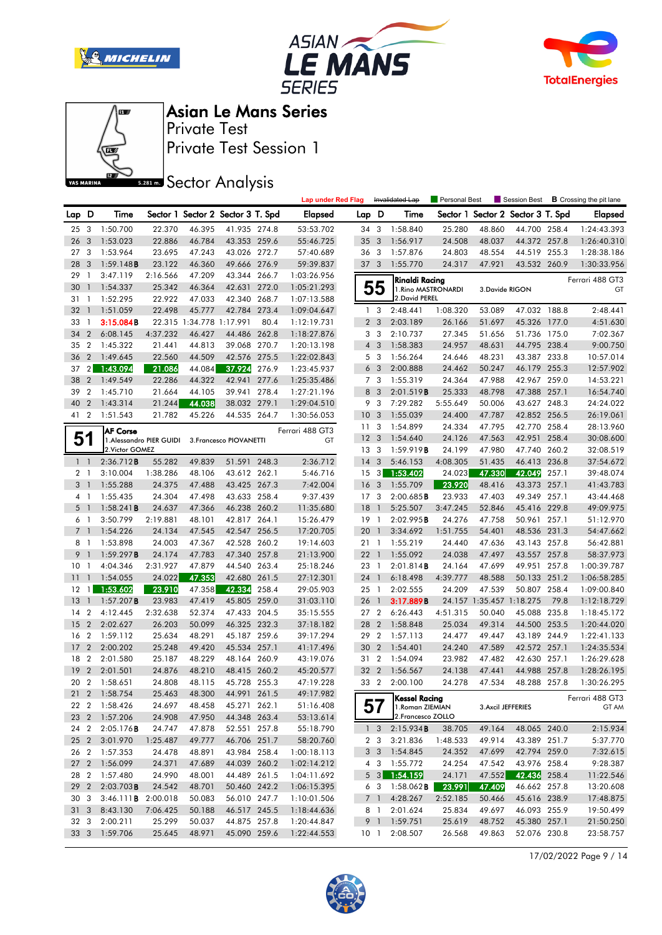







Private Test Session 1 Private Test

**SREAD** Sector Analysis

|                 |                |                            |                          |                          |                                   |       | <b>Lap under Red Flag</b> |                 |                         | Invalidated Lap     | <b>Personal Best</b> |        | Session Best                      |       | <b>B</b> Crossing the pit lane |
|-----------------|----------------|----------------------------|--------------------------|--------------------------|-----------------------------------|-------|---------------------------|-----------------|-------------------------|---------------------|----------------------|--------|-----------------------------------|-------|--------------------------------|
| Lap D           |                | Time                       |                          |                          | Sector 1 Sector 2 Sector 3 T. Spd |       | <b>Elapsed</b>            | Lap D           |                         | Time                |                      |        | Sector 1 Sector 2 Sector 3 T. Spd |       | Elapsed                        |
| 25              | 3              | 1:50.700                   | 22.370                   | 46.395                   | 41.935 274.8                      |       | 53:53.702                 | 34 3            |                         | 1:58.840            | 25.280               | 48.860 | 44.700 258.4                      |       | 1:24:43.393                    |
| 26              | $\mathbf{3}$   | 1:53.023                   | 22.886                   | 46.784                   | 43.353 259.6                      |       | 55:46.725                 | 35              | $\overline{3}$          | 1:56.917            | 24.508               | 48.037 | 44.372 257.8                      |       | 1:26:40.310                    |
| 27 <sub>3</sub> |                | 1:53.964                   | 23.695                   | 47.243                   | 43.026 272.7                      |       | 57:40.689                 | 36 3            |                         | 1:57.876            | 24.803               | 48.554 | 44.519 255.3                      |       | 1:28:38.186                    |
| 28              | 3              | 1:59.148B                  | 23.122                   | 46.360                   | 49.666 276.9                      |       | 59:39.837                 | 37 3            |                         | 1:55.770            | 24.317               | 47.921 | 43.532 260.9                      |       | 1:30:33.956                    |
| 29              | $\mathbf{1}$   | 3:47.119                   | 2:16.566                 | 47.209                   | 43.344                            | 266.7 | 1:03:26.956               |                 |                         | Rinaldi Racing      |                      |        |                                   |       | Ferrari 488 GT3                |
| 30              | $\mathbf{1}$   | 1:54.337                   | 25.342                   | 46.364                   | 42.631                            | 272.0 | 1:05:21.293               |                 | 55                      | 1. Rino MASTRONARDI |                      |        | 3.Davide RIGON                    |       | GT                             |
| 31              | $\overline{1}$ | 1:52.295                   | 22.922                   | 47.033                   | 42.340 268.7                      |       | 1:07:13.588               |                 |                         | 2. David PEREL      |                      |        |                                   |       |                                |
| 32              | $\mathbf{J}$   | 1:51.059                   | 22.498                   | 45.777                   | 42.784 273.4                      |       | 1:09:04.647               | $\mathbf{1}$    | 3                       | 2:48.441            | 1:08.320             | 53.089 | 47.032 188.8                      |       | 2:48.441                       |
| 33              | $\overline{1}$ | 3:15.084B                  |                          | 22.315 1:34.778 1:17.991 |                                   | 80.4  | 1:12:19.731               |                 | 2 <sub>3</sub>          | 2:03.189            | 26.166               | 51.697 | 45.326 177.0                      |       | 4:51.630                       |
| 34              | $\overline{2}$ | 6:08.145                   | 4:37.232                 | 46.427                   | 44.486 262.8                      |       | 1:18:27.876               |                 | 3 <sub>3</sub>          | 2:10.737            | 27.345               | 51.656 | 51.736 175.0                      |       | 7:02.367                       |
| 35 2            |                | 1:45.322                   | 21.441                   | 44.813                   | 39.068 270.7                      |       | 1:20:13.198               |                 | $4 \quad 3$             | 1:58.383            | 24.957               | 48.631 | 44.795 238.4                      |       | 9:00.750                       |
| 36              | $\overline{2}$ | 1:49.645                   | 22.560                   | 44.509                   | 42.576 275.5                      |       | 1:22:02.843               |                 | 5 <sub>3</sub>          | 1:56.264            | 24.646               | 48.231 | 43.387 233.8                      |       | 10:57.014                      |
| 37              | $\overline{2}$ | 1:43.094                   | 21.086                   | 44.084                   | 37.924                            | 276.9 | 1:23:45.937               | 6               | $\overline{3}$          | 2:00.888            | 24.462               | 50.247 | 46.179 255.3                      |       | 12:57.902                      |
| 38              | $\overline{2}$ | 1:49.549                   | 22.286                   | 44.322                   | 42.941 277.6                      |       | 1:25:35.486               |                 | 7 3                     | 1:55.319            | 24.364               | 47.988 | 42.967 259.0                      |       | 14:53.221                      |
| 39              | $\overline{2}$ | 1:45.710                   | 21.664                   | 44.105                   | 39.941 278.4                      |       | 1:27:21.196               | 8               | $\overline{3}$          | 2:01.519B           | 25.333               | 48.798 | 47.388 257.1                      |       | 16:54.740                      |
| 40              | $\overline{2}$ | 1:43.314                   | 21.244                   | 44.038                   | 38.032 279.1                      |       | 1:29:04.510               | 9               | $\overline{\mathbf{3}}$ | 7:29.282            | 5:55.649             | 50.006 | 43.627 248.3                      |       | 24:24.022                      |
| 41 2            |                | 1:51.543                   | 21.782                   | 45.226                   | 44.535 264.7                      |       | 1:30:56.053               | 10              | $\overline{\mathbf{3}}$ | 1:55.039            | 24.400               | 47.787 | 42.852 256.5                      |       | 26:19.061                      |
|                 |                | <b>AF Corse</b>            |                          |                          |                                   |       | Ferrari 488 GT3           | 11              | 3                       | 1:54.899            | 24.334               | 47.795 | 42.770 258.4                      |       | 28:13.960                      |
| 51              |                |                            | 1. Alessandro PIER GUIDI |                          | 3. Francesco PIOVANETTI           |       | GT                        | 12              | 3                       | 1:54.640            | 24.126               | 47.563 | 42.951 258.4                      |       | 30:08.600                      |
|                 |                | 2. Victor GOMEZ            |                          |                          |                                   |       |                           | 13 <sup>3</sup> |                         | 1:59.919B           | 24.199               | 47.980 | 47.740 260.2                      |       | 32:08.519                      |
|                 | $1\quad$       | 2:36.712B                  | 55.282                   | 49.839                   | 51.591 248.3                      |       | 2:36.712                  | 14              | 3                       | 5:46.153            | 4:08.305             | 51.435 | 46.413 236.8                      |       | 37:54.672                      |
| 2 <sub>1</sub>  |                | 3:10.004                   | 1:38.286                 | 48.106                   | 43.612 262.1                      |       | 5:46.716                  | 15 <sub>3</sub> |                         | 1:53.402            | 24.023               | 47.330 | 42.049                            | 257.1 | 39:48.074                      |
|                 | 3 <sub>1</sub> | 1:55.288                   | 24.375                   | 47.488                   | 43.425 267.3                      |       | 7:42.004                  | 16              | $\overline{\mathbf{3}}$ | 1:55.709            | 23.920               | 48.416 | 43.373 257.1                      |       | 41:43.783                      |
|                 | 4 1            | 1:55.435                   | 24.304                   | 47.498                   | 43.633 258.4                      |       | 9:37.439                  | 17              | 3                       | 2:00.685B           | 23.933               | 47.403 | 49.349 257.1                      |       | 43:44.468                      |
| 5 <sub>1</sub>  |                | 1:58.241B                  | 24.637                   | 47.366                   | 46.238 260.2                      |       | 11:35.680                 | 18              | $\overline{1}$          | 5:25.507            | 3:47.245             | 52.846 | 45.416 229.8                      |       | 49:09.975                      |
| $6-1$           |                | 3:50.799                   | 2:19.881                 | 48.101                   | 42.817 264.1                      |       | 15:26.479                 | 19              | $\overline{1}$          | 2:02.995B           | 24.276               | 47.758 | 50.961 257.1                      |       | 51:12.970                      |
|                 | 7 <sub>1</sub> | 1:54.226                   | 24.134                   | 47.545                   | 42.547 256.5                      |       | 17:20.705                 | 20              | $\overline{1}$          | 3:34.692            | 1:51.755             | 54.401 | 48.536 231.3                      |       | 54:47.662                      |
| 8 1             |                | 1:53.898                   | 24.003                   | 47.367                   | 42.528 260.2                      |       | 19:14.603                 | 21 1            |                         | 1:55.219            | 24.440               | 47.636 | 43.143 257.8                      |       | 56:42.881                      |
| 9               | $\overline{1}$ | 1:59.297B                  | 24.174                   | 47.783                   | 47.340 257.8                      |       | 21:13.900                 | 22              | $\overline{1}$          | 1:55.092            | 24.038               | 47.497 | 43.557 257.8                      |       | 58:37.973                      |
| 10 <sub>1</sub> |                | 4:04.346                   | 2:31.927                 | 47.879                   | 44.540 263.4                      |       | 25:18.246                 | 23 1            |                         | 2:01.814B           | 24.164               | 47.699 | 49.951 257.8                      |       | 1:00:39.787                    |
| 11              | $\mathbf 1$    | 1:54.055                   | 24.022                   | 47.353                   | 42.680 261.5                      |       | 27:12.301                 | 24 1            |                         | 6:18.498            | 4:39.777             | 48.588 | 50.133 251.2                      |       | 1:06:58.285                    |
| 12              | $\overline{1}$ | 1:53.602                   | 23.910                   | 47.358                   | 42.334                            | 258.4 | 29:05.903                 | 25 1            |                         | 2:02.555            | 24.209               | 47.539 | 50.807 258.4                      |       | 1:09:00.840                    |
| 13              | $\overline{1}$ | $1:57.207$ <b>B</b>        | 23.983                   | 47.419                   | 45.805 259.0                      |       | 31:03.110                 | 26              | $\overline{1}$          | 3:17.889B           |                      |        | 24.157 1:35.457 1:18.275          | 79.8  | 1:12:18.729                    |
| 14              | $\overline{2}$ | 4:12.445                   | 2:32.638                 | 52.374                   | 47.433 204.5                      |       | 35:15.555                 | 27 2            |                         | 6:26.443            | 4:51.315             | 50.040 | 45.088 235.8                      |       | 1:18:45.172                    |
| 15              | $\overline{2}$ | 2:02.627                   | 26.203                   | 50.099                   | 46.325 232.3                      |       | 37:18.182                 | 28 2            |                         | 1:58.848            | 25.034               | 49.314 | 44.500 253.5                      |       | 1:20:44.020                    |
| 16              | $\overline{2}$ | 1:59.112                   | 25.634                   | 48.291                   | 45.187 259.6                      |       | 39:17.294                 | 29              | $\overline{2}$          | 1:57.113            | 24.477               | 49.447 | 43.189                            | 244.9 | 1:22:41.133                    |
| 17              | $\overline{2}$ | 2:00.202                   | 25.248                   | 49.420                   | 45.534 257.1                      |       | 41:17.496                 | 30              | $\overline{2}$          | 1:54.401            | 24.240               | 47.589 | 42.572 257.1                      |       | 1:24:35.534                    |
| 18              | $\overline{2}$ | 2:01.580                   | 25.187                   | 48.229                   | 48.164 260.9                      |       | 43:19.076                 | 31 2            |                         | 1:54.094            | 23.982               | 47.482 | 42.630 257.1                      |       | 1:26:29.628                    |
| 19              | $\overline{2}$ | 2:01.501                   | 24.876                   | 48.210                   | 48.415 260.2                      |       | 45:20.577                 | 32 2            |                         | 1:56.567            | 24.138               | 47.441 | 44.988 257.8                      |       | 1:28:26.195                    |
| 20              | $\overline{2}$ | 1:58.651                   | 24.808                   | 48.115                   | 45.728 255.3                      |       | 47:19.228                 | 33 2            |                         | 2:00.100            | 24.278               | 47.534 | 48.288 257.8                      |       | 1:30:26.295                    |
|                 |                | 21 2 1:58.754              | 25.463                   | 48.300                   | 44.991 261.5                      |       | 49:17.982                 |                 |                         | Kessel Racing       |                      |        |                                   |       | Ferrari 488 GT3                |
|                 |                | 22 2 1:58.426              | 24.697                   | 48.458                   | 45.271 262.1                      |       | 51:16.408                 |                 | 57                      | 1. Roman ZIEMIAN    |                      |        | 3. Axcil JEFFERIES                |       | GT AM                          |
|                 |                | 23 2 1:57.206              | 24.908                   | 47.950                   | 44.348 263.4                      |       | 53:13.614                 |                 |                         | 2. Francesco ZOLLO  |                      |        |                                   |       |                                |
| 24 2            |                | 2:05.176B                  | 24.747                   | 47.878                   | 52.551 257.8                      |       | 55:18.790                 |                 | $1 \quad 3$             | 2:15.934B           | 38.705               | 49.164 | 48.065 240.0                      |       | 2:15.934                       |
| 25 2            |                | 3:01.970                   | 1:25.487                 | 49.777                   | 46.706 251.7                      |       | 58:20.760                 |                 | 2 <sub>3</sub>          | 3:21.836            | 1:48.533             | 49.914 | 43.389 251.7                      |       | 5:37.770                       |
| 26 2            |                | 1:57.353                   | 24.478                   | 48.891                   | 43.984 258.4                      |       | 1:00:18.113               |                 | 3 <sub>3</sub>          | 1:54.845            | 24.352               | 47.699 | 42.794 259.0                      |       | 7:32.615                       |
| 27 <sub>2</sub> |                | 1:56.099                   | 24.371                   | 47.689                   | 44.039 260.2                      |       | 1:02:14.212               |                 | 4 3                     | 1:55.772            | 24.254               | 47.542 | 43.976 258.4                      |       | 9:28.387                       |
| 28 2            |                | 1:57.480                   | 24.990                   | 48.001                   | 44.489 261.5                      |       | 1:04:11.692               |                 | $5 \quad 3$             | 1:54.159            | 24.171               | 47.552 | 42.436 258.4                      |       | 11:22.546                      |
| 29 2            |                | 2:03.703B                  | 24.542                   | 48.701                   | 50.460 242.2                      |       | 1:06:15.395               |                 | 6 3                     | 1:58.062 <b>B</b>   | 23.991               | 47.409 | 46.662 257.8                      |       | 13:20.608                      |
| 30 3            |                | 3:46.111 <b>B</b> 2:00.018 |                          | 50.083                   | 56.010 247.7                      |       | 1:10:01.506               |                 | 7 1                     | 4:28.267            | 2:52.185             | 50.466 | 45.616 238.9                      |       | 17:48.875                      |
| 31 <sub>3</sub> |                | 8:43.130                   | 7:06.425                 | 50.188                   | 46.517 245.5                      |       | 1:18:44.636               |                 | 8 1                     | 2:01.624            | 25.834               | 49.697 | 46.093 255.9                      |       | 19:50.499                      |
| 32 3            |                | 2:00.211                   | 25.299                   | 50.037                   | 44.875 257.8                      |       | 1:20:44.847               |                 | 9 1                     | 1:59.751            | 25.619               | 48.752 | 45.380 257.1                      |       | 21:50.250                      |
| 33 3            |                | 1:59.706                   | 25.645                   | 48.971                   | 45.090 259.6                      |       | 1:22:44.553               | 10 <sub>1</sub> |                         | 2:08.507            | 26.568               | 49.863 | 52.076 230.8                      |       | 23:58.757                      |

17/02/2022 Page 9 / 14

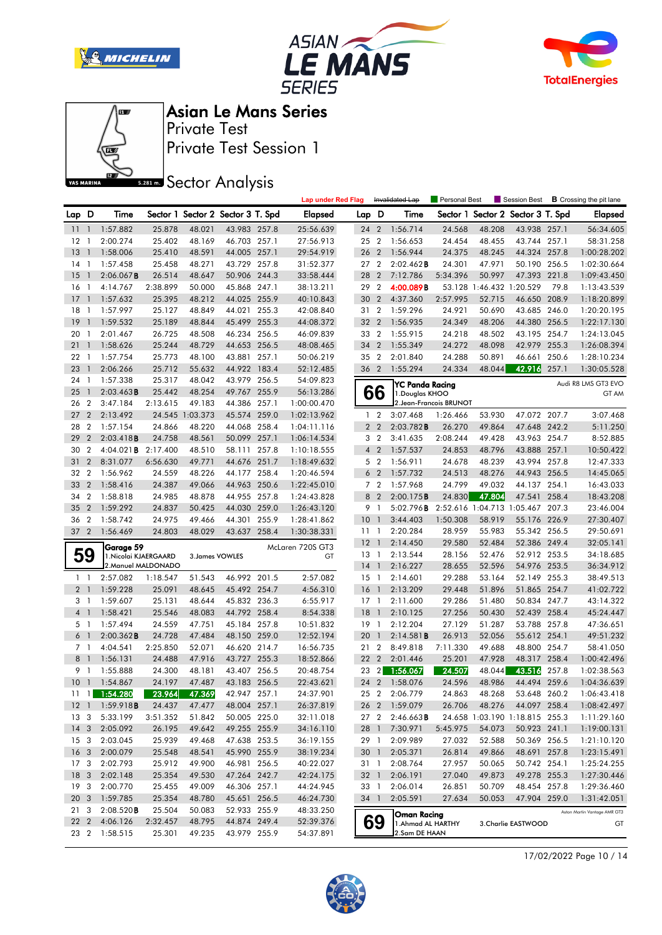







Private Test Session 1 Private Test

**SREAD** Sector Analysis

|                 |                         |                             |                     |                 |                                   |       | <b>Lap under Red Flag</b> |                 |                | Invalidated Lap        | Personal Best          |                          | Session Best                   |       | <b>B</b> Crossing the pit lane |
|-----------------|-------------------------|-----------------------------|---------------------|-----------------|-----------------------------------|-------|---------------------------|-----------------|----------------|------------------------|------------------------|--------------------------|--------------------------------|-------|--------------------------------|
| Lap D           |                         | Time                        |                     |                 | Sector 1 Sector 2 Sector 3 T. Spd |       | Elapsed                   | Lap D           |                | Time                   | Sector 1               |                          | Sector 2 Sector 3 T. Spd       |       | <b>Elapsed</b>                 |
| 11              | $\overline{1}$          | 1:57.882                    | 25.878              | 48.021          | 43.983 257.8                      |       | 25:56.639                 | 24              | $\overline{2}$ | 1:56.714               | 24.568                 | 48.208                   | 43.938 257.1                   |       | 56:34.605                      |
| 12              | -1                      | 2:00.274                    | 25.402              | 48.169          | 46.703 257.1                      |       | 27:56.913                 | 25 2            |                | 1:56.653               | 24.454                 | 48.455                   | 43.744 257.1                   |       | 58:31.258                      |
| 13              | $\mathbf{1}$            | 1:58.006                    | 25.410              | 48.591          | 44.005 257.1                      |       | 29:54.919                 | 26              | $\overline{2}$ | 1:56.944               | 24.375                 | 48.245                   | 44.324 257.8                   |       | 1:00:28.202                    |
| 14              | $\mathbf{1}$            | 1:57.458                    | 25.458              | 48.271          | 43.729 257.8                      |       | 31:52.377                 | 27 <sub>2</sub> |                | 2:02.462B              | 24.301                 | 47.971                   | 50.190 256.5                   |       | 1:02:30.664                    |
| 15              | $\mathbf{1}$            | $2:06.067$ <b>B</b>         | 26.514              | 48.647          | 50.906 244.3                      |       | 33:58.444                 | 28              | $\overline{2}$ | 7:12.786               | 5:34.396               | 50.997                   | 47.393                         | 221.8 | 1:09:43.450                    |
| 16              | -1                      | 4:14.767                    | 2:38.899            | 50.000          | 45.868 247.1                      |       | 38:13.211                 | 29              | $\overline{2}$ | 4:00.089B              |                        | 53.128 1:46.432 1:20.529 |                                | 79.8  | 1:13:43.539                    |
| 17              | $\mathbf{1}$            | 1:57.632                    | 25.395              | 48.212          | 44.025 255.9                      |       | 40:10.843                 | 30              | $\overline{2}$ | 4:37.360               | 2:57.995               | 52.715                   | 46.650 208.9                   |       | 1:18:20.899                    |
| 18              | $\mathbf{1}$            | 1:57.997                    | 25.127              | 48.849          | 44.021 255.3                      |       | 42:08.840                 | 31 2            |                | 1:59.296               | 24.921                 | 50.690                   | 43.685 246.0                   |       | 1:20:20.195                    |
| 19              | $\mathbf{1}$            | 1:59.532                    | 25.189              | 48.844          | 45.499                            | 255.3 | 44:08.372                 | 32 <sup>2</sup> | $\overline{2}$ | 1:56.935               | 24.349                 | 48.206                   | 44.380 256.5                   |       | 1:22:17.130                    |
| 20              | $\mathbf{1}$            | 2:01.467                    | 26.725              | 48.508          | 46.234                            | 256.5 | 46:09.839                 | 33 2            |                | 1:55.915               | 24.218                 | 48.502                   | 43.195 254.7                   |       | 1:24:13.045                    |
| 21              | $\overline{1}$          | 1:58.626                    | 25.244              | 48.729          | 44.653 256.5                      |       | 48:08.465                 | 34              | $\overline{2}$ | 1:55.349               | 24.272                 | 48.098                   | 42.979 255.3                   |       | 1:26:08.394                    |
| 22              | $\mathbf{1}$            | 1:57.754                    | 25.773              | 48.100          | 43.881 257.1                      |       | 50:06.219                 | 35 2            |                | 2:01.840               | 24.288                 | 50.891                   | 46.661                         | 250.6 | 1:28:10.234                    |
| 23              | $\mathbf{1}$            | 2:06.266                    | 25.712              | 55.632          | 44.922 183.4                      |       | 52:12.485                 | 36 2            |                | 1:55.294               | 24.334                 | 48.044                   | 42.916                         | 257.1 | 1:30:05.528                    |
| 24              | $\mathbf{1}$            | 1:57.338                    | 25.317              | 48.042          | 43.979 256.5                      |       | 54:09.823                 |                 |                | <b>YC Panda Racing</b> |                        |                          |                                |       | Audi R8 LMS GT3 EVO            |
| 25              | $\mathbf{1}$            | 2:03.463B                   | 25.442              | 48.254          | 49.767 255.9                      |       | 56:13.286                 |                 | 66             | 1. Douglas KHOO        |                        |                          |                                |       | GT AM                          |
| 26              | $\overline{2}$          | 3:47.184                    | 2:13.615            | 49.183          | 44.386 257.1                      |       | 1:00:00.470               |                 |                |                        | 2.Jean-Francois BRUNOT |                          |                                |       |                                |
| 27              | $\overline{2}$          | 2:13.492                    |                     | 24.545 1:03.373 | 45.574 259.0                      |       | 1:02:13.962               |                 | 1 <sub>2</sub> | 3:07.468               | 1:26.466               | 53.930                   | 47.072 207.7                   |       | 3:07.468                       |
| 28              | $\overline{2}$          | 1:57.154                    | 24.866              | 48.220          | 44.068 258.4                      |       | 1:04:11.116               |                 | 2 <sub>2</sub> | 2:03.782B              | 26.270                 | 49.864                   | 47.648 242.2                   |       | 5:11.250                       |
| 29              | $\overline{2}$          | 2:03.418B                   | 24.758              | 48.561          | 50.099 257.1                      |       | 1:06:14.534               |                 | 3 <sub>2</sub> | 3:41.635               | 2:08.244               | 49.428                   | 43.963 254.7                   |       | 8:52.885                       |
| 30              | $\overline{2}$          | 4:04.021 <b>B</b> 2:17.400  |                     | 48.510          | 58.111 257.8                      |       | 1:10:18.555               |                 | 4 <sup>2</sup> | 1:57.537               | 24.853                 | 48.796                   | 43.888 257.1                   |       | 10:50.422                      |
| 31              | $\overline{2}$          | 8:31.077                    | 6:56.630            | 49.771          | 44.676 251.7                      |       | 1:18:49.632               |                 | 5 <sub>2</sub> | 1:56.911               | 24.678                 | 48.239                   | 43.994 257.8                   |       | 12:47.333                      |
| 32              | $\overline{2}$          | 1:56.962                    | 24.559              | 48.226          | 44.177 258.4                      |       | 1:20:46.594               |                 | 6 <sub>2</sub> | 1:57.732               | 24.513                 | 48.276                   | 44.943 256.5                   |       | 14:45.065                      |
| 33              | $\overline{2}$          | 1:58.416                    | 24.387              | 49.066          | 44.963 250.6                      |       | 1:22:45.010               |                 | 7 <sub>2</sub> | 1:57.968               | 24.799                 | 49.032                   | 44.137 254.1                   |       | 16:43.033                      |
| 34              | $\overline{2}$          | 1:58.818                    | 24.985              | 48.878          | 44.955 257.8                      |       | 1:24:43.828               |                 | 8 2            | 2:00.175B              | 24.830                 | 47.804                   | 47.541                         | 258.4 | 18:43.208                      |
| 35              | $\overline{2}$          | 1:59.292                    | 24.837              | 50.425          | 44.030 259.0                      |       | 1:26:43.120               |                 | 9 1            | 5:02.796B              |                        |                          | 2:52.616 1:04.713 1:05.467     | 207.3 | 23:46.004                      |
| 36              | $\overline{2}$          | 1:58.742                    | 24.975              | 49.466          | 44.301 255.9                      |       | 1:28:41.862               | 10              | $\overline{1}$ | 3:44.403               | 1:50.308               | 58.919                   | 55.176 226.9                   |       | 27:30.407                      |
| $372$           |                         | 1:56.469                    | 24.803              | 48.029          | 43.637 258.4                      |       | 1:30:38.331               | $11-1$          |                | 2:20.284               | 28.959                 | 55.983                   | 55.342 256.5                   |       | 29:50.691                      |
|                 |                         | Garage 59                   |                     |                 |                                   |       | McLaren 720S GT3          | $12-1$          |                | 2:14.450               | 29.580                 | 52.484                   | 52.386 249.4                   |       | 32:05.141                      |
| 59              |                         | 1. Nicolai KJAERGAARD       |                     | 3. James VOWLES |                                   |       | GT                        | $13-1$          |                | 2:13.544               | 28.156                 | 52.476                   | 52.912 253.5                   |       | 34:18.685                      |
|                 |                         |                             | 2. Manuel MALDONADO |                 |                                   |       |                           | $14-1$          |                | 2:16.227               | 28.655                 | 52.596                   | 54.976 253.5                   |       | 36:34.912                      |
| $1\quad$        |                         | 2:57.082                    | 1:18.547            | 51.543          | 46.992 201.5                      |       | 2:57.082                  | $15-1$          |                | 2:14.601               | 29.288                 | 53.164                   | 52.149 255.3                   |       | 38:49.513                      |
| 2 <sub>1</sub>  |                         | 1:59.228                    | 25.091              | 48.645          | 45.492 254.7                      |       | 4:56.310                  | 16 <sub>1</sub> |                | 2:13.209               | 29.448                 | 51.896                   | 51.865 254.7                   |       | 41:02.722                      |
| 3 <sup>1</sup>  |                         | 1:59.607                    | 25.131              | 48.644          | 45.832 236.3                      |       | 6:55.917                  | $17-1$          |                | 2:11.600               | 29.286                 | 51.480                   | 50.834                         | 247.7 | 43:14.322                      |
| 4 1             |                         | 1:58.421                    | 25.546              | 48.083          | 44.792 258.4                      |       | 8:54.338                  | 18              | $\overline{1}$ | 2:10.125               | 27.256                 | 50.430                   | 52.439 258.4                   |       | 45:24.447                      |
| 5 1             |                         | 1:57.494                    | 24.559              | 47.751          | 45.184 257.8                      |       | 10:51.832                 | $19-1$          |                | 2:12.204               | 27.129                 | 51.287                   | 53.788 257.8                   |       | 47:36.651                      |
| 6 <sup>1</sup>  |                         | $2:00.362$ B                | 24.728              | 47.484          | 48.150 259.0                      |       | 12:52.194                 | 20              | $\overline{1}$ | 2:14.581B              | 26.913                 | 52.056                   | 55.612 254.1                   |       | 49:51.232                      |
| 7 <sub>1</sub>  |                         | 4:04.541                    | 2:25.850            | 52.071          | 46.620 214.7                      |       | 16:56.735                 | 21 2            |                | 8:49.818               | 7:11.330               | 49.688                   | 48.800 254.7                   |       | 58:41.050                      |
| 8 <sup>1</sup>  |                         | 1:56.131                    | 24.488              | 47.916          | 43.727 255.3                      |       | 18:52.866                 | 22              | $\overline{2}$ | 2:01.446               | 25.201                 | 47.928                   | 48.317                         | 258.4 | 1:00:42.496                    |
| 9 1             |                         | 1:55.888                    | 24.300              | 48.181          | 43.407 256.5                      |       | 20:48.754                 | 23              | $\overline{2}$ | 1:56.067               | 24.507                 | 48.044                   | 43.516                         | 257.8 | 1:02:38.563                    |
| 10 <sub>1</sub> |                         | 1:54.867                    | 24.197              | 47.487          | 43.183 256.5                      |       | 22:43.621                 | 24 2            |                | 1:58.076               | 24.596                 | 48.986                   | 44.494 259.6                   |       | 1:04:36.639                    |
|                 |                         | $11 \quad 1 \quad 1:54.280$ |                     | 23.964 47.369   | 42.947 257.1                      |       | 24:37.901                 | 25 2            |                | 2:06.779               | 24.863                 | 48.268                   | 53.648 260.2                   |       | 1:06:43.418                    |
| 12 <sub>1</sub> |                         | 1:59.918B                   | 24.437              | 47.477          | 48.004 257.1                      |       | 26:37.819                 |                 |                | 26 2 1:59.079          | 26.706                 | 48.276                   | 44.097 258.4                   |       | 1:08:42.497                    |
| 13 3            |                         | 5:33.199                    | 3:51.352            | 51.842          | 50.005 225.0                      |       | 32:11.018                 | 27 2            |                | $2:46.663$ <b>B</b>    |                        |                          | 24.658 1:03.190 1:18.815 255.3 |       | 1:11:29.160                    |
| $14 \quad 3$    |                         | 2:05.092                    | 26.195              | 49.642          | 49.255 255.9                      |       | 34:16.110                 | 28 1            |                | 7:30.971               | 5:45.975               | 54.073                   | 50.923 241.1                   |       | 1:19:00.131                    |
| 15 3            |                         | 2:03.045                    | 25.939              | 49.468          | 47.638 253.5                      |       | 36:19.155                 |                 | 29 1           | 2:09.989               | 27.032                 | 52.588                   | 50.369 256.5                   |       | 1:21:10.120                    |
| 16 <sub>3</sub> |                         | 2:00.079                    | 25.548              | 48.541          | 45.990 255.9                      |       | 38:19.234                 | 30 1            |                | 2:05.371               | 26.814                 | 49.866                   | 48.691 257.8                   |       | 1:23:15.491                    |
| 17 <sub>3</sub> |                         | 2:02.793                    | 25.912              | 49.900          | 46.981 256.5                      |       | 40:22.027                 | 31 1            |                | 2:08.764               | 27.957                 | 50.065                   | 50.742 254.1                   |       | 1:25:24.255                    |
| 18              | $\overline{\mathbf{3}}$ | 2:02.148                    | 25.354              | 49.530          | 47.264 242.7                      |       | 42:24.175                 | 32 1            |                | 2:06.191               | 27.040                 | 49.873                   | 49.278 255.3                   |       | 1:27:30.446                    |
| 19 <sup>3</sup> |                         | 2:00.770                    | 25.455              | 49.009          | 46.306 257.1                      |       | 44:24.945                 | 33 1            |                | 2:06.014               | 26.851                 | 50.709                   | 48.454 257.8                   |       | 1:29:36.460                    |
| 20 3            |                         | 1:59.785                    | 25.354              | 48.780          | 45.651 256.5                      |       | 46:24.730                 | 34 1            |                | 2:05.591               | 27.634                 | 50.053                   | 47.904 259.0                   |       | 1:31:42.051                    |
| 21 3            |                         | 2:08.520B                   | 25.504              | 50.083          | 52.933 255.9                      |       | 48:33.250                 |                 |                | Oman Racing            |                        |                          |                                |       | Aston Martin Vantage AMR GT3   |
| 22 2            |                         | 4:06.126                    | 2:32.457            | 48.795          | 44.874 249.4                      |       | 52:39.376                 |                 | 69             | 1. Ahmad AL HARTHY     |                        |                          | 3.Charlie EASTWOOD             |       | GТ                             |
| 23 2            |                         | 1:58.515                    | 25.301              | 49.235          | 43.979 255.9                      |       | 54:37.891                 |                 |                | 2.Sam DE HAAN          |                        |                          |                                |       |                                |

17/02/2022 Page 10 / 14

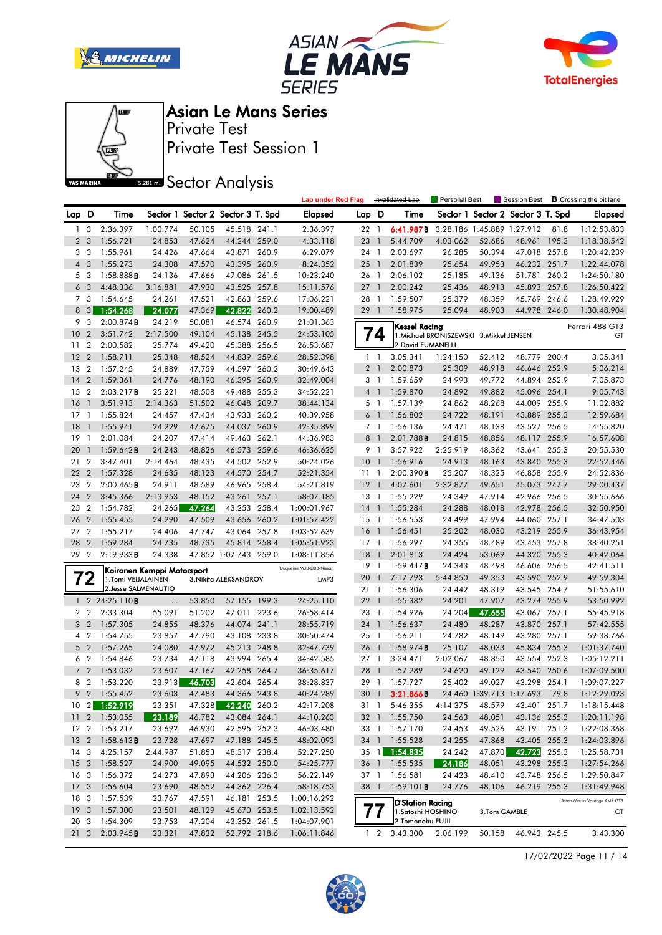







Private Test Session 1 Private Test

**SR281 mm** Sector Analysis

|                 |                |                                            |                            |               |                                   |       | <b>Lap under Red Flag</b> |                 |                 | Invalidated Lap                        | Personal Best                            |                  | Session Best                      |       | <b>B</b> Crossing the pit lane |
|-----------------|----------------|--------------------------------------------|----------------------------|---------------|-----------------------------------|-------|---------------------------|-----------------|-----------------|----------------------------------------|------------------------------------------|------------------|-----------------------------------|-------|--------------------------------|
| Lap D           |                | Time                                       |                            |               | Sector 1 Sector 2 Sector 3 T. Spd |       | Elapsed                   | Lap D           |                 | Time                                   |                                          |                  | Sector 1 Sector 2 Sector 3 T. Spd |       | Elapsed                        |
| 1               | 3              | 2:36.397                                   | 1:00.774                   | 50.105        | 45.518 241.1                      |       | 2:36.397                  | $22 \quad 1$    |                 | 6:41.987B                              | 3:28.186 1:45.889 1:27.912               |                  |                                   | 81.8  | 1:12:53.833                    |
| $\overline{2}$  | 3              | 1:56.721                                   | 24.853                     | 47.624        | 44.244 259.0                      |       | 4:33.118                  | 23              | $\overline{1}$  | 5:44.709                               | 4:03.062                                 | 52.686           | 48.961 195.3                      |       | 1:18:38.542                    |
|                 | 3 <sub>3</sub> | 1:55.961                                   | 24.426                     | 47.664        | 43.871 260.9                      |       | 6:29.079                  | 24 1            |                 | 2:03.697                               | 26.285                                   | 50.394           | 47.018 257.8                      |       | 1:20:42.239                    |
| $\overline{4}$  | 3              | 1:55.273                                   | 24.308                     | 47.570        | 43.395 260.9                      |       | 8:24.352                  | 25              | $\overline{1}$  | 2:01.839                               | 25.654                                   | 49.953           | 46.232 251.7                      |       | 1:22:44.078                    |
|                 | 5 <sub>3</sub> | 1:58.888B                                  | 24.136                     | 47.666        | 47.086 261.5                      |       | 10:23.240                 | 26 1            |                 | 2:06.102                               | 25.185                                   | 49.136           | 51.781                            | 260.2 | 1:24:50.180                    |
|                 | 6 <sub>3</sub> | 4:48.336                                   | 3:16.881                   | 47.930        | 43.525 257.8                      |       | 15:11.576                 | 27              | $\overline{1}$  | 2:00.242                               | 25.436                                   | 48.913           | 45.893 257.8                      |       | 1:26:50.422                    |
|                 | 7 3            | 1:54.645                                   | 24.261                     | 47.521        | 42.863 259.6                      |       | 17:06.221                 | 28 1            |                 | 1:59.507                               | 25.379                                   | 48.359           | 45.769 246.6                      |       | 1:28:49.929                    |
| 8               | 3              | 1:54.268                                   | 24.077                     | 47.369        | 42.822                            | 260.2 | 19:00.489                 | 29 1            |                 | 1:58.975                               | 25.094                                   | 48.903           | 44.978 246.0                      |       | 1:30:48.904                    |
| 9               | 3              | 2:00.874B                                  | 24.219                     | 50.081        | 46.574 260.9                      |       | 21:01.363                 |                 |                 | Kessel Racing                          |                                          |                  |                                   |       | Ferrari 488 GT3                |
| 10              | $\overline{2}$ | 3:51.742                                   | 2:17.500                   | 49.104        | 45.138 245.5                      |       | 24:53.105                 |                 | 74              |                                        | 1. Michael BRONISZEWSKI 3. Mikkel JENSEN |                  |                                   |       | GT                             |
| 11              | $\overline{2}$ | 2:00.582                                   | 25.774                     | 49.420        | 45.388 256.5                      |       | 26:53.687                 |                 |                 | 2. David FUMANELLI                     |                                          |                  |                                   |       |                                |
| 12              | $\overline{2}$ | 1:58.711                                   | 25.348                     | 48.524        | 44.839 259.6                      |       | 28:52.398                 | $\mathbf{1}$    | $\overline{1}$  | 3:05.341                               | 1:24.150                                 | 52.412           | 48.779 200.4                      |       | 3:05.341                       |
| 13              | $\overline{2}$ | 1:57.245                                   | 24.889                     | 47.759        | 44.597 260.2                      |       | 30:49.643                 |                 | 2 <sub>1</sub>  | 2:00.873                               | 25.309                                   | 48.918           | 46.646 252.9                      |       | 5:06.214                       |
| 14              | $\overline{2}$ | 1:59.361                                   | 24.776                     | 48.190        | 46.395 260.9                      |       | 32:49.004                 |                 | 3 1             | 1:59.659                               | 24.993                                   | 49.772           | 44.894 252.9                      |       | 7:05.873                       |
| 15              | $\overline{2}$ | 2:03.217B                                  | 25.221                     | 48.508        | 49.488 255.3                      |       | 34:52.221                 |                 | 4 1             | 1:59.870                               | 24.892                                   | 49.882           | 45.096 254.1                      |       | 9:05.743                       |
| 16              | $\mathbf{1}$   | 3:51.913                                   | 2:14.363                   | 51.502        | 46.048 209.7                      |       | 38:44.134                 |                 | 5 <sub>1</sub>  | 1:57.139                               | 24.862                                   | 48.268           | 44.009 255.9                      |       | 11:02.882                      |
| 17              | $\overline{1}$ | 1:55.824                                   | 24.457                     | 47.434        | 43.933 260.2                      |       | 40:39.958                 |                 | 6 <sup>1</sup>  | 1:56.802                               | 24.722                                   | 48.191           | 43.889                            | 255.3 | 12:59.684                      |
| 18              |                | 1:55.941                                   | 24.229                     | 47.675        | 44.037 260.9                      |       | 42:35.899                 |                 | 7 <sup>1</sup>  | 1:56.136                               | 24.471                                   | 48.138           | 43.527 256.5                      |       | 14:55.820                      |
| 19              | -1             | 2:01.084                                   | 24.207                     | 47.414        | 49.463 262.1                      |       | 44:36.983                 | 8               | $\overline{1}$  | 2:01.788B                              | 24.815                                   | 48.856           | 48.117 255.9                      |       | 16:57.608                      |
| 20              | $\mathbf{1}$   | 1:59.642B                                  | 24.243                     | 48.826        | 46.573 259.6                      |       | 46:36.625                 |                 | 9 1             | 3:57.922                               | 2:25.919                                 | 48.362           | 43.641 255.3                      |       | 20:55.530                      |
| 21              | $\overline{2}$ | 3:47.401                                   | 2:14.464                   | 48.435        | 44.502 252.9                      |       | 50:24.026                 | $10-1$          |                 | 1:56.916                               | 24.913                                   | 48.163           | 43.840 255.3                      |       | 22:52.446                      |
| 22              | $\overline{2}$ | 1:57.328                                   | 24.635                     | 48.123        | 44.570 254.7                      |       | 52:21.354                 | $11-1$          |                 | 2:00.390B                              | 25.207                                   | 48.325           | 46.858 255.9                      |       | 24:52.836                      |
| 23              | $\overline{2}$ | 2:00.465B                                  | 24.911                     | 48.589        | 46.965 258.4                      |       | 54:21.819                 | $12-1$          |                 | 4:07.601                               | 2:32.877                                 | 49.651           | 45.073 247.7                      |       | 29:00.437                      |
| 24              | $\overline{2}$ | 3:45.366                                   | 2:13.953                   | 48.152        | 43.261 257.1                      |       | 58:07.185                 | $13-1$          |                 | 1:55.229                               | 24.349                                   | 47.914           | 42.966 256.5                      |       | 30:55.666                      |
| 25              | $\overline{2}$ | 1:54.782                                   | 24.265                     | 47.264        | 43.253 258.4                      |       | 1:00:01.967               | 14              | $\overline{1}$  | 1:55.284                               | 24.288                                   | 48.018           | 42.978 256.5                      |       | 32:50.950                      |
| 26              | $\overline{2}$ | 1:55.455                                   | 24.290                     | 47.509        | 43.656 260.2                      |       | 1:01:57.422               | $15-1$          |                 | 1:56.553                               | 24.499                                   | 47.994           | 44.060 257.1                      |       | 34:47.503                      |
| 27              | $\overline{2}$ | 1:55.217                                   | 24.406                     | 47.747        | 43.064 257.8                      |       | 1:03:52.639               | $16-1$          |                 | 1:56.451                               | 25.202                                   | 48.030           | 43.219 255.9                      |       | 36:43.954                      |
| 28              | $\overline{2}$ | 1:59.284                                   | 24.735                     | 48.735        | 45.814 258.4                      |       | 1:05:51.923               | $17-1$          |                 | 1:56.297                               | 24.355                                   | 48.489           | 43.453 257.8                      |       | 38:40.251                      |
| 29              | $\overline{2}$ | 2:19.933B                                  | 24.338                     |               | 47.852 1:07.743 259.0             |       | 1:08:11.856               | 18              | $\overline{1}$  | 2:01.813                               | 24.424                                   | 53.069           | 44.320 255.3                      |       | 40:42.064                      |
|                 |                |                                            | Koiranen Kemppi Motorsport |               |                                   |       | Duqueine M30-D08-Nissan   | $19-1$          |                 | 1:59.447B                              | 24.343                                   | 48.498           | 46.606 256.5                      |       | 42:41.511                      |
|                 | 72             | 1.Tomi VEIJALAINEN<br>2. Jesse SALMENAUTIO |                            |               | 3. Nikita ALEKSANDROV             |       | LMP3                      | 201             |                 | 7:17.793                               | 5:44.850                                 | 49.353           | 43.590 252.9<br>43.545 254.7      |       | 49:59.304                      |
|                 |                | 1 2 24:25.110 <b>B</b>                     |                            | 53.850        | 57.155 199.3                      |       | 24:25.110                 | 21 1<br>22      | $\overline{1}$  | 1:56.306<br>1:55.382                   | 24.442<br>24.201                         | 48.319<br>47.907 | 43.274 255.9                      |       | 51:55.610<br>53:50.992         |
|                 | 2 <sub>2</sub> | 2:33.304                                   | <br>55.091                 | 51.202        | 47.011 223.6                      |       | 26:58.414                 | 23 1            |                 | 1:54.926                               | 24.204                                   | 47.655           | 43.067 257.1                      |       | 55:45.918                      |
| 3               | $\overline{2}$ | 1:57.305                                   | 24.855                     | 48.376        | 44.074                            | 241.1 | 28:55.719                 | 24 1            |                 | 1:56.637                               | 24.480                                   | 48.287           | 43.870 257.1                      |       | 57:42.555                      |
| 4               | $\overline{2}$ | 1:54.755                                   | 23.857                     | 47.790        | 43.108 233.8                      |       | 30:50.474                 | 25 <sub>1</sub> |                 | 1:56.211                               | 24.782                                   | 48.149           | 43.280                            | 257.1 | 59:38.766                      |
|                 | 5 <sub>2</sub> | 1:57.265                                   | 24.080                     | 47.972        | 45.213 248.8                      |       | 32:47.739                 | 26              | $\overline{1}$  | 1:58.974B                              | 25.107                                   | 48.033           | 45.834 255.3                      |       | 1:01:37.740                    |
|                 | 6 <sub>2</sub> | 1:54.846                                   | 23.734                     | 47.118        | 43.994 265.4                      |       | 34:42.585                 | 27 <sub>1</sub> |                 | 3:34.471                               | 2:02.067                                 | 48.850           | 43.554 252.3                      |       | 1:05:12.211                    |
| $7^{\circ}$     | $\overline{2}$ | 1:53.032                                   | 23.607                     | 47.167        | 42.258 264.7                      |       | 36:35.617                 | 28              | $\overline{1}$  | 1:57.289                               | 24.620                                   | 49.129           | 43.540 250.6                      |       | 1:07:09.500                    |
| 8               | $\overline{2}$ | 1:53.220                                   | 23.913                     | 46.703        | 42.604 265.4                      |       | 38:28.837                 | 29 1            |                 | 1:57.727                               | 25.402                                   | 49.027           | 43.298 254.1                      |       | 1:09:07.227                    |
|                 |                | 9 2 1:55.452                               |                            | 23.603 47.483 | 44.366 243.8                      |       | 40:24.289                 |                 | 30 <sub>1</sub> | 3:21.866B                              |                                          |                  | 24.460 1:39.713 1:17.693 79.8     |       | 1:12:29.093                    |
|                 |                | 10 2 1:52.919                              | 23.351                     | 47.328        | 42.240 260.2                      |       | 42:17.208                 |                 |                 | 31 1 5:46.355                          | 4:14.375                                 | 48.579           | 43.401 251.7                      |       | 1:18:15.448                    |
|                 |                | 11 2 1:53.055                              | 23.189                     | 46.782        | 43.084 264.1                      |       | 44:10.263                 |                 |                 | 32 1 1:55.750                          | 24.563                                   | 48.051           | 43.136 255.3                      |       | 1:20:11.198                    |
| 12 2            |                | 1:53.217                                   | 23.692                     | 46.930        | 42.595 252.3                      |       | 46:03.480                 |                 |                 | 33 1 1:57.170                          | 24.453                                   | 49.526           | 43.191 251.2                      |       | 1:22:08.368                    |
| 13 <sub>2</sub> |                | 1:58.613B                                  | 23.728                     | 47.697        | 47.188 245.5                      |       | 48:02.093                 |                 |                 | 34 1 1:55.528                          | 24.255                                   | 47.868           | 43.405 255.3                      |       | 1:24:03.896                    |
| 14 3            |                | 4:25.157                                   | 2:44.987                   | 51.853        | 48.317 238.4                      |       | 52:27.250                 |                 |                 | 35 1 1:54.835                          | 24.242                                   | 47.870           | 42.723 255.3                      |       | 1:25:58.731                    |
| 15 3            |                | 1:58.527                                   | 24.900                     | 49.095        | 44.532 250.0                      |       | 54:25.777                 | 36 1            |                 | 1:55.535                               | 24.186                                   | 48.051           | 43.298 255.3                      |       | 1:27:54.266                    |
| 16 <sub>3</sub> |                | 1:56.372                                   | 24.273                     | 47.893        | 44.206 236.3                      |       | 56:22.149                 | 37 1            |                 | 1:56.581                               | 24.423                                   | 48.410           | 43.748 256.5                      |       | 1:29:50.847                    |
| 17 <sub>3</sub> |                | 1:56.604                                   | 23.690                     | 48.552        | 44.362 226.4                      |       | 58:18.753                 | 38 1            |                 | 1:59.101B                              | 24.776                                   | 48.106           | 46.219 255.3                      |       | 1:31:49.948                    |
| 18 3            |                | 1:57.539                                   | 23.767                     | 47.591        | 46.181 253.5                      |       | 1:00:16.292               |                 |                 |                                        |                                          |                  |                                   |       | Aston Martin Vantage AMR GT3   |
| 19 <sup>3</sup> |                | 1:57.300                                   | 23.501                     | 48.129        | 45.670 253.5                      |       | 1:02:13.592               |                 | 77              | D'Station Racing<br>1. Satoshi HOSHINO |                                          | 3.Tom GAMBLE     |                                   |       | GT                             |
| 20 3            |                | 1:54.309                                   | 23.753                     | 47.204        | 43.352 261.5                      |       | 1:04:07.901               |                 |                 | 2. Tomonobu FUJII                      |                                          |                  |                                   |       |                                |
|                 | 21 3           | 2:03.945B                                  | 23.321                     | 47.832        | 52.792 218.6                      |       | 1:06:11.846               |                 | $1\quad 2$      | 3:43.300                               | 2:06.199                                 | 50.158           | 46.943 245.5                      |       | 3:43.300                       |
|                 |                |                                            |                            |               |                                   |       |                           |                 |                 |                                        |                                          |                  |                                   |       |                                |

17/02/2022 Page 11 / 14

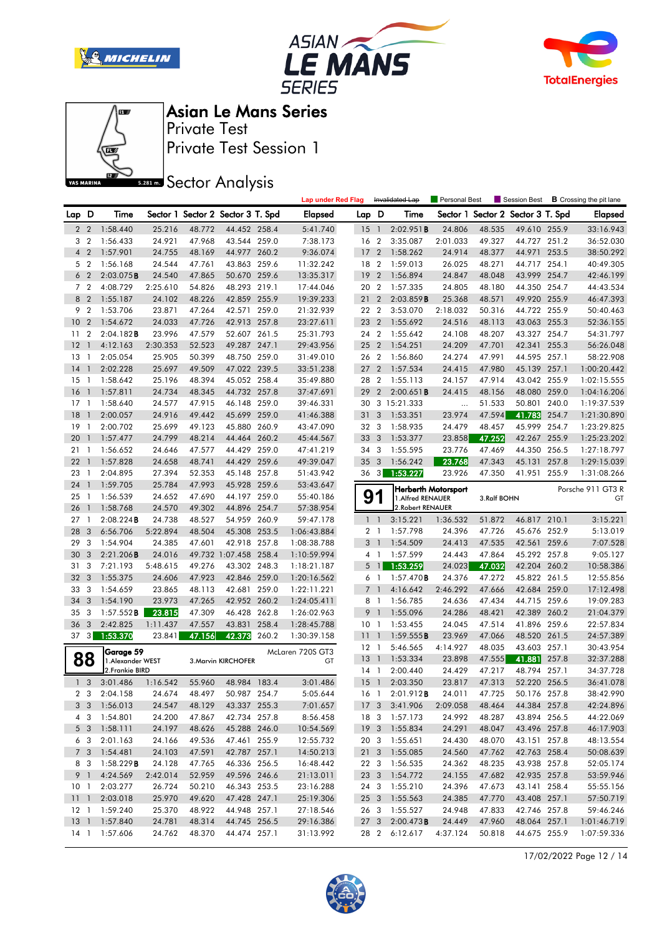







Private Test Session 1 Private Test

**SREAD** Sector Analysis

|                 |                |                                |          |        |                                   |       | <b>Lap under Red Flag</b> |                 |                         | Invalidated Lap   | Personal Best       |             | Session Best             |       | <b>B</b> Crossing the pit lane |
|-----------------|----------------|--------------------------------|----------|--------|-----------------------------------|-------|---------------------------|-----------------|-------------------------|-------------------|---------------------|-------------|--------------------------|-------|--------------------------------|
| Lap D           |                | Time                           |          |        | Sector 1 Sector 2 Sector 3 T. Spd |       | <b>Elapsed</b>            | Lap D           |                         | Time              | Sector 1            |             | Sector 2 Sector 3 T. Spd |       | <b>Elapsed</b>                 |
| $\overline{2}$  | $\overline{2}$ | 1:58.440                       | 25.216   | 48.772 | 44.452 258.4                      |       | 5:41.740                  | 15              | $\overline{1}$          | 2:02.951B         | 24.806              | 48.535      | 49.610 255.9             |       | 33:16.943                      |
| 3               | $\overline{2}$ | 1:56.433                       | 24.921   | 47.968 | 43.544 259.0                      |       | 7:38.173                  | 16              | $\overline{2}$          | 3:35.087          | 2:01.033            | 49.327      | 44.727 251.2             |       | 36:52.030                      |
| 4               | $\overline{2}$ | 1:57.901                       | 24.755   | 48.169 | 44.977 260.2                      |       | 9:36.074                  | 17              | $\overline{2}$          | 1:58.262          | 24.914              | 48.377      | 44.971 253.5             |       | 38:50.292                      |
|                 | 5 <sub>2</sub> | 1:56.168                       | 24.544   | 47.761 | 43.863 259.6                      |       | 11:32.242                 | 18 2            |                         | 1:59.013          | 26.025              | 48.271      | 44.717 254.1             |       | 40:49.305                      |
| 6               | $\overline{2}$ | 2:03.075B                      | 24.540   | 47.865 | 50.670 259.6                      |       | 13:35.317                 | 19              | $\overline{2}$          | 1:56.894          | 24.847              | 48.048      | 43.999                   | 254.7 | 42:46.199                      |
|                 | 7 <sub>2</sub> | 4:08.729                       | 2:25.610 | 54.826 | 48.293 219.1                      |       | 17:44.046                 | 20 2            |                         | 1:57.335          | 24.805              | 48.180      | 44.350 254.7             |       | 44:43.534                      |
|                 | 8 <sup>2</sup> | 1:55.187                       | 24.102   | 48.226 | 42.859 255.9                      |       | 19:39.233                 | 21              | $\overline{2}$          | 2:03.859B         | 25.368              | 48.571      | 49.920 255.9             |       | 46:47.393                      |
| 9               | $\overline{2}$ | 1:53.706                       | 23.871   | 47.264 | 42.571 259.0                      |       | 21:32.939                 | 22 2            |                         | 3:53.070          | 2:18.032            | 50.316      | 44.722 255.9             |       | 50:40.463                      |
| 10              | $\overline{2}$ | 1:54.672                       | 24.033   | 47.726 | 42.913 257.8                      |       | 23:27.611                 | 23 2            |                         | 1:55.692          | 24.516              | 48.113      | 43.063 255.3             |       | 52:36.155                      |
| 11              | $\overline{2}$ | 2:04.182B                      | 23.996   | 47.579 | 52.607 261.5                      |       | 25:31.793                 | 24 2            |                         | 1:55.642          | 24.108              | 48.207      | 43.327 254.7             |       | 54:31.797                      |
| 12              | $\mathbf{1}$   | 4:12.163                       | 2:30.353 | 52.523 | 49.287 247.1                      |       | 29:43.956                 | 25              | $\overline{2}$          | 1:54.251          | 24.209              | 47.701      | 42.341                   | 255.3 | 56:26.048                      |
| 13              | $\mathbf{1}$   | 2:05.054                       | 25.905   | 50.399 | 48.750 259.0                      |       | 31:49.010                 | 26 2            |                         | 1:56.860          | 24.274              | 47.991      | 44.595 257.1             |       | 58:22.908                      |
| 14              | $\overline{1}$ | 2:02.228                       | 25.697   | 49.509 | 47.022 239.5                      |       | 33:51.238                 | 27              | $\overline{2}$          | 1:57.534          | 24.415              | 47.980      | 45.139                   | 257.1 | 1:00:20.442                    |
| 15              | -1             | 1:58.642                       | 25.196   | 48.394 | 45.052 258.4                      |       | 35:49.880                 | 28              | $\overline{2}$          | 1:55.113          | 24.157              | 47.914      | 43.042 255.9             |       | 1:02:15.555                    |
| 16              | $\overline{1}$ | 1:57.811                       | 24.734   | 48.345 | 44.732 257.8                      |       | 37:47.691                 | 29              | $\overline{2}$          | $2:00.651$ B      | 24.415              | 48.156      | 48.080 259.0             |       | 1:04:16.206                    |
| 17              | -1             | 1:58.640                       | 24.577   | 47.915 | 46.148 259.0                      |       | 39:46.331                 |                 |                         | 30 3 15:21.333    | $\cdots$            | 51.533      | 50.801 240.0             |       | 1:19:37.539                    |
| 18              | $\mathbf{1}$   | 2:00.057                       | 24.916   | 49.442 | 45.699                            | 259.0 | 41:46.388                 | 31              | 3                       | 1:53.351          | 23.974              | 47.594      | 41.783                   | 254.7 | 1:21:30.890                    |
| 19              | -1             | 2:00.702                       | 25.699   | 49.123 | 45.880 260.9                      |       | 43:47.090                 | 32 3            |                         | 1:58.935          | 24.479              | 48.457      | 45.999 254.7             |       | 1:23:29.825                    |
| 20              | $\overline{1}$ | 1:57.477                       | 24.799   | 48.214 | 44.464 260.2                      |       | 45:44.567                 | 33              | $\overline{\mathbf{3}}$ | 1:53.377          | 23.858              | 47.252      | 42.267                   | 255.9 | 1:25:23.202                    |
| 21              | $\mathbf{1}$   | 1:56.652                       | 24.646   | 47.577 | 44.429 259.0                      |       | 47:41.219                 | 34 3            |                         | 1:55.595          | 23.776              | 47.469      | 44.350 256.5             |       | 1:27:18.797                    |
| 22              | $\overline{1}$ | 1:57.828                       | 24.658   | 48.741 | 44.429 259.6                      |       | 49:39.047                 | 35              | $\overline{\mathbf{3}}$ | 1:56.242          | 23.768              | 47.343      | 45.131                   | 257.8 | 1:29:15.039                    |
| 23              | $\overline{1}$ | 2:04.895                       | 27.394   | 52.353 | 45.148 257.8                      |       | 51:43.942                 | 36 3            |                         | 1:53.227          | 23.926              | 47.350      | 41.951 255.9             |       | 1:31:08.266                    |
| 24              | $\overline{1}$ | 1:59.705                       | 25.784   | 47.993 | 45.928 259.6                      |       | 53:43.647                 |                 |                         |                   |                     |             |                          |       |                                |
| 25              | $\overline{1}$ | 1:56.539                       | 24.652   | 47.690 | 44.197 259.0                      |       | 55:40.186                 |                 | 91                      | 1. Alfred RENAUER | Herberth Motorsport | 3.Ralf BOHN |                          |       | Porsche 911 GT3 R<br>GT        |
| 26              | $\mathbf{1}$   | 1:58.768                       | 24.570   | 49.302 | 44.896 254.7                      |       | 57:38.954                 |                 |                         | 2. Robert RENAUER |                     |             |                          |       |                                |
| 27              | $\overline{1}$ | 2:08.224B                      | 24.738   | 48.527 | 54.959 260.9                      |       | 59:47.178                 |                 | $1\quad$                | 3:15.221          | 1:36.532            | 51.872      | 46.817 210.1             |       | 3:15.221                       |
| 28              | 3              | 6:56.706                       | 5:22.894 | 48.504 | 45.308 253.5                      |       | 1:06:43.884               |                 | 2 <sub>1</sub>          | 1:57.798          | 24.396              | 47.726      | 45.676 252.9             |       | 5:13.019                       |
| 29              | 3              | 1:54.904                       | 24.385   | 47.601 | 42.918 257.8                      |       | 1:08:38.788               | 3               | $\overline{1}$          | 1:54.509          | 24.413              | 47.535      | 42.561                   | 259.6 | 7:07.528                       |
| 30              | 3              | 2:21.206B                      | 24.016   |        | 49.732 1:07.458 258.4             |       | 1:10:59.994               | 4               | -1                      | 1:57.599          | 24.443              | 47.864      | 45.292 257.8             |       | 9:05.127                       |
| 31              | 3              | 7:21.193                       | 5:48.615 | 49.276 | 43.302 248.3                      |       | 1:18:21.187               | 5               | $\overline{1}$          | 1:53.259          | 24.023              | 47.032      | 42.204 260.2             |       | 10:58.386                      |
| 32              | 3              | 1:55.375                       | 24.606   | 47.923 | 42.846 259.0                      |       | 1:20:16.562               |                 | 6 1                     | $1:57.470$ B      | 24.376              | 47.272      | 45.822 261.5             |       | 12:55.856                      |
| 33              | 3              | 1:54.659                       | 23.865   | 48.113 | 42.681 259.0                      |       | 1:22:11.221               | $\overline{7}$  | $\overline{1}$          | 4:16.642          | 2:46.292            | 47.666      | 42.684                   | 259.0 | 17:12.498                      |
| 34              | 3              | 1:54.190                       | 23.973   | 47.265 | 42.952 260.2                      |       | 1:24:05.411               | 8               | $\overline{1}$          | 1:56.785          | 24.636              | 47.434      | 44.715 259.6             |       | 19:09.283                      |
| 35              | 3              | 1:57.552B                      | 23.815   | 47.309 | 46.428 262.8                      |       | 1:26:02.963               | 9               | $\overline{1}$          | 1:55.096          | 24.286              | 48.421      | 42.389 260.2             |       | 21:04.379                      |
| 36              | 3              | 2:42.825                       | 1:11.437 | 47.557 | 43.831                            | 258.4 | 1:28:45.788               | 10 <sub>1</sub> |                         | 1:53.455          | 24.045              | 47.514      | 41.896 259.6             |       | 22:57.834                      |
| 37              | 3              | 1:53.370                       | 23.841   | 47.156 | 42.373                            | 260.2 | 1:30:39.158               | 11              | $\overline{1}$          | 1:59.555B         | 23.969              | 47.066      | 48.520 261.5             |       | 24:57.389                      |
|                 |                |                                |          |        |                                   |       |                           | $12-1$          |                         | 5:46.565          | 4:14.927            | 48.035      | 43.603 257.1             |       | 30:43.954                      |
|                 | 88             | Garage 59<br>1. Alexander WEST |          |        | 3. Marvin KIRCHOFER               |       | McLaren 720S GT3<br>GT    | 13              | $\overline{1}$          | 1:53.334          | 23.898              | 47.555      | 41.881                   | 257.8 | 32:37.288                      |
|                 |                | 2.Frankie BIRD                 |          |        |                                   |       |                           | $14-1$          |                         | 2:00.440          | 24.429              | 47.217      | 48.794 257.1             |       | 34:37.728                      |
|                 | 1 <sub>3</sub> | 3:01.486                       | 1:16.542 | 55.960 | 48.984 183.4                      |       | 3:01.486                  | $15-1$          |                         | 2:03.350          | 23.817              | 47.313      | 52.220 256.5             |       | 36:41.078                      |
|                 | 2 <sub>3</sub> | 2:04.158                       | 24.674   | 48.497 | 50.987 254.7                      |       | 5:05.644                  |                 | 16 1                    | 2:01.912B         | 24.011              | 47.725      | 50.176 257.8             |       | 38:42.990                      |
|                 | 33             | 1:56.013                       | 24.547   | 48.129 | 43.337 255.3                      |       | 7:01.657                  |                 |                         | 17 3 3:41.906     | 2:09.058            | 48.464      | 44.384 257.8             |       | 42:24.896                      |
|                 | 43             | 1:54.801                       | 24.200   | 47.867 | 42.734 257.8                      |       | 8:56.458                  |                 |                         | 18 3 1:57.173     | 24.992              | 48.287      | 43.894 256.5             |       | 44:22.069                      |
|                 | 5 3            | 1:58.111                       | 24.197   | 48.626 | 45.288 246.0                      |       | 10:54.569                 |                 |                         | 19 3 1:55.834     | 24.291              | 48.047      | 43.496 257.8             |       | 46:17.903                      |
|                 | 63             | 2:01.163                       | 24.166   | 49.536 | 47.461 255.9                      |       | 12:55.732                 |                 | 20 3                    | 1:55.651          | 24.430              | 48.070      | 43.151 257.8             |       | 48:13.554                      |
|                 | 7 3            | 1:54.481                       | 24.103   | 47.591 | 42.787 257.1                      |       | 14:50.213                 |                 |                         | 21 3 1:55.085     | 24.560              | 47.762      | 42.763 258.4             |       | 50:08.639                      |
|                 | 8 3            | 1:58.229B                      | 24.128   | 47.765 | 46.336 256.5                      |       | 16:48.442                 |                 | 22 3                    | 1:56.535          | 24.362              | 48.235      | 43.938 257.8             |       | 52:05.174                      |
|                 | 9 1            | 4:24.569                       | 2:42.014 | 52.959 | 49.596 246.6                      |       | 21:13.011                 |                 |                         | 23 3 1:54.772     | 24.155              | 47.682      | 42.935 257.8             |       | 53:59.946                      |
| 10 <sub>1</sub> |                | 2:03.277                       | 26.724   | 50.210 | 46.343 253.5                      |       | 23:16.288                 |                 | 24 3                    | 1:55.210          | 24.396              | 47.673      | 43.141 258.4             |       | 55:55.156                      |
| 11 <sub>1</sub> |                | 2:03.018                       | 25.970   | 49.620 | 47.428 247.1                      |       | 25:19.306                 | 25 3            |                         | 1:55.563          | 24.385              | 47.770      | 43.408 257.1             |       | 57:50.719                      |
| $12-1$          |                | 1:59.240                       | 25.370   | 48.922 | 44.948 257.1                      |       | 27:18.546                 |                 | 26 3                    | 1:55.527          | 24.948              | 47.833      | 42.746 257.8             |       | 59:46.246                      |
| $13-1$          |                | 1:57.840                       | 24.781   | 48.314 | 44.745 256.5                      |       | 29:16.386                 | 27 3            |                         | 2:00.473B         | 24.449              | 47.960      | 48.064 257.1             |       | 1:01:46.719                    |
|                 |                | 14 1 1:57.606                  | 24.762   | 48.370 | 44.474 257.1                      |       | 31:13.992                 |                 | 28 2                    | 6:12.617          | 4:37.124            | 50.818      | 44.675 255.9             |       | 1:07:59.336                    |

17/02/2022 Page 12 / 14

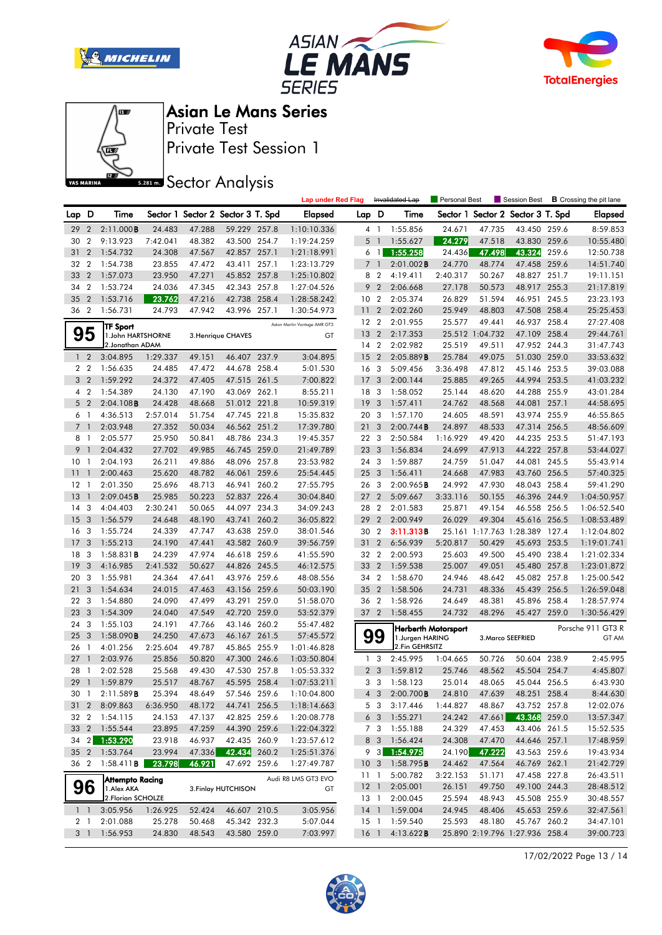







Private Test Session 1 Private Test

**SREAD** Sector Analysis

|             |                |                        |          |                                   |              |       | <b>Lap under Red Flag</b>    |                 | Invalidated Lap |                 | <b>Personal Best</b>                            |                 | Session Best                      |       | <b>B</b> Crossing the pit lane |
|-------------|----------------|------------------------|----------|-----------------------------------|--------------|-------|------------------------------|-----------------|-----------------|-----------------|-------------------------------------------------|-----------------|-----------------------------------|-------|--------------------------------|
| Lap D       |                | Time                   |          | Sector 1 Sector 2 Sector 3 T. Spd |              |       | <b>Elapsed</b>               | Lap D           |                 | Time            |                                                 |                 | Sector 1 Sector 2 Sector 3 T. Spd |       | <b>Elapsed</b>                 |
| 29          | $\overline{2}$ | 2:11.000B              | 24.483   | 47.288                            | 59.229 257.8 |       | 1:10:10.336                  |                 | 4 1             | 1:55.856        | 24.671                                          | 47.735          | 43.450 259.6                      |       | 8:59.853                       |
| 30          | $\overline{2}$ | 9:13.923               | 7:42.041 | 48.382                            | 43.500 254.7 |       | 1:19:24.259                  | 5               | $\overline{1}$  | 1:55.627        | 24.279                                          | 47.518          | 43.830 259.6                      |       | 10:55.480                      |
| 31          | $\overline{2}$ | 1:54.732               | 24.308   | 47.567                            | 42.857 257.1 |       | 1:21:18.991                  |                 | 6 1             | 1:55.258        | 24.436                                          | 47.498          | 43.324                            | 259.6 | 12:50.738                      |
| 32          | $\overline{2}$ | 1:54.738               | 23.855   | 47.472                            | 43.411 257.1 |       | 1:23:13.729                  | $\overline{7}$  | $\overline{1}$  | $2:01.002$ B    | 24.770                                          | 48.774          | 47.458 259.6                      |       | 14:51.740                      |
| 33          | $\overline{2}$ | 1:57.073               | 23.950   | 47.271                            | 45.852 257.8 |       | 1:25:10.802                  | 8               | $\overline{2}$  | 4:19.411        | 2:40.317                                        | 50.267          | 48.827 251.7                      |       | 19:11.151                      |
| 34          | $\overline{2}$ | 1:53.724               | 24.036   | 47.345                            | 42.343 257.8 |       | 1:27:04.526                  | 9               | $\overline{2}$  | 2:06.668        | 27.178                                          | 50.573          | 48.917 255.3                      |       | 21:17.819                      |
| 35          | $\overline{2}$ | 1:53.716               | 23.762   | 47.216                            | 42.738       | 258.4 | 1:28:58.242                  | 10 <sub>2</sub> |                 | 2:05.374        | 26.829                                          | 51.594          | 46.951 245.5                      |       | 23:23.193                      |
| 36          | $\overline{2}$ | 1:56.731               | 24.793   | 47.942                            | 43.996 257.1 |       | 1:30:54.973                  | 11              | $\overline{2}$  | 2:02.260        | 25.949                                          | 48.803          | 47.508 258.4                      |       | 25:25.453                      |
|             |                | TF Sport               |          |                                   |              |       | Aston Martin Vantage AMR GT3 | 12 2            |                 | 2:01.955        | 25.577                                          | 49.441          | 46.937 258.4                      |       | 27:27.408                      |
|             | 95             | 1. John HARTSHORNE     |          | 3. Henrique CHAVES                |              | GT    |                              | 13              | $\overline{2}$  | 2:17.353        |                                                 | 25.512 1:04.732 | 47.109 258.4                      |       | 29:44.761                      |
|             |                | 2.Jonathan ADAM        |          |                                   |              |       |                              | 14 2            |                 | 2:02.982        | 25.519                                          | 49.511          | 47.952 244.3                      |       | 31:47.743                      |
|             | 1 <sub>2</sub> | 3:04.895               | 1:29.337 | 49.151                            | 46.407 237.9 |       | 3:04.895                     | 15              | $\overline{2}$  | 2:05.889B       | 25.784                                          | 49.075          | 51.030 259.0                      |       | 33:53.632                      |
|             | 2 <sub>2</sub> | 1:56.635               | 24.485   | 47.472                            | 44.678       | 258.4 | 5:01.530                     | 16              | - 3             | 5:09.456        | 3:36.498                                        | 47.812          | 45.146 253.5                      |       | 39:03.088                      |
|             | 3 <sub>2</sub> | 1:59.292               | 24.372   | 47.405                            | 47.515 261.5 |       | 7:00.822                     | 17              | -3              | 2:00.144        | 25.885                                          | 49.265          | 44.994 253.5                      |       | 41:03.232                      |
| 4           | $\overline{2}$ | 1:54.389               | 24.130   | 47.190                            | 43.069 262.1 |       | 8:55.211                     | 18 3            |                 | 1:58.052        | 25.144                                          | 48.620          | 44.288 255.9                      |       | 43:01.284                      |
|             | 5 <sub>2</sub> | $2:04.108$ B           | 24.428   | 48.668                            | 51.012 221.8 |       | 10:59.319                    | 19              | $\mathbf{3}$    | 1:57.411        | 24.762                                          | 48.568          | 44.081                            | 257.1 | 44:58.695                      |
| 6           | $\overline{1}$ | 4:36.513               | 2:57.014 | 51.754                            | 47.745 221.8 |       | 15:35.832                    | 20 3            |                 | 1:57.170        | 24.605                                          | 48.591          | 43.974 255.9                      |       | 46:55.865                      |
| $7^{\circ}$ | $\mathbf{1}$   | 2:03.948               | 27.352   | 50.034                            | 46.562 251.2 |       | 17:39.780                    | 21              | 3               | 2:00.744B       | 24.897                                          | 48.533          | 47.314 256.5                      |       | 48:56.609                      |
| 8 1         |                | 2:05.577               | 25.950   | 50.841                            | 48.786 234.3 |       | 19:45.357                    | 22 3            |                 | 2:50.584        | 1:16.929                                        | 49.420          | 44.235 253.5                      |       | 51:47.193                      |
| 9           | $\overline{1}$ | 2:04.432               | 27.702   | 49.985                            | 46.745 259.0 |       | 21:49.789                    | 23 <sub>3</sub> |                 | 1:56.834        | 24.699                                          | 47.913          | 44.222 257.8                      |       | 53:44.027                      |
| 10          | -1             | 2:04.193               | 26.211   | 49.886                            | 48.096       | 257.8 | 23:53.982                    | 24 3            |                 | 1:59.887        | 24.759                                          | 51.047          | 44.081 245.5                      |       | 55:43.914                      |
| 11          | -1             | 2:00.463               | 25.620   | 48.782                            | 46.061 259.6 |       | 25:54.445                    | 25 <sub>3</sub> |                 | 1:56.411        | 24.668                                          | 47.983          | 43.760 256.5                      |       | 57:40.325                      |
| 12          | -1             | 2:01.350               | 25.696   | 48.713                            | 46.941 260.2 |       | 27:55.795                    | 26 3            |                 | 2:00.965B       | 24.992                                          | 47.930          | 48.043 258.4                      |       | 59:41.290                      |
| 13          | $\mathbf{1}$   | 2:09.045B              | 25.985   | 50.223                            | 52.837 226.4 |       | 30:04.840                    | 27              | $\overline{2}$  | 5:09.667        | 3:33.116                                        | 50.155          | 46.396 244.9                      |       | 1:04:50.957                    |
| 14          | 3              | 4:04.403               | 2:30.241 | 50.065                            | 44.097 234.3 |       | 34:09.243                    | 28 2            |                 | 2:01.583        | 25.871                                          | 49.154          | 46.558 256.5                      |       | 1:06:52.540                    |
| 15          | 3              | 1:56.579               | 24.648   | 48.190                            | 43.741 260.2 |       | 36:05.822                    | 29              | $\overline{2}$  | 2:00.949        | 26.029                                          | 49.304          | 45.616 256.5                      |       | 1:08:53.489                    |
| 16          | 3              | 1:55.724               | 24.339   | 47.747                            | 43.638 259.0 |       | 38:01.546                    | 30 2            |                 | 3:11.313B       |                                                 |                 | 25.161 1:17.763 1:28.389 127.4    |       | 1:12:04.802                    |
| 17          | 3              | 1:55.213               | 24.190   | 47.441                            | 43.582 260.9 |       | 39:56.759                    | 31              | $\overline{2}$  | 6:56.939        | 5:20.817                                        | 50.429          | 45.693 253.5                      |       | 1:19:01.741                    |
| 18          | 3              | $1:58.831$ <b>B</b>    | 24.239   | 47.974                            | 46.618 259.6 |       | 41:55.590                    | 32 2            |                 | 2:00.593        | 25.603                                          | 49.500          | 45.490 238.4                      |       | 1:21:02.334                    |
| 19          | 3              | 4:16.985               | 2:41.532 | 50.627                            | 44.826 245.5 |       | 46:12.575                    | 33              | $\overline{2}$  | 1:59.538        | 25.007                                          | 49.051          | 45.480 257.8                      |       | 1:23:01.872                    |
| 20          | 3              | 1:55.981               | 24.364   | 47.641                            | 43.976 259.6 |       | 48:08.556                    | 34 2            |                 | 1:58.670        | 24.946                                          | 48.642          | 45.082 257.8                      |       | 1:25:00.542                    |
| 21          | 3              | 1:54.634               | 24.015   | 47.463                            | 43.156 259.6 |       | 50:03.190                    | 35              | $\overline{2}$  | 1:58.506        | 24.731                                          | 48.336          | 45.439                            | 256.5 | 1:26:59.048                    |
| 22          | 3              | 1:54.880               | 24.090   | 47.499                            | 43.291       | 259.0 | 51:58.070                    | 36 2            |                 | 1:58.926        | 24.649                                          | 48.381          | 45.896                            | 258.4 | 1:28:57.974                    |
| 23          | 3              | 1:54.309               | 24.040   | 47.549                            | 42.720 259.0 |       | 53:52.379                    | 37 2            |                 | 1:58.455        | 24.732                                          | 48.296          | 45.427 259.0                      |       | 1:30:56.429                    |
| 24          | 3              | 1:55.103               | 24.191   | 47.766                            | 43.146 260.2 |       | 55:47.482                    |                 |                 |                 |                                                 |                 |                                   |       | Porsche 911 GT3 R              |
| 25          | 3              | $1:58.090$ B           | 24.250   | 47.673                            | 46.167 261.5 |       | 57:45.572                    |                 | 99              | 1.Jurgen HARING | <b>Herberth Motorsport</b><br>3. Marco SEEFRIED |                 |                                   | GT AM |                                |
| 26          | -1             | 4:01.256               | 2:25.604 | 49.787                            | 45.865 255.9 |       | 1:01:46.828                  |                 |                 | 2.Fin GEHRSITZ  |                                                 |                 |                                   |       |                                |
| 27          | $\overline{1}$ | 2:03.976               | 25.856   | 50.820                            | 47.300 246.6 |       | 1:03:50.804                  |                 | 1 <sub>3</sub>  | 2:45.995        | 1:04.665                                        | 50.726          | 50.604 238.9                      |       | 2:45.995                       |
| 28          | $\mathbf{1}$   | 2:02.528               | 25.568   | 49.430                            | 47.530 257.8 |       | 1:05:53.332                  |                 | 2 <sub>3</sub>  | 1:59.812        | 25.746                                          | 48.562          | 45.504 254.7                      |       | 4:45.807                       |
| 29          | $\overline{1}$ | 1:59.879               | 25.517   | 48.767                            | 45.595 258.4 |       | 1:07:53.211                  |                 | 3 <sub>3</sub>  | 1:58.123        | 25.014                                          | 48.065          | 45.044 256.5                      |       | 6:43.930                       |
| 30 1        |                | 2:11.589B              | 25.394   | 48.649                            | 57.546 259.6 |       | 1:10:04.800                  |                 | $4 \quad 3$     | 2:00.700B       | 24.810                                          | 47.639          | 48.251 258.4                      |       | 8:44.630                       |
|             |                | 31 2 8:09.863          | 6:36.950 | 48.172                            | 44.741 256.5 |       | 1:18:14.663                  |                 |                 | 5 3 3:17.446    | 1:44.827                                        | 48.867          | 43.752 257.8                      |       | 12:02.076                      |
|             |                | 32 2 1:54.115          | 24.153   | 47.137                            | 42.825 259.6 |       | 1:20:08.778                  |                 |                 | 6 3 1:55.271    | 24.242                                          | 47.661          | 43.368 259.0                      |       | 13:57.347                      |
| 33          |                | 2 1:55.544             | 23.895   | 47.259                            | 44.390 259.6 |       | 1:22:04.322                  |                 | 7 3             | 1:55.188        | 24.329                                          | 47.453          | 43.406 261.5                      |       | 15:52.535                      |
|             |                | 34 2 1:53.290          | 23.918   | 46.937                            | 42.435 260.9 |       | 1:23:57.612                  |                 | 8 3             | 1:56.424        | 24.308                                          | 47.470          | 44.646 257.1                      |       | 17:48.959                      |
|             |                | 35 2 1:53.764          | 23.994   | 47.336                            | 42.434 260.2 |       | 1:25:51.376                  |                 | $9 \quad 3$     | 1:54.975        | 24.190                                          | 47.222          | 43.563 259.6                      |       | 19:43.934                      |
|             |                | 36 2 1:58.411 <b>B</b> | 23.798   | 46.921                            | 47.692 259.6 |       | 1:27:49.787                  | 10 <sub>3</sub> |                 | 1:58.795B       | 24.462                                          | 47.564          | 46.769 262.1                      |       | 21:42.729                      |
|             |                | Attempto Racing        |          |                                   |              |       | Audi R8 LMS GT3 EVO          | 11 1            |                 | 5:00.782        | 3:22.153                                        | 51.171          | 47.458 227.8                      |       | 26:43.511                      |
| 96          |                | 1.Alex AKA             |          | 3. Finlay HUTCHISON               |              |       | GT                           | $12-1$          |                 | 2:05.001        | 26.151                                          | 49.750          | 49.100 244.3                      |       | 28:48.512                      |
|             |                | 2. Florian SCHOLZE     |          |                                   |              |       |                              |                 | 13 1            | 2:00.045        | 25.594                                          | 48.943          | 45.508 255.9                      |       | 30:48.557                      |
|             | $1\quad$       | 3:05.956               | 1:26.925 | 52.424                            | 46.607 210.5 |       | 3:05.956                     |                 |                 | 14 1 1:59.004   | 24.945                                          | 48.406          | 45.653 259.6                      |       | 32:47.561                      |
|             | 2 1            | 2:01.088               | 25.278   | 50.468                            | 45.342 232.3 |       | 5:07.044                     |                 | 15 1            | 1:59.540        | 25.593                                          | 48.180          | 45.767 260.2                      |       | 34:47.101                      |
|             |                | 3 1 1:56.953           | 24.830   | 48.543                            | 43.580 259.0 |       | 7:03.997                     | $16-1$          |                 | 4:13.622B       |                                                 |                 | 25.890 2:19.796 1:27.936 258.4    |       | 39:00.723                      |

17/02/2022 Page 13 / 14